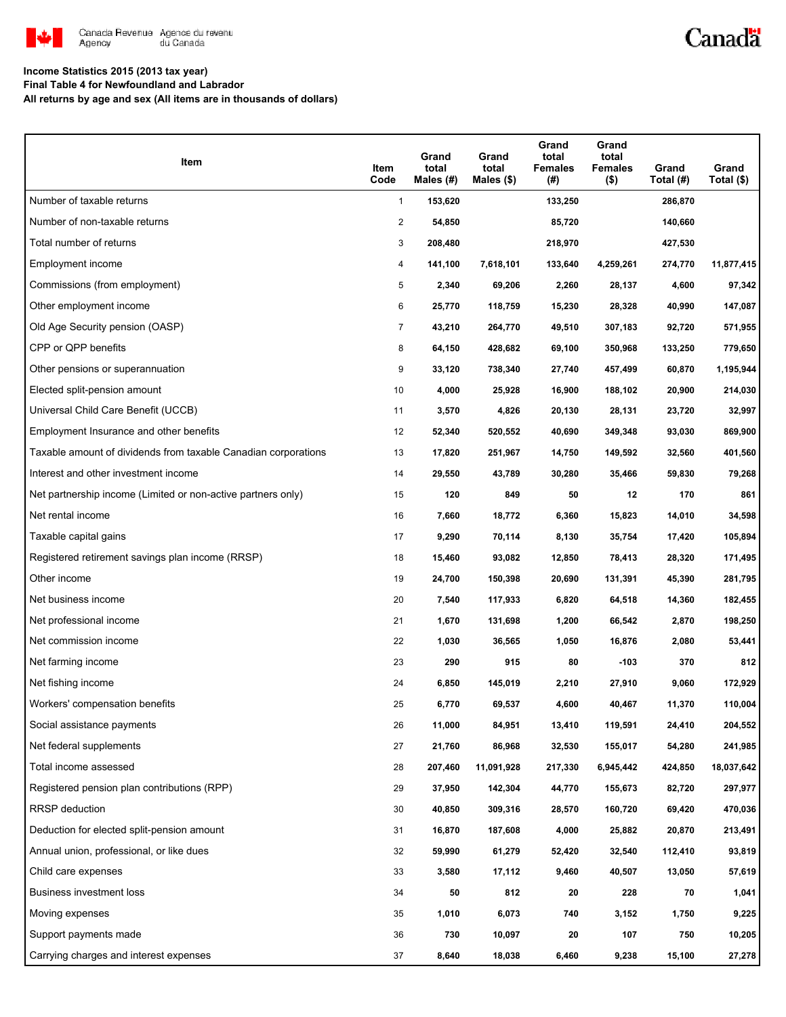

## Canadä

### **Income Statistics 2015 (2013 tax year)**

**Final Table 4 for Newfoundland and Labrador**

**All returns by age and sex (All items are in thousands of dollars)**

| Item                                                           | Item<br>Code   | Grand<br>total<br>Males (#) | Grand<br>total<br>Males $(\$)$ | Grand<br>total<br><b>Females</b><br>(#) | Grand<br>total<br><b>Females</b><br>$($ \$) | Grand<br>Total (#) | Grand<br>Total (\$) |
|----------------------------------------------------------------|----------------|-----------------------------|--------------------------------|-----------------------------------------|---------------------------------------------|--------------------|---------------------|
| Number of taxable returns                                      | $\mathbf{1}$   | 153,620                     |                                | 133,250                                 |                                             | 286,870            |                     |
| Number of non-taxable returns                                  | $\overline{2}$ | 54,850                      |                                | 85,720                                  |                                             | 140,660            |                     |
| Total number of returns                                        | 3              | 208,480                     |                                | 218,970                                 |                                             | 427,530            |                     |
| Employment income                                              | 4              | 141,100                     | 7,618,101                      | 133,640                                 | 4,259,261                                   | 274,770            | 11,877,415          |
| Commissions (from employment)                                  | 5              | 2,340                       | 69,206                         | 2,260                                   | 28,137                                      | 4,600              | 97,342              |
| Other employment income                                        | 6              | 25,770                      | 118,759                        | 15,230                                  | 28,328                                      | 40,990             | 147,087             |
| Old Age Security pension (OASP)                                | $\overline{7}$ | 43,210                      | 264,770                        | 49,510                                  | 307,183                                     | 92,720             | 571,955             |
| CPP or QPP benefits                                            | 8              | 64,150                      | 428,682                        | 69,100                                  | 350,968                                     | 133,250            | 779,650             |
| Other pensions or superannuation                               | 9              | 33,120                      | 738,340                        | 27,740                                  | 457,499                                     | 60,870             | 1,195,944           |
| Elected split-pension amount                                   | 10             | 4,000                       | 25,928                         | 16,900                                  | 188,102                                     | 20,900             | 214,030             |
| Universal Child Care Benefit (UCCB)                            | 11             | 3,570                       | 4,826                          | 20,130                                  | 28,131                                      | 23,720             | 32,997              |
| Employment Insurance and other benefits                        | 12             | 52,340                      | 520,552                        | 40,690                                  | 349,348                                     | 93,030             | 869,900             |
| Taxable amount of dividends from taxable Canadian corporations | 13             | 17,820                      | 251,967                        | 14,750                                  | 149,592                                     | 32,560             | 401,560             |
| Interest and other investment income                           | 14             | 29,550                      | 43,789                         | 30,280                                  | 35,466                                      | 59,830             | 79,268              |
| Net partnership income (Limited or non-active partners only)   | 15             | 120                         | 849                            | 50                                      | 12                                          | 170                | 861                 |
| Net rental income                                              | 16             | 7,660                       | 18,772                         | 6,360                                   | 15,823                                      | 14,010             | 34,598              |
| Taxable capital gains                                          | 17             | 9,290                       | 70,114                         | 8,130                                   | 35,754                                      | 17,420             | 105,894             |
| Registered retirement savings plan income (RRSP)               | 18             | 15,460                      | 93,082                         | 12,850                                  | 78,413                                      | 28,320             | 171,495             |
| Other income                                                   | 19             | 24,700                      | 150,398                        | 20,690                                  | 131,391                                     | 45,390             | 281,795             |
| Net business income                                            | 20             | 7,540                       | 117,933                        | 6,820                                   | 64,518                                      | 14,360             | 182,455             |
| Net professional income                                        | 21             | 1,670                       | 131,698                        | 1,200                                   | 66,542                                      | 2,870              | 198,250             |
| Net commission income                                          | 22             | 1,030                       | 36,565                         | 1,050                                   | 16,876                                      | 2,080              | 53,441              |
| Net farming income                                             | 23             | 290                         | 915                            | 80                                      | -103                                        | 370                | 812                 |
| Net fishing income                                             | 24             | 6,850                       | 145,019                        | 2,210                                   | 27,910                                      | 9,060              | 172,929             |
| Workers' compensation benefits                                 | 25             | 6,770                       | 69,537                         | 4,600                                   | 40,467                                      | 11,370             | 110,004             |
| Social assistance payments                                     | 26             | 11,000                      | 84,951                         | 13,410                                  | 119,591                                     | 24,410             | 204,552             |
| Net federal supplements                                        | 27             | 21,760                      | 86,968                         | 32,530                                  | 155,017                                     | 54,280             | 241,985             |
| Total income assessed                                          | 28             | 207,460                     | 11,091,928                     | 217,330                                 | 6,945,442                                   | 424,850            | 18,037,642          |
| Registered pension plan contributions (RPP)                    | 29             | 37,950                      | 142,304                        | 44,770                                  | 155,673                                     | 82,720             | 297,977             |
| <b>RRSP</b> deduction                                          | 30             | 40,850                      | 309,316                        | 28,570                                  | 160,720                                     | 69,420             | 470,036             |
| Deduction for elected split-pension amount                     | 31             | 16,870                      | 187,608                        | 4,000                                   | 25,882                                      | 20,870             | 213,491             |
| Annual union, professional, or like dues                       | 32             | 59,990                      | 61,279                         | 52,420                                  | 32,540                                      | 112,410            | 93,819              |
| Child care expenses                                            | 33             | 3,580                       | 17,112                         | 9,460                                   | 40,507                                      | 13,050             | 57,619              |
| Business investment loss                                       | 34             | 50                          | 812                            | 20                                      | 228                                         | 70                 | 1,041               |
| Moving expenses                                                | 35             | 1,010                       | 6,073                          | 740                                     | 3,152                                       | 1,750              | 9,225               |
| Support payments made                                          | 36             | 730                         | 10,097                         | 20                                      | 107                                         | 750                | 10,205              |
| Carrying charges and interest expenses                         | 37             | 8,640                       | 18,038                         | 6,460                                   | 9,238                                       | 15,100             | 27,278              |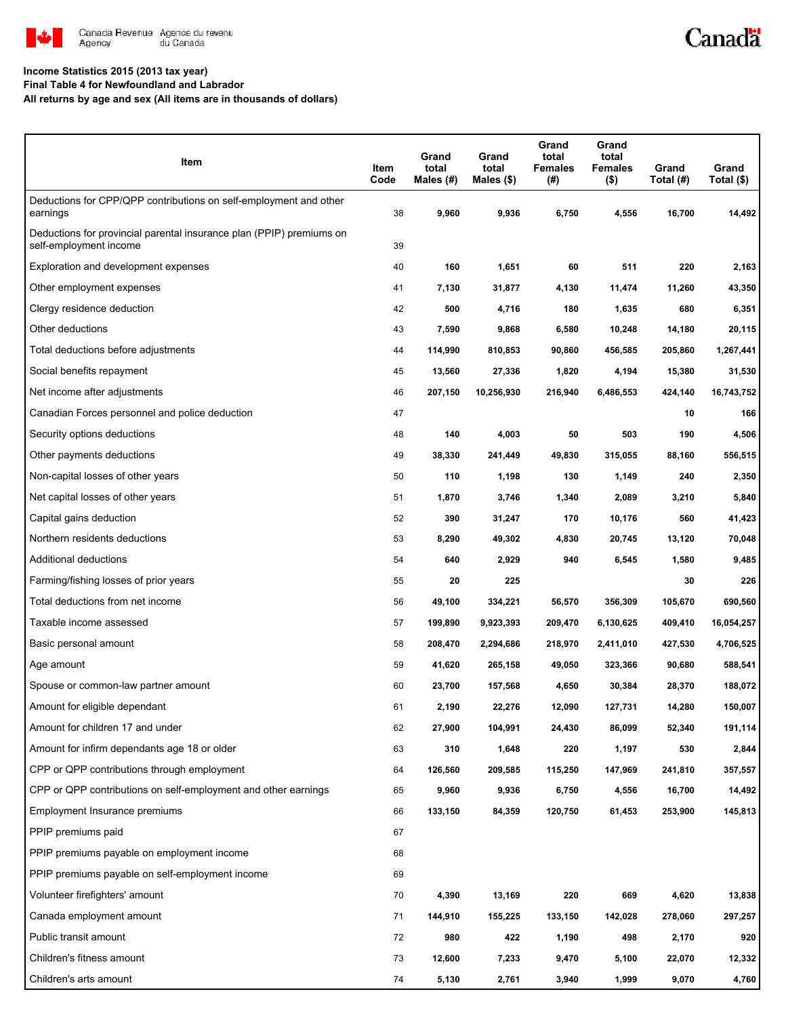

# Canadä

#### **Income Statistics 2015 (2013 tax year)**

**Final Table 4 for Newfoundland and Labrador**

**All returns by age and sex (All items are in thousands of dollars)**

| Item                                                                                           | Item<br>Code | Grand<br>total<br>Males (#) | Grand<br>total<br>Males (\$) | Grand<br>total<br><b>Females</b><br>(#) | Grand<br>total<br><b>Females</b><br>$($ \$) | Grand<br>Total (#) | Grand<br>Total (\$) |
|------------------------------------------------------------------------------------------------|--------------|-----------------------------|------------------------------|-----------------------------------------|---------------------------------------------|--------------------|---------------------|
| Deductions for CPP/QPP contributions on self-employment and other<br>earnings                  | 38           | 9,960                       | 9,936                        | 6,750                                   | 4,556                                       | 16,700             | 14,492              |
| Deductions for provincial parental insurance plan (PPIP) premiums on<br>self-employment income | 39           |                             |                              |                                         |                                             |                    |                     |
| Exploration and development expenses                                                           | 40           | 160                         | 1,651                        | 60                                      | 511                                         | 220                | 2,163               |
| Other employment expenses                                                                      | 41           | 7,130                       | 31,877                       | 4,130                                   | 11,474                                      | 11,260             | 43,350              |
| Clergy residence deduction                                                                     | 42           | 500                         | 4,716                        | 180                                     | 1,635                                       | 680                | 6,351               |
| Other deductions                                                                               | 43           | 7,590                       | 9,868                        | 6,580                                   | 10,248                                      | 14,180             | 20,115              |
| Total deductions before adjustments                                                            | 44           | 114,990                     | 810,853                      | 90,860                                  | 456,585                                     | 205,860            | 1,267,441           |
| Social benefits repayment                                                                      | 45           | 13,560                      | 27,336                       | 1,820                                   | 4,194                                       | 15,380             | 31,530              |
| Net income after adjustments                                                                   | 46           | 207,150                     | 10,256,930                   | 216,940                                 | 6,486,553                                   | 424,140            | 16,743,752          |
| Canadian Forces personnel and police deduction                                                 | 47           |                             |                              |                                         |                                             | 10                 | 166                 |
| Security options deductions                                                                    | 48           | 140                         | 4,003                        | 50                                      | 503                                         | 190                | 4,506               |
| Other payments deductions                                                                      | 49           | 38,330                      | 241,449                      | 49,830                                  | 315,055                                     | 88,160             | 556,515             |
| Non-capital losses of other years                                                              | 50           | 110                         | 1,198                        | 130                                     | 1,149                                       | 240                | 2,350               |
| Net capital losses of other years                                                              | 51           | 1,870                       | 3,746                        | 1,340                                   | 2,089                                       | 3,210              | 5,840               |
| Capital gains deduction                                                                        | 52           | 390                         | 31,247                       | 170                                     | 10,176                                      | 560                | 41,423              |
| Northern residents deductions                                                                  | 53           | 8,290                       | 49,302                       | 4,830                                   | 20,745                                      | 13,120             | 70,048              |
| Additional deductions                                                                          | 54           | 640                         | 2,929                        | 940                                     | 6,545                                       | 1,580              | 9,485               |
| Farming/fishing losses of prior years                                                          | 55           | 20                          | 225                          |                                         |                                             | 30                 | 226                 |
| Total deductions from net income                                                               | 56           | 49,100                      | 334,221                      | 56,570                                  | 356,309                                     | 105,670            | 690,560             |
| Taxable income assessed                                                                        | 57           | 199,890                     | 9,923,393                    | 209,470                                 | 6,130,625                                   | 409,410            | 16,054,257          |
| Basic personal amount                                                                          | 58           | 208,470                     | 2,294,686                    | 218,970                                 | 2,411,010                                   | 427,530            | 4,706,525           |
| Age amount                                                                                     | 59           | 41,620                      | 265,158                      | 49,050                                  | 323,366                                     | 90,680             | 588,541             |
| Spouse or common-law partner amount                                                            | 60           | 23,700                      | 157,568                      | 4,650                                   | 30,384                                      | 28,370             | 188,072             |
| Amount for eligible dependant                                                                  | 61           | 2,190                       | 22,276                       | 12,090                                  | 127,731                                     | 14,280             | 150,007             |
| Amount for children 17 and under                                                               | 62           | 27,900                      | 104,991                      | 24,430                                  | 86,099                                      | 52,340             | 191,114             |
| Amount for infirm dependants age 18 or older                                                   | 63           | 310                         | 1,648                        | 220                                     | 1,197                                       | 530                | 2,844               |
| CPP or QPP contributions through employment                                                    | 64           | 126,560                     | 209,585                      | 115,250                                 | 147,969                                     | 241,810            | 357,557             |
| CPP or QPP contributions on self-employment and other earnings                                 | 65           | 9,960                       | 9,936                        | 6,750                                   | 4,556                                       | 16,700             | 14,492              |
| Employment Insurance premiums                                                                  | 66           | 133,150                     | 84,359                       | 120,750                                 | 61,453                                      | 253,900            | 145,813             |
| PPIP premiums paid                                                                             | 67           |                             |                              |                                         |                                             |                    |                     |
| PPIP premiums payable on employment income                                                     | 68           |                             |                              |                                         |                                             |                    |                     |
| PPIP premiums payable on self-employment income                                                | 69           |                             |                              |                                         |                                             |                    |                     |
| Volunteer firefighters' amount                                                                 | 70           | 4,390                       | 13,169                       | 220                                     | 669                                         | 4,620              | 13,838              |
| Canada employment amount                                                                       | 71           | 144,910                     | 155,225                      | 133,150                                 | 142,028                                     | 278,060            | 297,257             |
| Public transit amount                                                                          | 72           | 980                         | 422                          | 1,190                                   | 498                                         | 2,170              | 920                 |
| Children's fitness amount                                                                      | 73           | 12,600                      | 7,233                        | 9,470                                   | 5,100                                       | 22,070             | 12,332              |
| Children's arts amount                                                                         | 74           | 5,130                       | 2,761                        | 3,940                                   | 1,999                                       | 9,070              | 4,760               |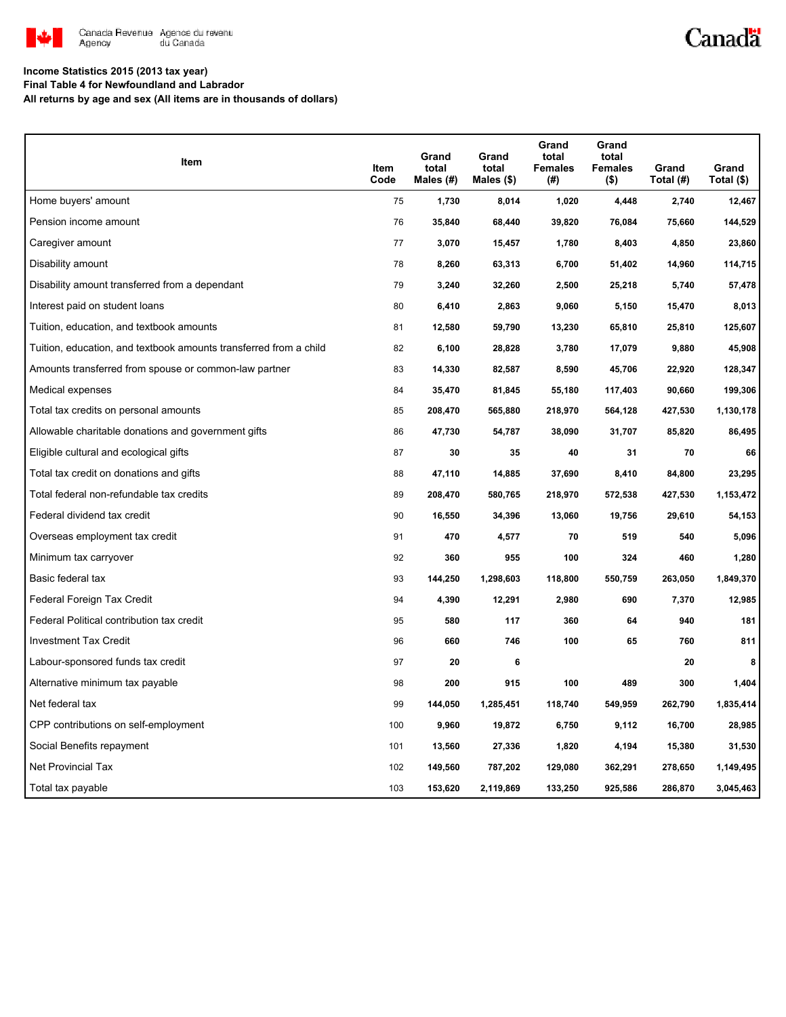

## Canadä

#### **Income Statistics 2015 (2013 tax year)**

**Final Table 4 for Newfoundland and Labrador**

**All returns by age and sex (All items are in thousands of dollars)**

| Item                                                              | Item<br>Code | Grand<br>total<br>Males (#) | Grand<br>total<br>Males $(\$)$ | Grand<br>total<br><b>Females</b><br>(#) | Grand<br>total<br><b>Females</b><br>$($ \$) | Grand<br>Total (#) | Grand<br>Total (\$) |
|-------------------------------------------------------------------|--------------|-----------------------------|--------------------------------|-----------------------------------------|---------------------------------------------|--------------------|---------------------|
| Home buyers' amount                                               | 75           | 1,730                       | 8,014                          | 1,020                                   | 4,448                                       | 2,740              | 12,467              |
| Pension income amount                                             | 76           | 35,840                      | 68,440                         | 39,820                                  | 76,084                                      | 75,660             | 144,529             |
| Caregiver amount                                                  | 77           | 3,070                       | 15,457                         | 1,780                                   | 8,403                                       | 4,850              | 23,860              |
| Disability amount                                                 | 78           | 8,260                       | 63,313                         | 6,700                                   | 51,402                                      | 14,960             | 114,715             |
| Disability amount transferred from a dependant                    | 79           | 3,240                       | 32,260                         | 2,500                                   | 25,218                                      | 5,740              | 57,478              |
| Interest paid on student loans                                    | 80           | 6,410                       | 2,863                          | 9,060                                   | 5,150                                       | 15,470             | 8,013               |
| Tuition, education, and textbook amounts                          | 81           | 12,580                      | 59,790                         | 13,230                                  | 65,810                                      | 25,810             | 125,607             |
| Tuition, education, and textbook amounts transferred from a child | 82           | 6,100                       | 28,828                         | 3,780                                   | 17,079                                      | 9,880              | 45,908              |
| Amounts transferred from spouse or common-law partner             | 83           | 14,330                      | 82,587                         | 8,590                                   | 45,706                                      | 22,920             | 128,347             |
| Medical expenses                                                  | 84           | 35,470                      | 81,845                         | 55,180                                  | 117,403                                     | 90,660             | 199,306             |
| Total tax credits on personal amounts                             | 85           | 208,470                     | 565,880                        | 218,970                                 | 564,128                                     | 427,530            | 1,130,178           |
| Allowable charitable donations and government gifts               | 86           | 47,730                      | 54,787                         | 38,090                                  | 31,707                                      | 85,820             | 86,495              |
| Eligible cultural and ecological gifts                            | 87           | 30                          | 35                             | 40                                      | 31                                          | 70                 | 66                  |
| Total tax credit on donations and gifts                           | 88           | 47,110                      | 14,885                         | 37,690                                  | 8,410                                       | 84,800             | 23,295              |
| Total federal non-refundable tax credits                          | 89           | 208,470                     | 580,765                        | 218,970                                 | 572,538                                     | 427,530            | 1,153,472           |
| Federal dividend tax credit                                       | 90           | 16,550                      | 34,396                         | 13,060                                  | 19,756                                      | 29,610             | 54,153              |
| Overseas employment tax credit                                    | 91           | 470                         | 4,577                          | 70                                      | 519                                         | 540                | 5,096               |
| Minimum tax carryover                                             | 92           | 360                         | 955                            | 100                                     | 324                                         | 460                | 1,280               |
| Basic federal tax                                                 | 93           | 144,250                     | 1,298,603                      | 118,800                                 | 550,759                                     | 263,050            | 1,849,370           |
| Federal Foreign Tax Credit                                        | 94           | 4,390                       | 12,291                         | 2,980                                   | 690                                         | 7,370              | 12,985              |
| Federal Political contribution tax credit                         | 95           | 580                         | 117                            | 360                                     | 64                                          | 940                | 181                 |
| <b>Investment Tax Credit</b>                                      | 96           | 660                         | 746                            | 100                                     | 65                                          | 760                | 811                 |
| Labour-sponsored funds tax credit                                 | 97           | 20                          | 6                              |                                         |                                             | 20                 | 8                   |
| Alternative minimum tax payable                                   | 98           | 200                         | 915                            | 100                                     | 489                                         | 300                | 1,404               |
| Net federal tax                                                   | 99           | 144,050                     | 1,285,451                      | 118,740                                 | 549,959                                     | 262,790            | 1,835,414           |
| CPP contributions on self-employment                              | 100          | 9,960                       | 19,872                         | 6,750                                   | 9,112                                       | 16,700             | 28,985              |
| Social Benefits repayment                                         | 101          | 13,560                      | 27,336                         | 1,820                                   | 4,194                                       | 15,380             | 31,530              |
| Net Provincial Tax                                                | 102          | 149,560                     | 787,202                        | 129,080                                 | 362,291                                     | 278,650            | 1,149,495           |
| Total tax payable                                                 | 103          | 153,620                     | 2,119,869                      | 133,250                                 | 925,586                                     | 286,870            | 3,045,463           |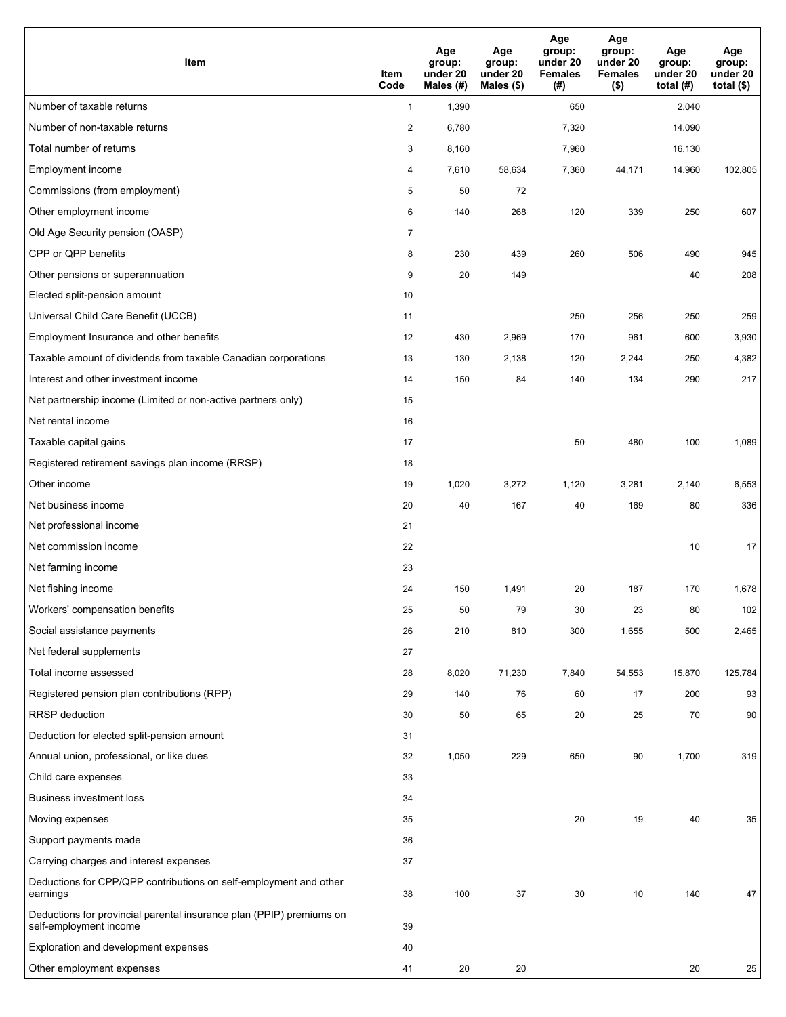| <b>Item</b>                                                                                    | Item<br>Code            | Age<br>group:<br>under 20<br>Males (#) | Age<br>group:<br>under 20<br>Males (\$) | Age<br>group:<br>under 20<br><b>Females</b><br>(# ) | Age<br>group:<br>under 20<br><b>Females</b><br>$($ \$) | Age<br>group:<br>under 20<br>total $(#)$ | Age<br>group:<br>under 20<br>total $($)$ |
|------------------------------------------------------------------------------------------------|-------------------------|----------------------------------------|-----------------------------------------|-----------------------------------------------------|--------------------------------------------------------|------------------------------------------|------------------------------------------|
| Number of taxable returns                                                                      | $\mathbf{1}$            | 1,390                                  |                                         | 650                                                 |                                                        | 2,040                                    |                                          |
| Number of non-taxable returns                                                                  | $\overline{\mathbf{c}}$ | 6,780                                  |                                         | 7,320                                               |                                                        | 14,090                                   |                                          |
| Total number of returns                                                                        | 3                       | 8,160                                  |                                         | 7,960                                               |                                                        | 16,130                                   |                                          |
| Employment income                                                                              | 4                       | 7,610                                  | 58,634                                  | 7,360                                               | 44,171                                                 | 14,960                                   | 102,805                                  |
| Commissions (from employment)                                                                  | 5                       | 50                                     | 72                                      |                                                     |                                                        |                                          |                                          |
| Other employment income                                                                        | 6                       | 140                                    | 268                                     | 120                                                 | 339                                                    | 250                                      | 607                                      |
| Old Age Security pension (OASP)                                                                | $\overline{7}$          |                                        |                                         |                                                     |                                                        |                                          |                                          |
| CPP or QPP benefits                                                                            | 8                       | 230                                    | 439                                     | 260                                                 | 506                                                    | 490                                      | 945                                      |
| Other pensions or superannuation                                                               | 9                       | 20                                     | 149                                     |                                                     |                                                        | 40                                       | 208                                      |
| Elected split-pension amount                                                                   | 10                      |                                        |                                         |                                                     |                                                        |                                          |                                          |
| Universal Child Care Benefit (UCCB)                                                            | 11                      |                                        |                                         | 250                                                 | 256                                                    | 250                                      | 259                                      |
| Employment Insurance and other benefits                                                        | 12                      | 430                                    | 2,969                                   | 170                                                 | 961                                                    | 600                                      | 3,930                                    |
| Taxable amount of dividends from taxable Canadian corporations                                 | 13                      | 130                                    | 2,138                                   | 120                                                 | 2,244                                                  | 250                                      | 4,382                                    |
| Interest and other investment income                                                           | 14                      | 150                                    | 84                                      | 140                                                 | 134                                                    | 290                                      | 217                                      |
| Net partnership income (Limited or non-active partners only)                                   | 15                      |                                        |                                         |                                                     |                                                        |                                          |                                          |
| Net rental income                                                                              | 16                      |                                        |                                         |                                                     |                                                        |                                          |                                          |
| Taxable capital gains                                                                          | 17                      |                                        |                                         | 50                                                  | 480                                                    | 100                                      | 1,089                                    |
| Registered retirement savings plan income (RRSP)                                               | 18                      |                                        |                                         |                                                     |                                                        |                                          |                                          |
| Other income                                                                                   | 19                      | 1,020                                  | 3,272                                   | 1,120                                               | 3,281                                                  | 2,140                                    | 6,553                                    |
| Net business income                                                                            | 20                      | 40                                     | 167                                     | 40                                                  | 169                                                    | 80                                       | 336                                      |
| Net professional income                                                                        | 21                      |                                        |                                         |                                                     |                                                        |                                          |                                          |
| Net commission income                                                                          | 22                      |                                        |                                         |                                                     |                                                        | 10                                       | 17                                       |
| Net farming income                                                                             | 23                      |                                        |                                         |                                                     |                                                        |                                          |                                          |
| Net fishing income                                                                             | 24                      | 150                                    | 1,491                                   | 20                                                  | 187                                                    | 170                                      | 1,678                                    |
| Workers' compensation benefits                                                                 | 25                      | 50                                     | 79                                      | 30                                                  | 23                                                     | 80                                       | 102                                      |
| Social assistance payments                                                                     | 26                      | 210                                    | 810                                     | 300                                                 | 1,655                                                  | 500                                      | 2,465                                    |
| Net federal supplements                                                                        | 27                      |                                        |                                         |                                                     |                                                        |                                          |                                          |
| Total income assessed                                                                          | 28                      | 8,020                                  | 71,230                                  | 7,840                                               | 54,553                                                 | 15,870                                   | 125,784                                  |
| Registered pension plan contributions (RPP)                                                    | 29                      | 140                                    | 76                                      | 60                                                  | 17                                                     | 200                                      | 93                                       |
| RRSP deduction                                                                                 | 30                      | 50                                     | 65                                      | 20                                                  | 25                                                     | 70                                       | 90                                       |
| Deduction for elected split-pension amount                                                     | 31                      |                                        |                                         |                                                     |                                                        |                                          |                                          |
| Annual union, professional, or like dues                                                       | 32                      | 1,050                                  | 229                                     | 650                                                 | 90                                                     | 1,700                                    | 319                                      |
| Child care expenses                                                                            | 33                      |                                        |                                         |                                                     |                                                        |                                          |                                          |
| <b>Business investment loss</b>                                                                | 34                      |                                        |                                         |                                                     |                                                        |                                          |                                          |
| Moving expenses                                                                                | 35                      |                                        |                                         | 20                                                  | 19                                                     | 40                                       | 35                                       |
| Support payments made                                                                          | 36                      |                                        |                                         |                                                     |                                                        |                                          |                                          |
| Carrying charges and interest expenses                                                         | 37                      |                                        |                                         |                                                     |                                                        |                                          |                                          |
| Deductions for CPP/QPP contributions on self-employment and other<br>earnings                  | 38                      | 100                                    | 37                                      | 30                                                  | 10                                                     | 140                                      | 47                                       |
| Deductions for provincial parental insurance plan (PPIP) premiums on<br>self-employment income | 39                      |                                        |                                         |                                                     |                                                        |                                          |                                          |
| Exploration and development expenses                                                           | 40                      |                                        |                                         |                                                     |                                                        |                                          |                                          |
| Other employment expenses                                                                      | 41                      | 20                                     | 20                                      |                                                     |                                                        | 20                                       | 25                                       |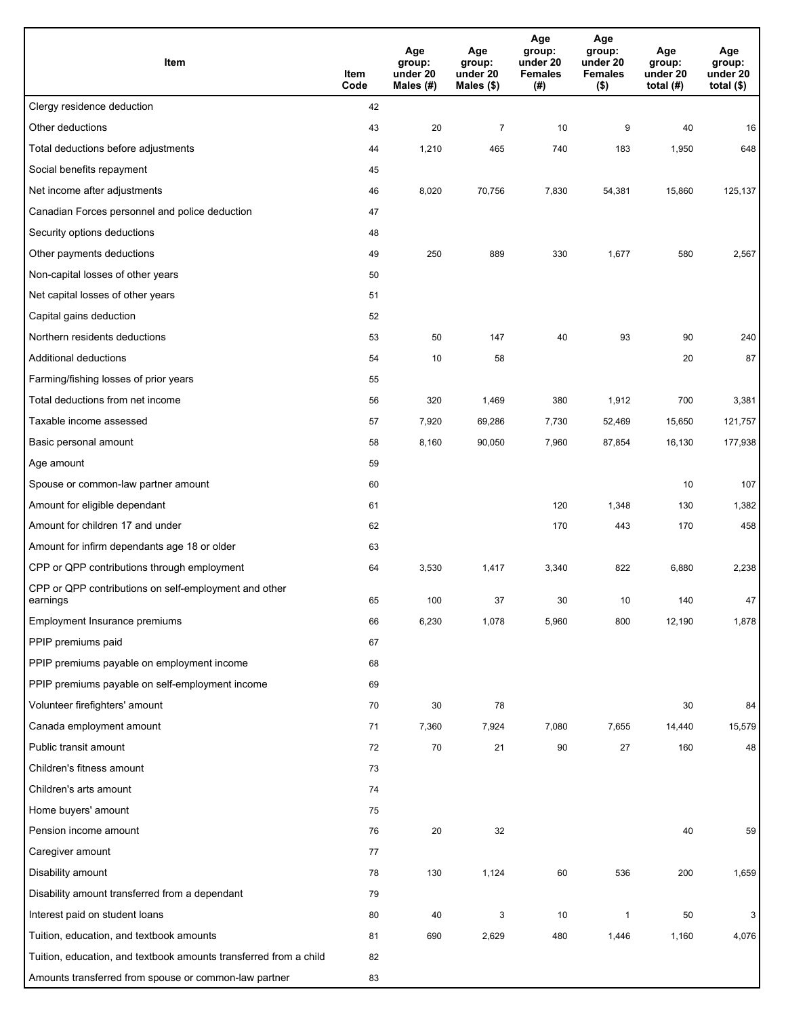| Item                                                              | Item<br>Code | Age<br>group:<br>under 20<br>Males (#) | Age<br>group:<br>under 20<br>Males (\$) | Age<br>group:<br>under 20<br><b>Females</b><br>(#) | Age<br>group:<br>under 20<br><b>Females</b><br>$($ \$) | Age<br>group:<br>under 20<br>total $(H)$ | Age<br>group:<br>under 20<br>total $($)$ |
|-------------------------------------------------------------------|--------------|----------------------------------------|-----------------------------------------|----------------------------------------------------|--------------------------------------------------------|------------------------------------------|------------------------------------------|
| Clergy residence deduction                                        | 42           |                                        |                                         |                                                    |                                                        |                                          |                                          |
| Other deductions                                                  | 43           | 20                                     | $\overline{7}$                          | 10                                                 | 9                                                      | 40                                       | 16                                       |
| Total deductions before adjustments                               | 44           | 1,210                                  | 465                                     | 740                                                | 183                                                    | 1,950                                    | 648                                      |
| Social benefits repayment                                         | 45           |                                        |                                         |                                                    |                                                        |                                          |                                          |
| Net income after adjustments                                      | 46           | 8,020                                  | 70,756                                  | 7,830                                              | 54,381                                                 | 15,860                                   | 125,137                                  |
| Canadian Forces personnel and police deduction                    | 47           |                                        |                                         |                                                    |                                                        |                                          |                                          |
| Security options deductions                                       | 48           |                                        |                                         |                                                    |                                                        |                                          |                                          |
| Other payments deductions                                         | 49           | 250                                    | 889                                     | 330                                                | 1,677                                                  | 580                                      | 2,567                                    |
| Non-capital losses of other years                                 | 50           |                                        |                                         |                                                    |                                                        |                                          |                                          |
| Net capital losses of other years                                 | 51           |                                        |                                         |                                                    |                                                        |                                          |                                          |
| Capital gains deduction                                           | 52           |                                        |                                         |                                                    |                                                        |                                          |                                          |
| Northern residents deductions                                     | 53           | 50                                     | 147                                     | 40                                                 | 93                                                     | 90                                       | 240                                      |
| Additional deductions                                             | 54           | 10                                     | 58                                      |                                                    |                                                        | 20                                       | 87                                       |
| Farming/fishing losses of prior years                             | 55           |                                        |                                         |                                                    |                                                        |                                          |                                          |
| Total deductions from net income                                  | 56           | 320                                    | 1,469                                   | 380                                                | 1,912                                                  | 700                                      | 3,381                                    |
| Taxable income assessed                                           | 57           | 7,920                                  | 69,286                                  | 7,730                                              | 52,469                                                 | 15,650                                   | 121,757                                  |
| Basic personal amount                                             | 58           | 8,160                                  | 90,050                                  | 7,960                                              | 87,854                                                 | 16,130                                   | 177,938                                  |
| Age amount                                                        | 59           |                                        |                                         |                                                    |                                                        |                                          |                                          |
| Spouse or common-law partner amount                               | 60           |                                        |                                         |                                                    |                                                        | 10                                       | 107                                      |
| Amount for eligible dependant                                     | 61           |                                        |                                         | 120                                                | 1,348                                                  | 130                                      | 1,382                                    |
| Amount for children 17 and under                                  | 62           |                                        |                                         | 170                                                | 443                                                    | 170                                      | 458                                      |
| Amount for infirm dependants age 18 or older                      | 63           |                                        |                                         |                                                    |                                                        |                                          |                                          |
| CPP or QPP contributions through employment                       | 64           | 3,530                                  | 1,417                                   | 3,340                                              | 822                                                    | 6,880                                    | 2,238                                    |
| CPP or QPP contributions on self-employment and other<br>earnings | 65           | 100                                    | 37                                      | 30                                                 | 10                                                     | 140                                      | 47                                       |
| Employment Insurance premiums                                     | 66           | 6,230                                  | 1,078                                   | 5,960                                              | 800                                                    | 12,190                                   | 1,878                                    |
| PPIP premiums paid                                                | 67           |                                        |                                         |                                                    |                                                        |                                          |                                          |
| PPIP premiums payable on employment income                        | 68           |                                        |                                         |                                                    |                                                        |                                          |                                          |
| PPIP premiums payable on self-employment income                   | 69           |                                        |                                         |                                                    |                                                        |                                          |                                          |
| Volunteer firefighters' amount                                    | 70           | 30                                     | 78                                      |                                                    |                                                        | 30                                       | 84                                       |
| Canada employment amount                                          | 71           | 7,360                                  | 7,924                                   | 7,080                                              | 7,655                                                  | 14,440                                   | 15,579                                   |
| Public transit amount                                             | 72           | $70\,$                                 | 21                                      | 90                                                 | 27                                                     | 160                                      | 48                                       |
| Children's fitness amount                                         | 73           |                                        |                                         |                                                    |                                                        |                                          |                                          |
| Children's arts amount                                            | 74           |                                        |                                         |                                                    |                                                        |                                          |                                          |
| Home buyers' amount                                               | 75           |                                        |                                         |                                                    |                                                        |                                          |                                          |
| Pension income amount                                             | 76           | 20                                     | 32                                      |                                                    |                                                        | 40                                       | 59                                       |
| Caregiver amount                                                  | 77           |                                        |                                         |                                                    |                                                        |                                          |                                          |
| Disability amount                                                 | 78           | 130                                    | 1,124                                   | 60                                                 | 536                                                    | 200                                      | 1,659                                    |
| Disability amount transferred from a dependant                    | 79           |                                        |                                         |                                                    |                                                        |                                          |                                          |
| Interest paid on student loans                                    | 80           | 40                                     | 3                                       | 10                                                 | 1                                                      | 50                                       | 3                                        |
| Tuition, education, and textbook amounts                          | 81           | 690                                    | 2,629                                   | 480                                                | 1,446                                                  | 1,160                                    | 4,076                                    |
| Tuition, education, and textbook amounts transferred from a child | 82           |                                        |                                         |                                                    |                                                        |                                          |                                          |
| Amounts transferred from spouse or common-law partner             | 83           |                                        |                                         |                                                    |                                                        |                                          |                                          |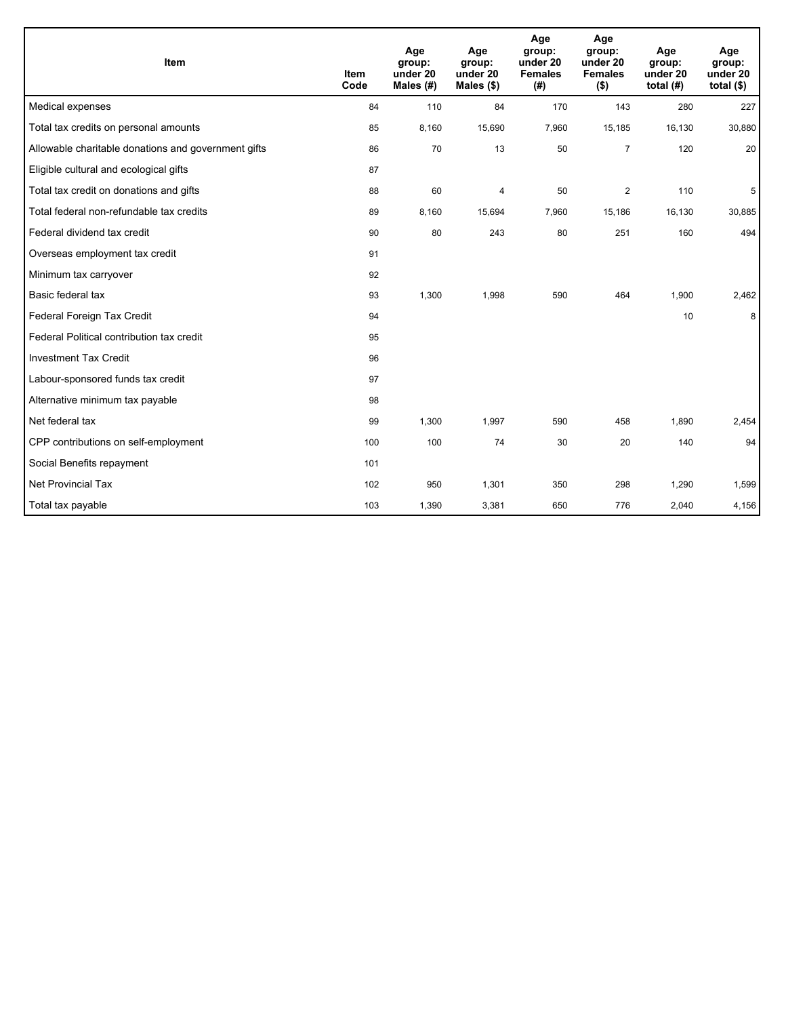| <b>Item</b>                                         | <b>Item</b><br>Code | Age<br>group:<br>under 20<br>Males $(H)$ | Age<br>group:<br>under 20<br>Males $(\$)$ | Age<br>group:<br>under 20<br><b>Females</b><br>(# ) | Age<br>group:<br>under 20<br><b>Females</b><br>$($ \$) | Age<br>group:<br>under 20<br>total $(H)$ | Age<br>group:<br>under 20<br>total $($)$ |
|-----------------------------------------------------|---------------------|------------------------------------------|-------------------------------------------|-----------------------------------------------------|--------------------------------------------------------|------------------------------------------|------------------------------------------|
| Medical expenses                                    | 84                  | 110                                      | 84                                        | 170                                                 | 143                                                    | 280                                      | 227                                      |
| Total tax credits on personal amounts               | 85                  | 8,160                                    | 15,690                                    | 7,960                                               | 15,185                                                 | 16,130                                   | 30,880                                   |
| Allowable charitable donations and government gifts | 86                  | 70                                       | 13                                        | 50                                                  | $\overline{7}$                                         | 120                                      | 20                                       |
| Eligible cultural and ecological gifts              | 87                  |                                          |                                           |                                                     |                                                        |                                          |                                          |
| Total tax credit on donations and gifts             | 88                  | 60                                       | 4                                         | 50                                                  | $\overline{2}$                                         | 110                                      | 5                                        |
| Total federal non-refundable tax credits            | 89                  | 8,160                                    | 15,694                                    | 7,960                                               | 15,186                                                 | 16,130                                   | 30,885                                   |
| Federal dividend tax credit                         | 90                  | 80                                       | 243                                       | 80                                                  | 251                                                    | 160                                      | 494                                      |
| Overseas employment tax credit                      | 91                  |                                          |                                           |                                                     |                                                        |                                          |                                          |
| Minimum tax carryover                               | 92                  |                                          |                                           |                                                     |                                                        |                                          |                                          |
| Basic federal tax                                   | 93                  | 1,300                                    | 1,998                                     | 590                                                 | 464                                                    | 1,900                                    | 2,462                                    |
| Federal Foreign Tax Credit                          | 94                  |                                          |                                           |                                                     |                                                        | 10                                       | 8                                        |
| Federal Political contribution tax credit           | 95                  |                                          |                                           |                                                     |                                                        |                                          |                                          |
| <b>Investment Tax Credit</b>                        | 96                  |                                          |                                           |                                                     |                                                        |                                          |                                          |
| Labour-sponsored funds tax credit                   | 97                  |                                          |                                           |                                                     |                                                        |                                          |                                          |
| Alternative minimum tax payable                     | 98                  |                                          |                                           |                                                     |                                                        |                                          |                                          |
| Net federal tax                                     | 99                  | 1,300                                    | 1,997                                     | 590                                                 | 458                                                    | 1,890                                    | 2,454                                    |
| CPP contributions on self-employment                | 100                 | 100                                      | 74                                        | 30                                                  | 20                                                     | 140                                      | 94                                       |
| Social Benefits repayment                           | 101                 |                                          |                                           |                                                     |                                                        |                                          |                                          |
| <b>Net Provincial Tax</b>                           | 102                 | 950                                      | 1,301                                     | 350                                                 | 298                                                    | 1,290                                    | 1,599                                    |
| Total tax payable                                   | 103                 | 1,390                                    | 3,381                                     | 650                                                 | 776                                                    | 2,040                                    | 4,156                                    |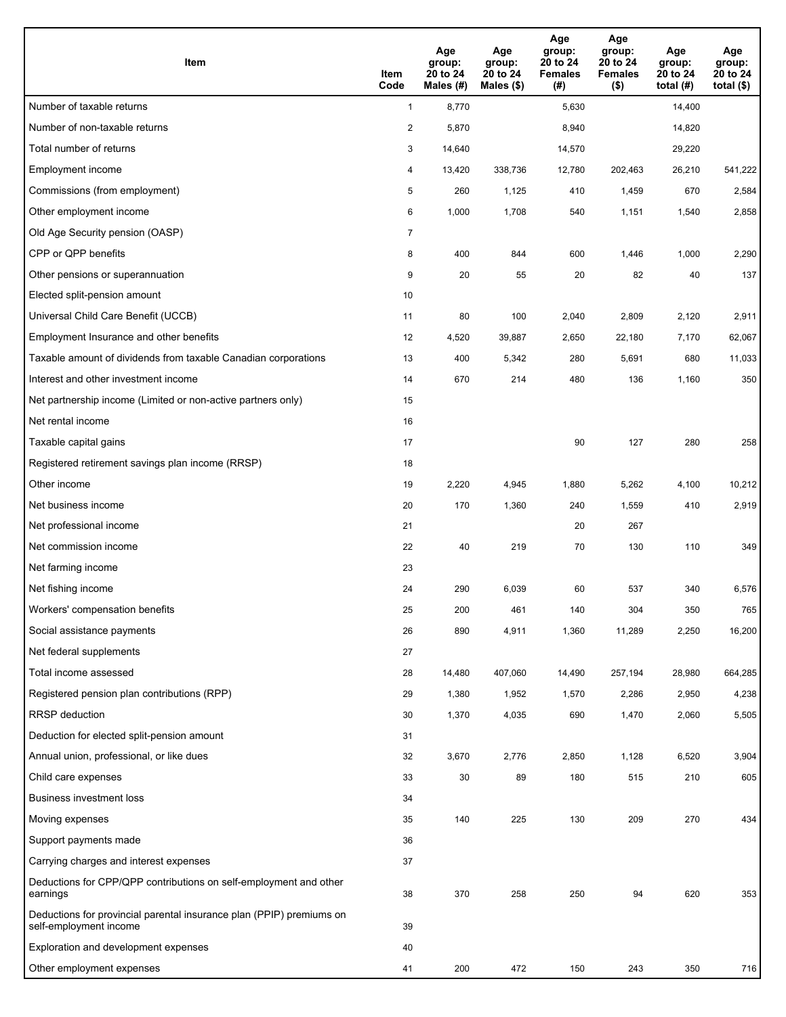| <b>Item</b>                                                                                    | Item<br>Code            | Age<br>group:<br>20 to 24<br>Males (#) | Age<br>group:<br>20 to 24<br>Males (\$) | Age<br>group:<br>20 to 24<br><b>Females</b><br>(#) | Age<br>group:<br>20 to 24<br><b>Females</b><br>$($ \$) | Age<br>group:<br>20 to 24<br>total $(H)$ | Age<br>group:<br>20 to 24<br>total $($)$ |
|------------------------------------------------------------------------------------------------|-------------------------|----------------------------------------|-----------------------------------------|----------------------------------------------------|--------------------------------------------------------|------------------------------------------|------------------------------------------|
| Number of taxable returns                                                                      | $\mathbf{1}$            | 8,770                                  |                                         | 5,630                                              |                                                        | 14,400                                   |                                          |
| Number of non-taxable returns                                                                  | $\overline{\mathbf{c}}$ | 5,870                                  |                                         | 8,940                                              |                                                        | 14,820                                   |                                          |
| Total number of returns                                                                        | 3                       | 14,640                                 |                                         | 14,570                                             |                                                        | 29,220                                   |                                          |
| Employment income                                                                              | 4                       | 13,420                                 | 338,736                                 | 12,780                                             | 202,463                                                | 26,210                                   | 541,222                                  |
| Commissions (from employment)                                                                  | 5                       | 260                                    | 1,125                                   | 410                                                | 1,459                                                  | 670                                      | 2,584                                    |
| Other employment income                                                                        | 6                       | 1,000                                  | 1,708                                   | 540                                                | 1,151                                                  | 1,540                                    | 2,858                                    |
| Old Age Security pension (OASP)                                                                | $\overline{7}$          |                                        |                                         |                                                    |                                                        |                                          |                                          |
| CPP or QPP benefits                                                                            | 8                       | 400                                    | 844                                     | 600                                                | 1,446                                                  | 1,000                                    | 2,290                                    |
| Other pensions or superannuation                                                               | 9                       | 20                                     | 55                                      | 20                                                 | 82                                                     | 40                                       | 137                                      |
| Elected split-pension amount                                                                   | 10                      |                                        |                                         |                                                    |                                                        |                                          |                                          |
| Universal Child Care Benefit (UCCB)                                                            | 11                      | 80                                     | 100                                     | 2,040                                              | 2,809                                                  | 2,120                                    | 2,911                                    |
| Employment Insurance and other benefits                                                        | 12                      | 4,520                                  | 39,887                                  | 2,650                                              | 22,180                                                 | 7,170                                    | 62,067                                   |
| Taxable amount of dividends from taxable Canadian corporations                                 | 13                      | 400                                    | 5,342                                   | 280                                                | 5,691                                                  | 680                                      | 11,033                                   |
| Interest and other investment income                                                           | 14                      | 670                                    | 214                                     | 480                                                | 136                                                    | 1,160                                    | 350                                      |
| Net partnership income (Limited or non-active partners only)                                   | 15                      |                                        |                                         |                                                    |                                                        |                                          |                                          |
| Net rental income                                                                              | 16                      |                                        |                                         |                                                    |                                                        |                                          |                                          |
| Taxable capital gains                                                                          | 17                      |                                        |                                         | 90                                                 | 127                                                    | 280                                      | 258                                      |
| Registered retirement savings plan income (RRSP)                                               | 18                      |                                        |                                         |                                                    |                                                        |                                          |                                          |
| Other income                                                                                   | 19                      | 2,220                                  | 4,945                                   | 1,880                                              | 5,262                                                  | 4,100                                    | 10,212                                   |
| Net business income                                                                            | 20                      | 170                                    | 1,360                                   | 240                                                | 1,559                                                  | 410                                      | 2,919                                    |
| Net professional income                                                                        | 21                      |                                        |                                         | 20                                                 | 267                                                    |                                          |                                          |
| Net commission income                                                                          | 22                      | 40                                     | 219                                     | 70                                                 | 130                                                    | 110                                      | 349                                      |
| Net farming income                                                                             | 23                      |                                        |                                         |                                                    |                                                        |                                          |                                          |
| Net fishing income                                                                             | 24                      | 290                                    | 6,039                                   | 60                                                 | 537                                                    | 340                                      | 6,576                                    |
| Workers' compensation benefits                                                                 | 25                      | 200                                    | 461                                     | 140                                                | 304                                                    | 350                                      | 765                                      |
| Social assistance payments                                                                     | 26                      | 890                                    | 4,911                                   | 1,360                                              | 11,289                                                 | 2,250                                    | 16,200                                   |
| Net federal supplements                                                                        | 27                      |                                        |                                         |                                                    |                                                        |                                          |                                          |
| Total income assessed                                                                          | 28                      | 14,480                                 | 407,060                                 | 14,490                                             | 257,194                                                | 28,980                                   | 664,285                                  |
| Registered pension plan contributions (RPP)                                                    | 29                      | 1,380                                  | 1,952                                   | 1,570                                              | 2,286                                                  | 2,950                                    | 4,238                                    |
| RRSP deduction                                                                                 | 30                      | 1,370                                  | 4,035                                   | 690                                                | 1,470                                                  | 2,060                                    | 5,505                                    |
| Deduction for elected split-pension amount                                                     | 31                      |                                        |                                         |                                                    |                                                        |                                          |                                          |
| Annual union, professional, or like dues                                                       | 32                      | 3,670                                  | 2,776                                   | 2,850                                              | 1,128                                                  | 6,520                                    | 3,904                                    |
| Child care expenses                                                                            | 33                      | 30                                     | 89                                      | 180                                                | 515                                                    | 210                                      | 605                                      |
| <b>Business investment loss</b>                                                                | 34                      |                                        |                                         |                                                    |                                                        |                                          |                                          |
| Moving expenses                                                                                | 35                      | 140                                    | 225                                     | 130                                                | 209                                                    | 270                                      | 434                                      |
| Support payments made                                                                          | 36                      |                                        |                                         |                                                    |                                                        |                                          |                                          |
| Carrying charges and interest expenses                                                         | 37                      |                                        |                                         |                                                    |                                                        |                                          |                                          |
| Deductions for CPP/QPP contributions on self-employment and other<br>earnings                  | 38                      | 370                                    | 258                                     | 250                                                | 94                                                     | 620                                      | 353                                      |
| Deductions for provincial parental insurance plan (PPIP) premiums on<br>self-employment income | 39                      |                                        |                                         |                                                    |                                                        |                                          |                                          |
| Exploration and development expenses                                                           | 40                      |                                        |                                         |                                                    |                                                        |                                          |                                          |
| Other employment expenses                                                                      | 41                      | 200                                    | 472                                     | 150                                                | 243                                                    | 350                                      | 716                                      |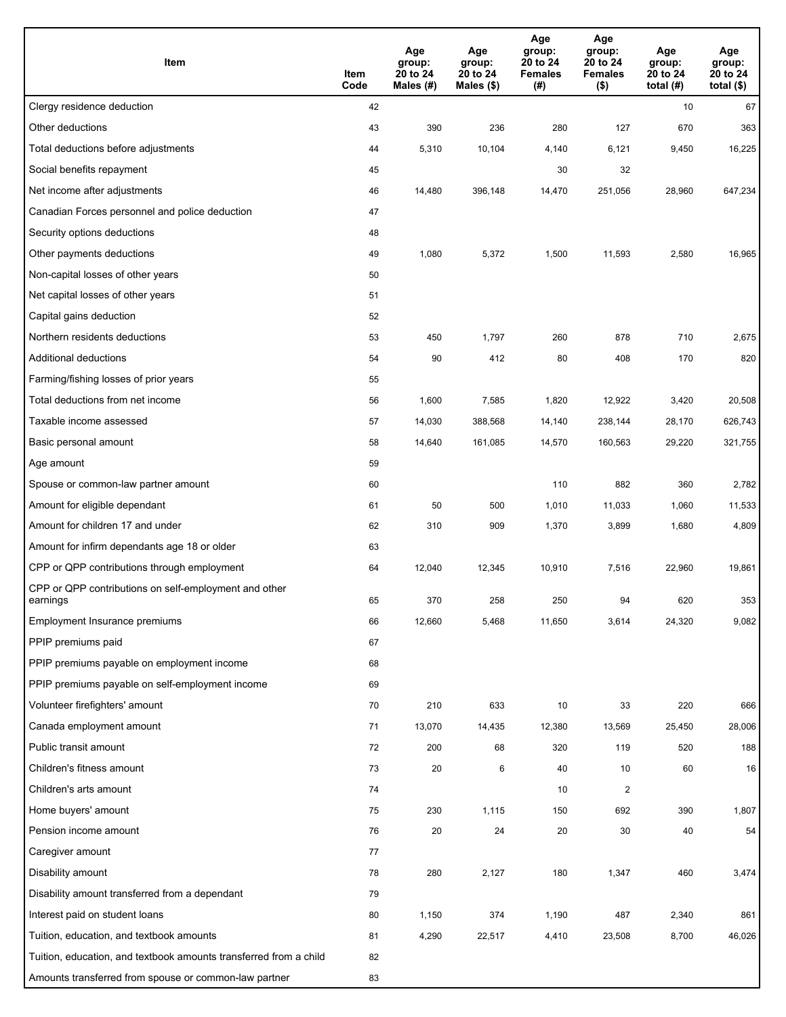| Item                                                              | Item<br>Code | Age<br>group:<br>20 to 24<br>Males (#) | Age<br>group:<br>20 to 24<br>Males (\$) | Age<br>group:<br>20 to 24<br><b>Females</b><br>(#) | Age<br>group:<br>20 to 24<br><b>Females</b><br>$($ \$) | Age<br>group:<br>20 to 24<br>total $(H)$ | Age<br>group:<br>20 to 24<br>total $($)$ |
|-------------------------------------------------------------------|--------------|----------------------------------------|-----------------------------------------|----------------------------------------------------|--------------------------------------------------------|------------------------------------------|------------------------------------------|
| Clergy residence deduction                                        | 42           |                                        |                                         |                                                    |                                                        | 10                                       | 67                                       |
| Other deductions                                                  | 43           | 390                                    | 236                                     | 280                                                | 127                                                    | 670                                      | 363                                      |
| Total deductions before adjustments                               | 44           | 5,310                                  | 10,104                                  | 4,140                                              | 6,121                                                  | 9,450                                    | 16,225                                   |
| Social benefits repayment                                         | 45           |                                        |                                         | 30                                                 | 32                                                     |                                          |                                          |
| Net income after adjustments                                      | 46           | 14,480                                 | 396,148                                 | 14,470                                             | 251,056                                                | 28,960                                   | 647,234                                  |
| Canadian Forces personnel and police deduction                    | 47           |                                        |                                         |                                                    |                                                        |                                          |                                          |
| Security options deductions                                       | 48           |                                        |                                         |                                                    |                                                        |                                          |                                          |
| Other payments deductions                                         | 49           | 1,080                                  | 5,372                                   | 1,500                                              | 11,593                                                 | 2,580                                    | 16,965                                   |
| Non-capital losses of other years                                 | 50           |                                        |                                         |                                                    |                                                        |                                          |                                          |
| Net capital losses of other years                                 | 51           |                                        |                                         |                                                    |                                                        |                                          |                                          |
| Capital gains deduction                                           | 52           |                                        |                                         |                                                    |                                                        |                                          |                                          |
| Northern residents deductions                                     | 53           | 450                                    | 1,797                                   | 260                                                | 878                                                    | 710                                      | 2,675                                    |
| Additional deductions                                             | 54           | 90                                     | 412                                     | 80                                                 | 408                                                    | 170                                      | 820                                      |
| Farming/fishing losses of prior years                             | 55           |                                        |                                         |                                                    |                                                        |                                          |                                          |
| Total deductions from net income                                  | 56           | 1,600                                  | 7,585                                   | 1,820                                              | 12,922                                                 | 3,420                                    | 20,508                                   |
| Taxable income assessed                                           | 57           | 14,030                                 | 388,568                                 | 14,140                                             | 238,144                                                | 28,170                                   | 626,743                                  |
| Basic personal amount                                             | 58           | 14,640                                 | 161,085                                 | 14,570                                             | 160,563                                                | 29,220                                   | 321,755                                  |
| Age amount                                                        | 59           |                                        |                                         |                                                    |                                                        |                                          |                                          |
| Spouse or common-law partner amount                               | 60           |                                        |                                         | 110                                                | 882                                                    | 360                                      | 2,782                                    |
| Amount for eligible dependant                                     | 61           | 50                                     | 500                                     | 1,010                                              | 11,033                                                 | 1,060                                    | 11,533                                   |
| Amount for children 17 and under                                  | 62           | 310                                    | 909                                     | 1,370                                              | 3,899                                                  | 1,680                                    | 4,809                                    |
| Amount for infirm dependants age 18 or older                      | 63           |                                        |                                         |                                                    |                                                        |                                          |                                          |
| CPP or QPP contributions through employment                       | 64           | 12,040                                 | 12,345                                  | 10,910                                             | 7,516                                                  | 22,960                                   | 19,861                                   |
| CPP or QPP contributions on self-employment and other<br>earnings | 65           | 370                                    | 258                                     | 250                                                | 94                                                     | 620                                      | 353                                      |
| Employment Insurance premiums                                     | 66           | 12,660                                 | 5,468                                   | 11,650                                             | 3,614                                                  | 24,320                                   | 9,082                                    |
| PPIP premiums paid                                                | 67           |                                        |                                         |                                                    |                                                        |                                          |                                          |
| PPIP premiums payable on employment income                        | 68           |                                        |                                         |                                                    |                                                        |                                          |                                          |
| PPIP premiums payable on self-employment income                   | 69           |                                        |                                         |                                                    |                                                        |                                          |                                          |
| Volunteer firefighters' amount                                    | 70           | 210                                    | 633                                     | 10                                                 | 33                                                     | 220                                      | 666                                      |
| Canada employment amount                                          | 71           | 13,070                                 | 14,435                                  | 12,380                                             | 13,569                                                 | 25,450                                   | 28,006                                   |
| Public transit amount                                             | 72           | 200                                    | 68                                      | 320                                                | 119                                                    | 520                                      | 188                                      |
| Children's fitness amount                                         | 73           | 20                                     | 6                                       | 40                                                 | 10                                                     | 60                                       | 16                                       |
| Children's arts amount                                            | 74           |                                        |                                         | 10                                                 | $\overline{2}$                                         |                                          |                                          |
| Home buyers' amount                                               | 75           | 230                                    | 1,115                                   | 150                                                | 692                                                    | 390                                      | 1,807                                    |
| Pension income amount                                             | 76           | 20                                     | 24                                      | 20                                                 | 30                                                     | 40                                       | 54                                       |
| Caregiver amount                                                  | 77           |                                        |                                         |                                                    |                                                        |                                          |                                          |
| Disability amount                                                 | 78           | 280                                    | 2,127                                   | 180                                                | 1,347                                                  | 460                                      | 3,474                                    |
| Disability amount transferred from a dependant                    | 79           |                                        |                                         |                                                    |                                                        |                                          |                                          |
| Interest paid on student loans                                    | 80           | 1,150                                  | 374                                     | 1,190                                              | 487                                                    | 2,340                                    | 861                                      |
| Tuition, education, and textbook amounts                          | 81           | 4,290                                  | 22,517                                  | 4,410                                              | 23,508                                                 | 8,700                                    | 46,026                                   |
| Tuition, education, and textbook amounts transferred from a child | 82           |                                        |                                         |                                                    |                                                        |                                          |                                          |
| Amounts transferred from spouse or common-law partner             | 83           |                                        |                                         |                                                    |                                                        |                                          |                                          |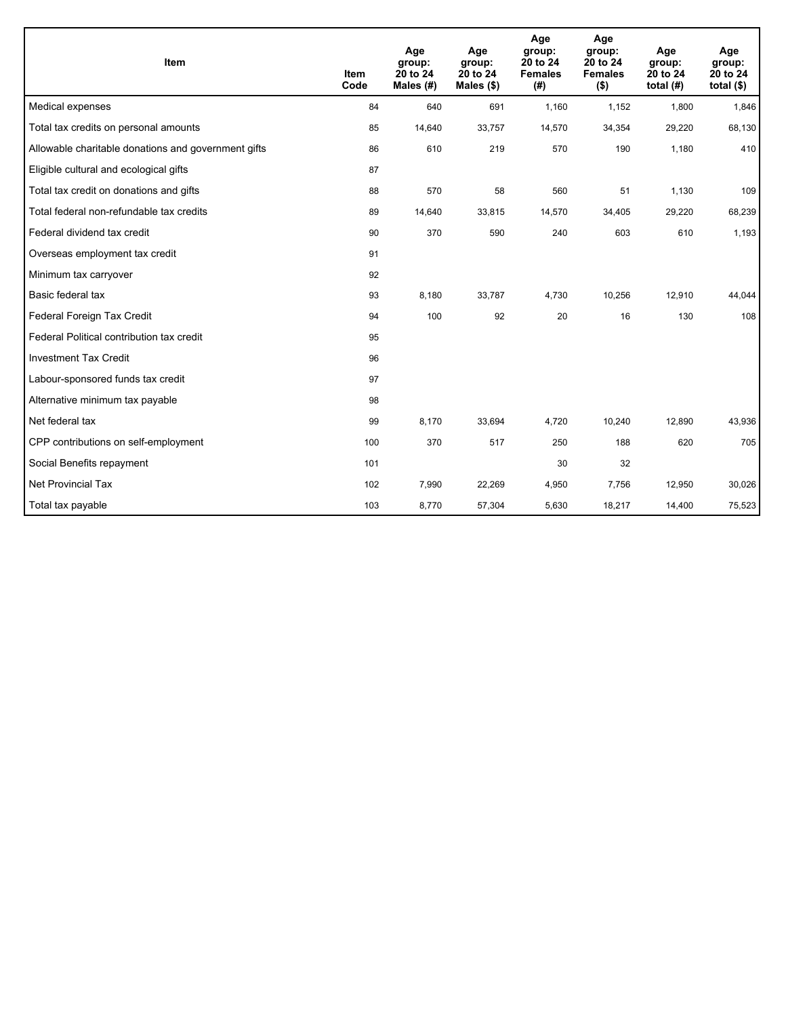| Item                                                | <b>Item</b><br>Code | Age<br>group:<br>20 to 24<br>Males (#) | Age<br>group:<br>20 to 24<br>Males $(\$)$ | Age<br>group:<br>20 to 24<br><b>Females</b><br>(# ) | Age<br>group:<br>20 to 24<br><b>Females</b><br>$($ \$) | Age<br>group:<br>20 to 24<br>total $(H)$ | Age<br>group:<br>20 to 24<br>total $($)$ |
|-----------------------------------------------------|---------------------|----------------------------------------|-------------------------------------------|-----------------------------------------------------|--------------------------------------------------------|------------------------------------------|------------------------------------------|
| Medical expenses                                    | 84                  | 640                                    | 691                                       | 1,160                                               | 1,152                                                  | 1,800                                    | 1,846                                    |
| Total tax credits on personal amounts               | 85                  | 14,640                                 | 33,757                                    | 14,570                                              | 34,354                                                 | 29,220                                   | 68,130                                   |
| Allowable charitable donations and government gifts | 86                  | 610                                    | 219                                       | 570                                                 | 190                                                    | 1,180                                    | 410                                      |
| Eligible cultural and ecological gifts              | 87                  |                                        |                                           |                                                     |                                                        |                                          |                                          |
| Total tax credit on donations and gifts             | 88                  | 570                                    | 58                                        | 560                                                 | 51                                                     | 1,130                                    | 109                                      |
| Total federal non-refundable tax credits            | 89                  | 14,640                                 | 33,815                                    | 14,570                                              | 34,405                                                 | 29,220                                   | 68,239                                   |
| Federal dividend tax credit                         | 90                  | 370                                    | 590                                       | 240                                                 | 603                                                    | 610                                      | 1,193                                    |
| Overseas employment tax credit                      | 91                  |                                        |                                           |                                                     |                                                        |                                          |                                          |
| Minimum tax carryover                               | 92                  |                                        |                                           |                                                     |                                                        |                                          |                                          |
| Basic federal tax                                   | 93                  | 8,180                                  | 33,787                                    | 4,730                                               | 10,256                                                 | 12,910                                   | 44,044                                   |
| Federal Foreign Tax Credit                          | 94                  | 100                                    | 92                                        | 20                                                  | 16                                                     | 130                                      | 108                                      |
| Federal Political contribution tax credit           | 95                  |                                        |                                           |                                                     |                                                        |                                          |                                          |
| <b>Investment Tax Credit</b>                        | 96                  |                                        |                                           |                                                     |                                                        |                                          |                                          |
| Labour-sponsored funds tax credit                   | 97                  |                                        |                                           |                                                     |                                                        |                                          |                                          |
| Alternative minimum tax payable                     | 98                  |                                        |                                           |                                                     |                                                        |                                          |                                          |
| Net federal tax                                     | 99                  | 8,170                                  | 33,694                                    | 4,720                                               | 10,240                                                 | 12,890                                   | 43,936                                   |
| CPP contributions on self-employment                | 100                 | 370                                    | 517                                       | 250                                                 | 188                                                    | 620                                      | 705                                      |
| Social Benefits repayment                           | 101                 |                                        |                                           | 30                                                  | 32                                                     |                                          |                                          |
| Net Provincial Tax                                  | 102                 | 7,990                                  | 22,269                                    | 4,950                                               | 7,756                                                  | 12,950                                   | 30,026                                   |
| Total tax payable                                   | 103                 | 8,770                                  | 57,304                                    | 5,630                                               | 18,217                                                 | 14,400                                   | 75,523                                   |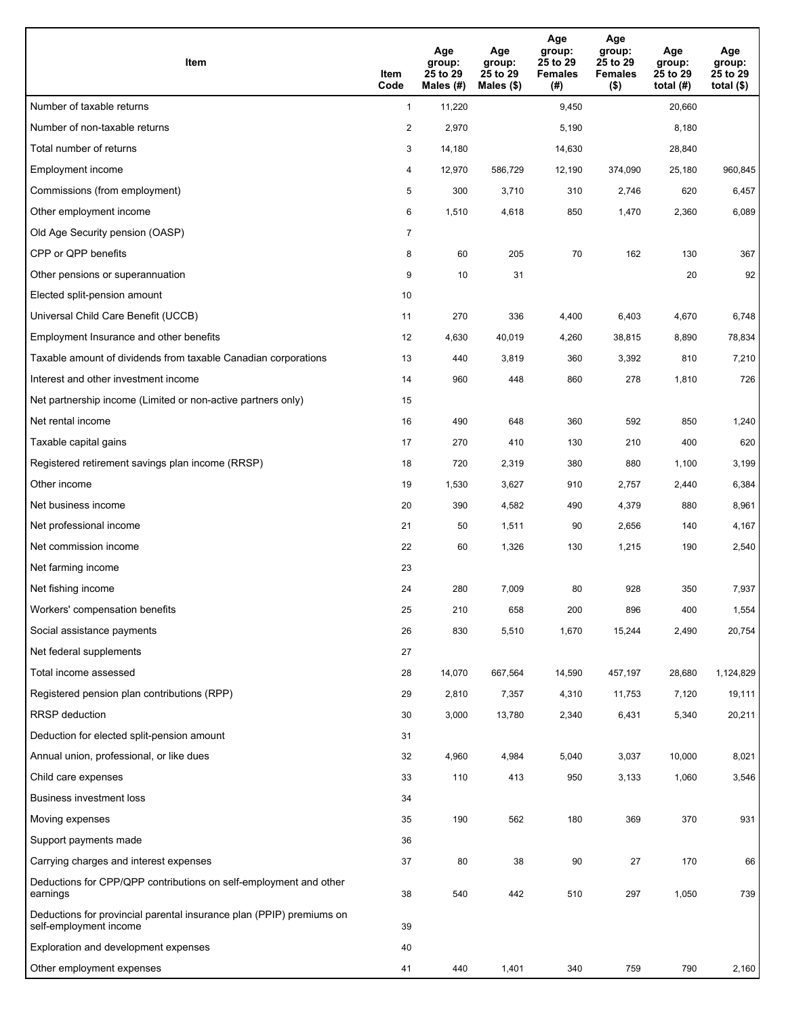| Item                                                                                           | Item<br>Code   | Age<br>group:<br>25 to 29<br>Males (#) | Age<br>group:<br>25 to 29<br>Males (\$) | Age<br>group:<br>25 to 29<br><b>Females</b><br>(#) | Age<br>group:<br>25 to 29<br><b>Females</b><br>$($ \$) | Age<br>group:<br>25 to 29<br>total $(#)$ | Age<br>group:<br>25 to 29<br>total $($ |
|------------------------------------------------------------------------------------------------|----------------|----------------------------------------|-----------------------------------------|----------------------------------------------------|--------------------------------------------------------|------------------------------------------|----------------------------------------|
| Number of taxable returns                                                                      | $\mathbf{1}$   | 11,220                                 |                                         | 9,450                                              |                                                        | 20,660                                   |                                        |
| Number of non-taxable returns                                                                  | $\overline{2}$ | 2,970                                  |                                         | 5,190                                              |                                                        | 8,180                                    |                                        |
| Total number of returns                                                                        | 3              | 14,180                                 |                                         | 14,630                                             |                                                        | 28,840                                   |                                        |
| Employment income                                                                              | 4              | 12,970                                 | 586,729                                 | 12,190                                             | 374,090                                                | 25,180                                   | 960,845                                |
| Commissions (from employment)                                                                  | 5              | 300                                    | 3,710                                   | 310                                                | 2,746                                                  | 620                                      | 6,457                                  |
| Other employment income                                                                        | 6              | 1,510                                  | 4,618                                   | 850                                                | 1,470                                                  | 2,360                                    | 6,089                                  |
| Old Age Security pension (OASP)                                                                | $\overline{7}$ |                                        |                                         |                                                    |                                                        |                                          |                                        |
| CPP or QPP benefits                                                                            | 8              | 60                                     | 205                                     | 70                                                 | 162                                                    | 130                                      | 367                                    |
| Other pensions or superannuation                                                               | 9              | 10                                     | 31                                      |                                                    |                                                        | 20                                       | 92                                     |
| Elected split-pension amount                                                                   | 10             |                                        |                                         |                                                    |                                                        |                                          |                                        |
| Universal Child Care Benefit (UCCB)                                                            | 11             | 270                                    | 336                                     | 4,400                                              | 6,403                                                  | 4,670                                    | 6,748                                  |
| Employment Insurance and other benefits                                                        | 12             | 4,630                                  | 40,019                                  | 4,260                                              | 38,815                                                 | 8,890                                    | 78,834                                 |
| Taxable amount of dividends from taxable Canadian corporations                                 | 13             | 440                                    | 3,819                                   | 360                                                | 3,392                                                  | 810                                      | 7,210                                  |
| Interest and other investment income                                                           | 14             | 960                                    | 448                                     | 860                                                | 278                                                    | 1,810                                    | 726                                    |
| Net partnership income (Limited or non-active partners only)                                   | 15             |                                        |                                         |                                                    |                                                        |                                          |                                        |
| Net rental income                                                                              | 16             | 490                                    | 648                                     | 360                                                | 592                                                    | 850                                      | 1,240                                  |
| Taxable capital gains                                                                          | 17             | 270                                    | 410                                     | 130                                                | 210                                                    | 400                                      | 620                                    |
| Registered retirement savings plan income (RRSP)                                               | 18             | 720                                    | 2,319                                   | 380                                                | 880                                                    | 1,100                                    | 3,199                                  |
| Other income                                                                                   | 19             | 1,530                                  | 3,627                                   | 910                                                | 2,757                                                  | 2,440                                    | 6,384                                  |
| Net business income                                                                            | 20             | 390                                    | 4,582                                   | 490                                                | 4,379                                                  | 880                                      | 8,961                                  |
| Net professional income                                                                        | 21             | 50                                     | 1,511                                   | 90                                                 | 2,656                                                  | 140                                      | 4,167                                  |
| Net commission income                                                                          | 22             | 60                                     | 1,326                                   | 130                                                | 1,215                                                  | 190                                      | 2,540                                  |
| Net farming income                                                                             | 23             |                                        |                                         |                                                    |                                                        |                                          |                                        |
| Net fishing income                                                                             | 24             | 280                                    | 7,009                                   | 80                                                 | 928                                                    | 350                                      | 7,937                                  |
| Workers' compensation benefits                                                                 | 25             | 210                                    | 658                                     | 200                                                | 896                                                    | 400                                      | 1,554                                  |
| Social assistance payments                                                                     | 26             | 830                                    | 5,510                                   | 1,670                                              | 15,244                                                 | 2,490                                    | 20,754                                 |
| Net federal supplements                                                                        | 27             |                                        |                                         |                                                    |                                                        |                                          |                                        |
| Total income assessed                                                                          | 28             | 14,070                                 | 667,564                                 | 14,590                                             | 457,197                                                | 28,680                                   | 1,124,829                              |
| Registered pension plan contributions (RPP)                                                    | 29             | 2,810                                  | 7,357                                   | 4,310                                              | 11,753                                                 | 7,120                                    | 19,111                                 |
| <b>RRSP</b> deduction                                                                          | 30             | 3,000                                  | 13,780                                  | 2,340                                              | 6,431                                                  | 5,340                                    | 20,211                                 |
| Deduction for elected split-pension amount                                                     | 31             |                                        |                                         |                                                    |                                                        |                                          |                                        |
| Annual union, professional, or like dues                                                       | 32             | 4,960                                  | 4,984                                   | 5,040                                              | 3,037                                                  | 10,000                                   | 8,021                                  |
| Child care expenses                                                                            | 33             | 110                                    | 413                                     | 950                                                | 3,133                                                  | 1,060                                    | 3,546                                  |
| Business investment loss                                                                       | 34             |                                        |                                         |                                                    |                                                        |                                          |                                        |
| Moving expenses                                                                                | 35             | 190                                    | 562                                     | 180                                                | 369                                                    | 370                                      | 931                                    |
| Support payments made                                                                          | 36             |                                        |                                         |                                                    |                                                        |                                          |                                        |
| Carrying charges and interest expenses                                                         | 37             | 80                                     | 38                                      | 90                                                 | 27                                                     | 170                                      | 66                                     |
| Deductions for CPP/QPP contributions on self-employment and other<br>earnings                  | 38             | 540                                    | 442                                     | 510                                                | 297                                                    | 1,050                                    | 739                                    |
| Deductions for provincial parental insurance plan (PPIP) premiums on<br>self-employment income | 39             |                                        |                                         |                                                    |                                                        |                                          |                                        |
| Exploration and development expenses                                                           | 40             |                                        |                                         |                                                    |                                                        |                                          |                                        |
| Other employment expenses                                                                      | 41             | 440                                    | 1,401                                   | 340                                                | 759                                                    | 790                                      | 2,160                                  |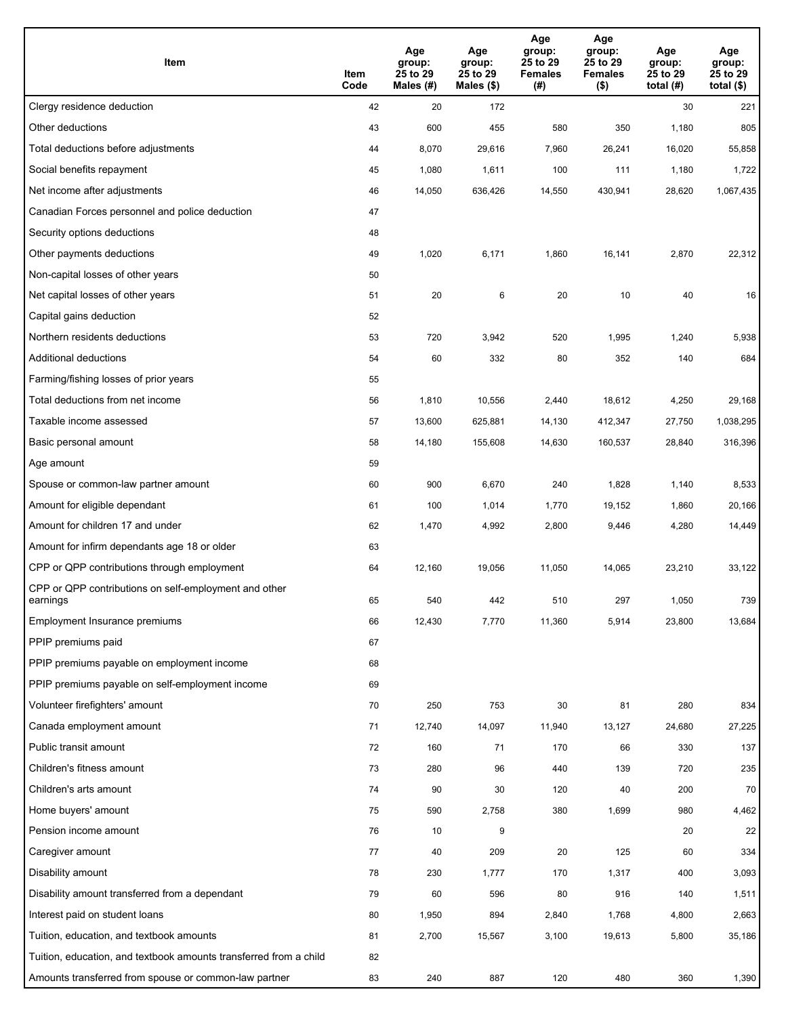| Item                                                              | Item<br>Code | Age<br>group:<br>25 to 29<br>Males (#) | Age<br>group:<br>25 to 29<br>Males $(\$)$ | Age<br>group:<br>25 to 29<br><b>Females</b><br>(# ) | Age<br>group:<br>25 to 29<br>Females<br>$($ \$) | Age<br>group:<br>25 to 29<br>total $(H)$ | Age<br>group:<br>25 to 29<br>total $($)$ |
|-------------------------------------------------------------------|--------------|----------------------------------------|-------------------------------------------|-----------------------------------------------------|-------------------------------------------------|------------------------------------------|------------------------------------------|
| Clergy residence deduction                                        | 42           | 20                                     | 172                                       |                                                     |                                                 | 30                                       | 221                                      |
| Other deductions                                                  | 43           | 600                                    | 455                                       | 580                                                 | 350                                             | 1,180                                    | 805                                      |
| Total deductions before adjustments                               | 44           | 8,070                                  | 29,616                                    | 7,960                                               | 26,241                                          | 16,020                                   | 55,858                                   |
| Social benefits repayment                                         | 45           | 1,080                                  | 1,611                                     | 100                                                 | 111                                             | 1,180                                    | 1,722                                    |
| Net income after adjustments                                      | 46           | 14,050                                 | 636,426                                   | 14,550                                              | 430,941                                         | 28,620                                   | 1,067,435                                |
| Canadian Forces personnel and police deduction                    | 47           |                                        |                                           |                                                     |                                                 |                                          |                                          |
| Security options deductions                                       | 48           |                                        |                                           |                                                     |                                                 |                                          |                                          |
| Other payments deductions                                         | 49           | 1,020                                  | 6,171                                     | 1,860                                               | 16,141                                          | 2,870                                    | 22,312                                   |
| Non-capital losses of other years                                 | 50           |                                        |                                           |                                                     |                                                 |                                          |                                          |
| Net capital losses of other years                                 | 51           | 20                                     | $\,6\,$                                   | 20                                                  | 10                                              | 40                                       | 16                                       |
| Capital gains deduction                                           | 52           |                                        |                                           |                                                     |                                                 |                                          |                                          |
| Northern residents deductions                                     | 53           | 720                                    | 3,942                                     | 520                                                 | 1,995                                           | 1,240                                    | 5,938                                    |
| Additional deductions                                             | 54           | 60                                     | 332                                       | 80                                                  | 352                                             | 140                                      | 684                                      |
| Farming/fishing losses of prior years                             | 55           |                                        |                                           |                                                     |                                                 |                                          |                                          |
| Total deductions from net income                                  | 56           | 1,810                                  | 10,556                                    | 2,440                                               | 18,612                                          | 4,250                                    | 29,168                                   |
| Taxable income assessed                                           | 57           | 13,600                                 | 625,881                                   | 14,130                                              | 412,347                                         | 27,750                                   | 1,038,295                                |
| Basic personal amount                                             | 58           | 14,180                                 | 155,608                                   | 14,630                                              | 160,537                                         | 28,840                                   | 316,396                                  |
| Age amount                                                        | 59           |                                        |                                           |                                                     |                                                 |                                          |                                          |
| Spouse or common-law partner amount                               | 60           | 900                                    | 6,670                                     | 240                                                 | 1,828                                           | 1,140                                    | 8,533                                    |
| Amount for eligible dependant                                     | 61           | 100                                    | 1,014                                     | 1,770                                               | 19,152                                          | 1,860                                    | 20,166                                   |
| Amount for children 17 and under                                  | 62           | 1,470                                  | 4,992                                     | 2,800                                               | 9,446                                           | 4,280                                    | 14,449                                   |
| Amount for infirm dependants age 18 or older                      | 63           |                                        |                                           |                                                     |                                                 |                                          |                                          |
| CPP or QPP contributions through employment                       | 64           | 12,160                                 | 19,056                                    | 11,050                                              | 14,065                                          | 23,210                                   | 33,122                                   |
| CPP or QPP contributions on self-employment and other<br>earnings | 65           | 540                                    | 442                                       | 510                                                 | 297                                             | 1,050                                    | 739                                      |
| Employment Insurance premiums                                     | 66           | 12,430                                 | 7,770                                     | 11,360                                              | 5,914                                           | 23,800                                   | 13,684                                   |
| PPIP premiums paid                                                | 67           |                                        |                                           |                                                     |                                                 |                                          |                                          |
| PPIP premiums payable on employment income                        | 68           |                                        |                                           |                                                     |                                                 |                                          |                                          |
| PPIP premiums payable on self-employment income                   | 69           |                                        |                                           |                                                     |                                                 |                                          |                                          |
| Volunteer firefighters' amount                                    | 70           | 250                                    | 753                                       | 30                                                  | 81                                              | 280                                      | 834                                      |
| Canada employment amount                                          | 71           | 12,740                                 | 14,097                                    | 11,940                                              | 13,127                                          | 24,680                                   | 27,225                                   |
| Public transit amount                                             | 72           | 160                                    | 71                                        | 170                                                 | 66                                              | 330                                      | 137                                      |
| Children's fitness amount                                         | 73           | 280                                    | 96                                        | 440                                                 | 139                                             | 720                                      | 235                                      |
| Children's arts amount                                            | 74           | 90                                     | 30                                        | 120                                                 | 40                                              | 200                                      | 70                                       |
| Home buyers' amount                                               | 75           | 590                                    | 2,758                                     | 380                                                 | 1,699                                           | 980                                      | 4,462                                    |
| Pension income amount                                             | 76           | 10                                     | 9                                         |                                                     |                                                 | 20                                       | 22                                       |
| Caregiver amount                                                  | 77           | 40                                     | 209                                       | 20                                                  | 125                                             | 60                                       | 334                                      |
| Disability amount                                                 | 78           | 230                                    | 1,777                                     | 170                                                 | 1,317                                           | 400                                      | 3,093                                    |
| Disability amount transferred from a dependant                    | 79           | 60                                     | 596                                       | 80                                                  | 916                                             | 140                                      | 1,511                                    |
| Interest paid on student loans                                    | 80           | 1,950                                  | 894                                       | 2,840                                               | 1,768                                           | 4,800                                    | 2,663                                    |
| Tuition, education, and textbook amounts                          | 81           | 2,700                                  | 15,567                                    | 3,100                                               | 19,613                                          | 5,800                                    | 35,186                                   |
| Tuition, education, and textbook amounts transferred from a child | 82           |                                        |                                           |                                                     |                                                 |                                          |                                          |
| Amounts transferred from spouse or common-law partner             | 83           | 240                                    | 887                                       | 120                                                 | 480                                             | 360                                      | 1,390                                    |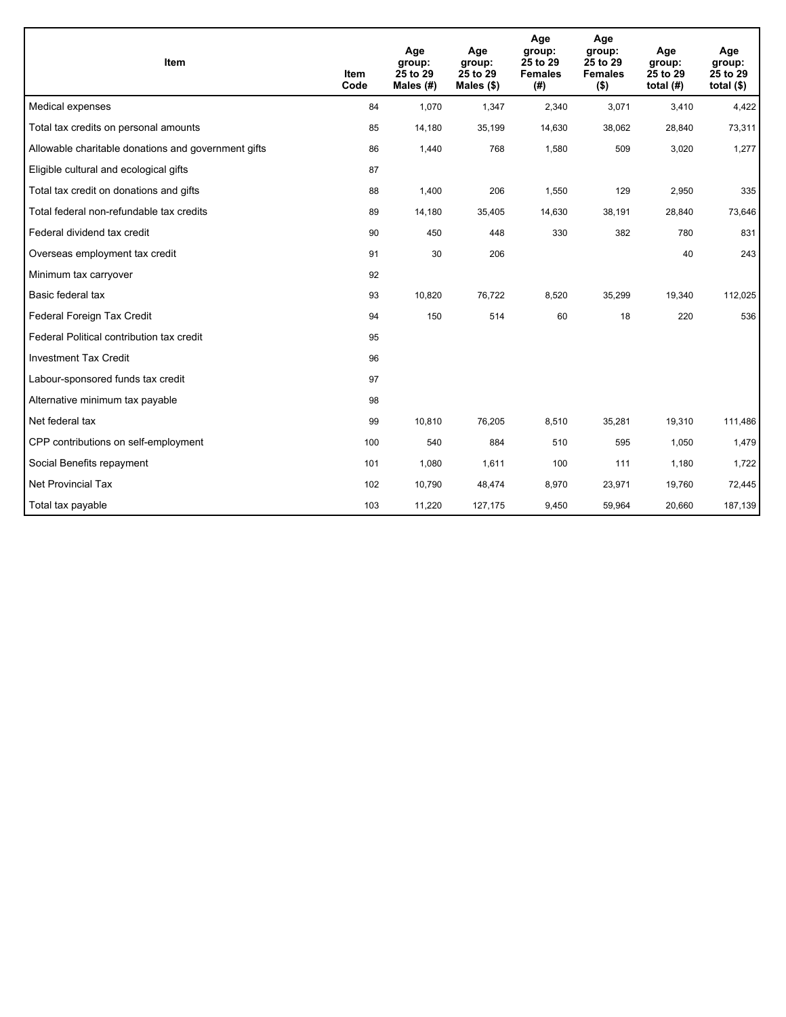| <b>Item</b>                                         | <b>Item</b><br>Code | Age<br>group:<br>25 to 29<br>Males (#) | Age<br>group:<br>25 to 29<br>Males (\$) | Age<br>group:<br>25 to 29<br><b>Females</b><br>(# ) | Age<br>group:<br>25 to 29<br><b>Females</b><br>$($ \$) | Age<br>group:<br>25 to 29<br>total $(H)$ | Age<br>group:<br>25 to 29<br>total $($ |
|-----------------------------------------------------|---------------------|----------------------------------------|-----------------------------------------|-----------------------------------------------------|--------------------------------------------------------|------------------------------------------|----------------------------------------|
| Medical expenses                                    | 84                  | 1,070                                  | 1,347                                   | 2,340                                               | 3,071                                                  | 3,410                                    | 4,422                                  |
| Total tax credits on personal amounts               | 85                  | 14,180                                 | 35,199                                  | 14,630                                              | 38,062                                                 | 28,840                                   | 73,311                                 |
| Allowable charitable donations and government gifts | 86                  | 1,440                                  | 768                                     | 1,580                                               | 509                                                    | 3,020                                    | 1,277                                  |
| Eligible cultural and ecological gifts              | 87                  |                                        |                                         |                                                     |                                                        |                                          |                                        |
| Total tax credit on donations and gifts             | 88                  | 1,400                                  | 206                                     | 1,550                                               | 129                                                    | 2,950                                    | 335                                    |
| Total federal non-refundable tax credits            | 89                  | 14,180                                 | 35,405                                  | 14,630                                              | 38,191                                                 | 28,840                                   | 73,646                                 |
| Federal dividend tax credit                         | 90                  | 450                                    | 448                                     | 330                                                 | 382                                                    | 780                                      | 831                                    |
| Overseas employment tax credit                      | 91                  | 30                                     | 206                                     |                                                     |                                                        | 40                                       | 243                                    |
| Minimum tax carryover                               | 92                  |                                        |                                         |                                                     |                                                        |                                          |                                        |
| Basic federal tax                                   | 93                  | 10,820                                 | 76,722                                  | 8,520                                               | 35,299                                                 | 19,340                                   | 112,025                                |
| Federal Foreign Tax Credit                          | 94                  | 150                                    | 514                                     | 60                                                  | 18                                                     | 220                                      | 536                                    |
| Federal Political contribution tax credit           | 95                  |                                        |                                         |                                                     |                                                        |                                          |                                        |
| <b>Investment Tax Credit</b>                        | 96                  |                                        |                                         |                                                     |                                                        |                                          |                                        |
| Labour-sponsored funds tax credit                   | 97                  |                                        |                                         |                                                     |                                                        |                                          |                                        |
| Alternative minimum tax payable                     | 98                  |                                        |                                         |                                                     |                                                        |                                          |                                        |
| Net federal tax                                     | 99                  | 10,810                                 | 76,205                                  | 8,510                                               | 35,281                                                 | 19,310                                   | 111,486                                |
| CPP contributions on self-employment                | 100                 | 540                                    | 884                                     | 510                                                 | 595                                                    | 1,050                                    | 1,479                                  |
| Social Benefits repayment                           | 101                 | 1,080                                  | 1,611                                   | 100                                                 | 111                                                    | 1,180                                    | 1,722                                  |
| Net Provincial Tax                                  | 102                 | 10,790                                 | 48,474                                  | 8,970                                               | 23,971                                                 | 19,760                                   | 72,445                                 |
| Total tax payable                                   | 103                 | 11,220                                 | 127,175                                 | 9,450                                               | 59,964                                                 | 20,660                                   | 187,139                                |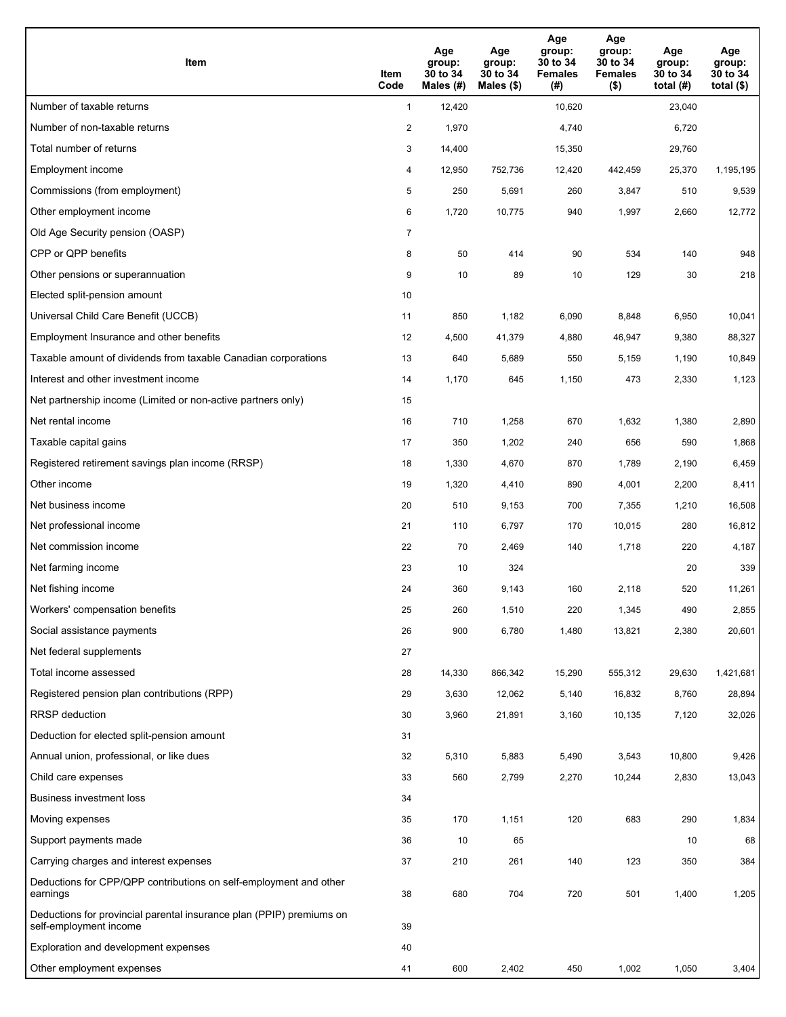| Item                                                                                           | Item<br>Code   | Age<br>group:<br>30 to 34<br>Males (#) | Age<br>group:<br>30 to 34<br>Males $(\$)$ | Age<br>group:<br>30 to 34<br><b>Females</b><br>(#) | Age<br>group:<br>30 to 34<br><b>Females</b><br>$($ \$) | Age<br>group:<br>30 to 34<br>total $(H)$ | Age<br>group:<br>30 to 34<br>total $($)$ |
|------------------------------------------------------------------------------------------------|----------------|----------------------------------------|-------------------------------------------|----------------------------------------------------|--------------------------------------------------------|------------------------------------------|------------------------------------------|
| Number of taxable returns                                                                      | $\mathbf{1}$   | 12,420                                 |                                           | 10,620                                             |                                                        | 23,040                                   |                                          |
| Number of non-taxable returns                                                                  | $\overline{a}$ | 1,970                                  |                                           | 4,740                                              |                                                        | 6,720                                    |                                          |
| Total number of returns                                                                        | 3              | 14,400                                 |                                           | 15,350                                             |                                                        | 29,760                                   |                                          |
| Employment income                                                                              | 4              | 12,950                                 | 752,736                                   | 12,420                                             | 442,459                                                | 25,370                                   | 1,195,195                                |
| Commissions (from employment)                                                                  | 5              | 250                                    | 5,691                                     | 260                                                | 3,847                                                  | 510                                      | 9,539                                    |
| Other employment income                                                                        | 6              | 1,720                                  | 10,775                                    | 940                                                | 1,997                                                  | 2,660                                    | 12,772                                   |
| Old Age Security pension (OASP)                                                                | $\overline{7}$ |                                        |                                           |                                                    |                                                        |                                          |                                          |
| CPP or QPP benefits                                                                            | 8              | 50                                     | 414                                       | 90                                                 | 534                                                    | 140                                      | 948                                      |
| Other pensions or superannuation                                                               | 9              | 10                                     | 89                                        | 10                                                 | 129                                                    | 30                                       | 218                                      |
| Elected split-pension amount                                                                   | 10             |                                        |                                           |                                                    |                                                        |                                          |                                          |
| Universal Child Care Benefit (UCCB)                                                            | 11             | 850                                    | 1,182                                     | 6,090                                              | 8,848                                                  | 6,950                                    | 10,041                                   |
| Employment Insurance and other benefits                                                        | 12             | 4,500                                  | 41,379                                    | 4,880                                              | 46,947                                                 | 9,380                                    | 88,327                                   |
| Taxable amount of dividends from taxable Canadian corporations                                 | 13             | 640                                    | 5,689                                     | 550                                                | 5,159                                                  | 1,190                                    | 10,849                                   |
| Interest and other investment income                                                           | 14             | 1,170                                  | 645                                       | 1,150                                              | 473                                                    | 2,330                                    | 1,123                                    |
| Net partnership income (Limited or non-active partners only)                                   | 15             |                                        |                                           |                                                    |                                                        |                                          |                                          |
| Net rental income                                                                              | 16             | 710                                    | 1,258                                     | 670                                                | 1,632                                                  | 1,380                                    | 2,890                                    |
| Taxable capital gains                                                                          | 17             | 350                                    | 1,202                                     | 240                                                | 656                                                    | 590                                      | 1,868                                    |
| Registered retirement savings plan income (RRSP)                                               | 18             | 1,330                                  | 4,670                                     | 870                                                | 1,789                                                  | 2,190                                    | 6,459                                    |
| Other income                                                                                   | 19             | 1,320                                  | 4,410                                     | 890                                                | 4,001                                                  | 2,200                                    | 8,411                                    |
| Net business income                                                                            | 20             | 510                                    | 9,153                                     | 700                                                | 7,355                                                  | 1,210                                    | 16,508                                   |
| Net professional income                                                                        | 21             | 110                                    | 6,797                                     | 170                                                | 10,015                                                 | 280                                      | 16,812                                   |
| Net commission income                                                                          | 22             | 70                                     | 2,469                                     | 140                                                | 1,718                                                  | 220                                      | 4,187                                    |
| Net farming income                                                                             | 23             | 10                                     | 324                                       |                                                    |                                                        | 20                                       | 339                                      |
| Net fishing income                                                                             | 24             | 360                                    | 9,143                                     | 160                                                | 2,118                                                  | 520                                      | 11,261                                   |
| Workers' compensation benefits                                                                 | 25             | 260                                    | 1,510                                     | 220                                                | 1,345                                                  | 490                                      | 2,855                                    |
| Social assistance payments                                                                     | 26             | 900                                    | 6,780                                     | 1,480                                              | 13,821                                                 | 2,380                                    | 20,601                                   |
| Net federal supplements                                                                        | 27             |                                        |                                           |                                                    |                                                        |                                          |                                          |
| Total income assessed                                                                          | 28             | 14,330                                 | 866,342                                   | 15,290                                             | 555,312                                                | 29,630                                   | 1,421,681                                |
| Registered pension plan contributions (RPP)                                                    | 29             | 3,630                                  | 12,062                                    | 5,140                                              | 16,832                                                 | 8,760                                    | 28,894                                   |
| RRSP deduction                                                                                 | 30             | 3,960                                  | 21,891                                    | 3,160                                              | 10,135                                                 | 7,120                                    | 32,026                                   |
| Deduction for elected split-pension amount                                                     | 31             |                                        |                                           |                                                    |                                                        |                                          |                                          |
| Annual union, professional, or like dues                                                       | 32             | 5,310                                  | 5,883                                     | 5,490                                              | 3,543                                                  | 10,800                                   | 9,426                                    |
| Child care expenses                                                                            | 33             | 560                                    | 2,799                                     | 2,270                                              | 10,244                                                 | 2,830                                    | 13,043                                   |
| Business investment loss                                                                       | 34             |                                        |                                           |                                                    |                                                        |                                          |                                          |
| Moving expenses                                                                                | 35             | 170                                    | 1,151                                     | 120                                                | 683                                                    | 290                                      | 1,834                                    |
| Support payments made                                                                          | 36             | 10                                     | 65                                        |                                                    |                                                        | 10                                       | 68                                       |
| Carrying charges and interest expenses                                                         | 37             | 210                                    | 261                                       | 140                                                | 123                                                    | 350                                      | 384                                      |
| Deductions for CPP/QPP contributions on self-employment and other<br>earnings                  | 38             | 680                                    | 704                                       | 720                                                | 501                                                    | 1,400                                    | 1,205                                    |
| Deductions for provincial parental insurance plan (PPIP) premiums on<br>self-employment income | 39             |                                        |                                           |                                                    |                                                        |                                          |                                          |
| Exploration and development expenses                                                           | 40             |                                        |                                           |                                                    |                                                        |                                          |                                          |
| Other employment expenses                                                                      | 41             | 600                                    | 2,402                                     | 450                                                | 1,002                                                  | 1,050                                    | 3,404                                    |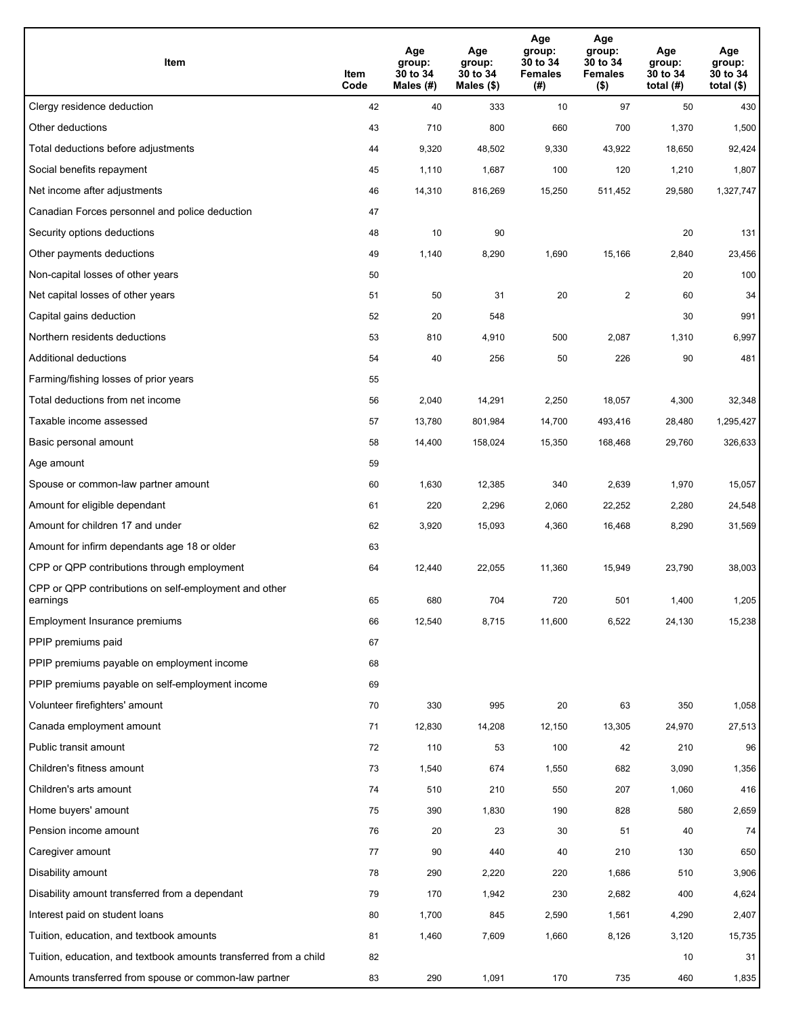| Item                                                              | Item<br>Code | Age<br>group:<br>30 to 34<br>Males (#) | Age<br>group:<br>30 to 34<br>Males (\$) | Age<br>group:<br>30 to 34<br><b>Females</b><br>(#) | Age<br>group:<br>30 to 34<br><b>Females</b><br>$($ \$) | Age<br>group:<br>30 to 34<br>total $(H)$ | Age<br>group:<br>30 to 34<br>total $($)$ |
|-------------------------------------------------------------------|--------------|----------------------------------------|-----------------------------------------|----------------------------------------------------|--------------------------------------------------------|------------------------------------------|------------------------------------------|
| Clergy residence deduction                                        | 42           | 40                                     | 333                                     | 10                                                 | 97                                                     | 50                                       | 430                                      |
| Other deductions                                                  | 43           | 710                                    | 800                                     | 660                                                | 700                                                    | 1,370                                    | 1,500                                    |
| Total deductions before adjustments                               | 44           | 9,320                                  | 48,502                                  | 9,330                                              | 43,922                                                 | 18,650                                   | 92,424                                   |
| Social benefits repayment                                         | 45           | 1,110                                  | 1,687                                   | 100                                                | 120                                                    | 1,210                                    | 1,807                                    |
| Net income after adjustments                                      | 46           | 14,310                                 | 816,269                                 | 15,250                                             | 511,452                                                | 29,580                                   | 1,327,747                                |
| Canadian Forces personnel and police deduction                    | 47           |                                        |                                         |                                                    |                                                        |                                          |                                          |
| Security options deductions                                       | 48           | 10                                     | 90                                      |                                                    |                                                        | 20                                       | 131                                      |
| Other payments deductions                                         | 49           | 1,140                                  | 8,290                                   | 1,690                                              | 15,166                                                 | 2,840                                    | 23,456                                   |
| Non-capital losses of other years                                 | 50           |                                        |                                         |                                                    |                                                        | 20                                       | 100                                      |
| Net capital losses of other years                                 | 51           | 50                                     | 31                                      | 20                                                 | $\overline{2}$                                         | 60                                       | 34                                       |
| Capital gains deduction                                           | 52           | 20                                     | 548                                     |                                                    |                                                        | 30                                       | 991                                      |
| Northern residents deductions                                     | 53           | 810                                    | 4,910                                   | 500                                                | 2,087                                                  | 1,310                                    | 6,997                                    |
| Additional deductions                                             | 54           | 40                                     | 256                                     | 50                                                 | 226                                                    | 90                                       | 481                                      |
| Farming/fishing losses of prior years                             | 55           |                                        |                                         |                                                    |                                                        |                                          |                                          |
| Total deductions from net income                                  | 56           | 2,040                                  | 14,291                                  | 2,250                                              | 18,057                                                 | 4,300                                    | 32,348                                   |
| Taxable income assessed                                           | 57           | 13,780                                 | 801,984                                 | 14,700                                             | 493,416                                                | 28,480                                   | 1,295,427                                |
| Basic personal amount                                             | 58           | 14,400                                 | 158,024                                 | 15,350                                             | 168,468                                                | 29,760                                   | 326,633                                  |
| Age amount                                                        | 59           |                                        |                                         |                                                    |                                                        |                                          |                                          |
| Spouse or common-law partner amount                               | 60           | 1,630                                  | 12,385                                  | 340                                                | 2,639                                                  | 1,970                                    | 15,057                                   |
| Amount for eligible dependant                                     | 61           | 220                                    | 2,296                                   | 2,060                                              | 22,252                                                 | 2,280                                    | 24,548                                   |
| Amount for children 17 and under                                  | 62           | 3,920                                  | 15,093                                  | 4,360                                              | 16,468                                                 | 8,290                                    | 31,569                                   |
| Amount for infirm dependants age 18 or older                      | 63           |                                        |                                         |                                                    |                                                        |                                          |                                          |
| CPP or QPP contributions through employment                       | 64           | 12,440                                 | 22,055                                  | 11,360                                             | 15,949                                                 | 23,790                                   | 38,003                                   |
| CPP or QPP contributions on self-employment and other<br>earnings | 65           | 680                                    | 704                                     | 720                                                | 501                                                    | 1,400                                    | 1,205                                    |
| Employment Insurance premiums                                     | 66           | 12,540                                 | 8,715                                   | 11,600                                             | 6,522                                                  | 24,130                                   | 15,238                                   |
| PPIP premiums paid                                                | 67           |                                        |                                         |                                                    |                                                        |                                          |                                          |
| PPIP premiums payable on employment income                        | 68           |                                        |                                         |                                                    |                                                        |                                          |                                          |
| PPIP premiums payable on self-employment income                   | 69           |                                        |                                         |                                                    |                                                        |                                          |                                          |
| Volunteer firefighters' amount                                    | 70           | 330                                    | 995                                     | 20                                                 | 63                                                     | 350                                      | 1,058                                    |
| Canada employment amount                                          | 71           | 12,830                                 | 14,208                                  | 12,150                                             | 13,305                                                 | 24,970                                   | 27,513                                   |
| Public transit amount                                             | 72           | 110                                    | 53                                      | 100                                                | 42                                                     | 210                                      | 96                                       |
| Children's fitness amount                                         | 73           | 1,540                                  | 674                                     | 1,550                                              | 682                                                    | 3,090                                    | 1,356                                    |
| Children's arts amount                                            | 74           | 510                                    | 210                                     | 550                                                | 207                                                    | 1,060                                    | 416                                      |
| Home buyers' amount                                               | 75           | 390                                    | 1,830                                   | 190                                                | 828                                                    | 580                                      | 2,659                                    |
| Pension income amount                                             | 76           | 20                                     | 23                                      | 30                                                 | 51                                                     | 40                                       | 74                                       |
| Caregiver amount                                                  | 77           | 90                                     | 440                                     | 40                                                 | 210                                                    | 130                                      | 650                                      |
| Disability amount                                                 | 78           | 290                                    | 2,220                                   | 220                                                | 1,686                                                  | 510                                      | 3,906                                    |
| Disability amount transferred from a dependant                    | 79           | 170                                    | 1,942                                   | 230                                                | 2,682                                                  | 400                                      | 4,624                                    |
| Interest paid on student loans                                    | 80           | 1,700                                  | 845                                     | 2,590                                              | 1,561                                                  | 4,290                                    | 2,407                                    |
| Tuition, education, and textbook amounts                          | 81           | 1,460                                  | 7,609                                   | 1,660                                              | 8,126                                                  | 3,120                                    | 15,735                                   |
| Tuition, education, and textbook amounts transferred from a child | 82           |                                        |                                         |                                                    |                                                        | 10                                       | 31                                       |
| Amounts transferred from spouse or common-law partner             | 83           | 290                                    | 1,091                                   | 170                                                | 735                                                    | 460                                      | 1,835                                    |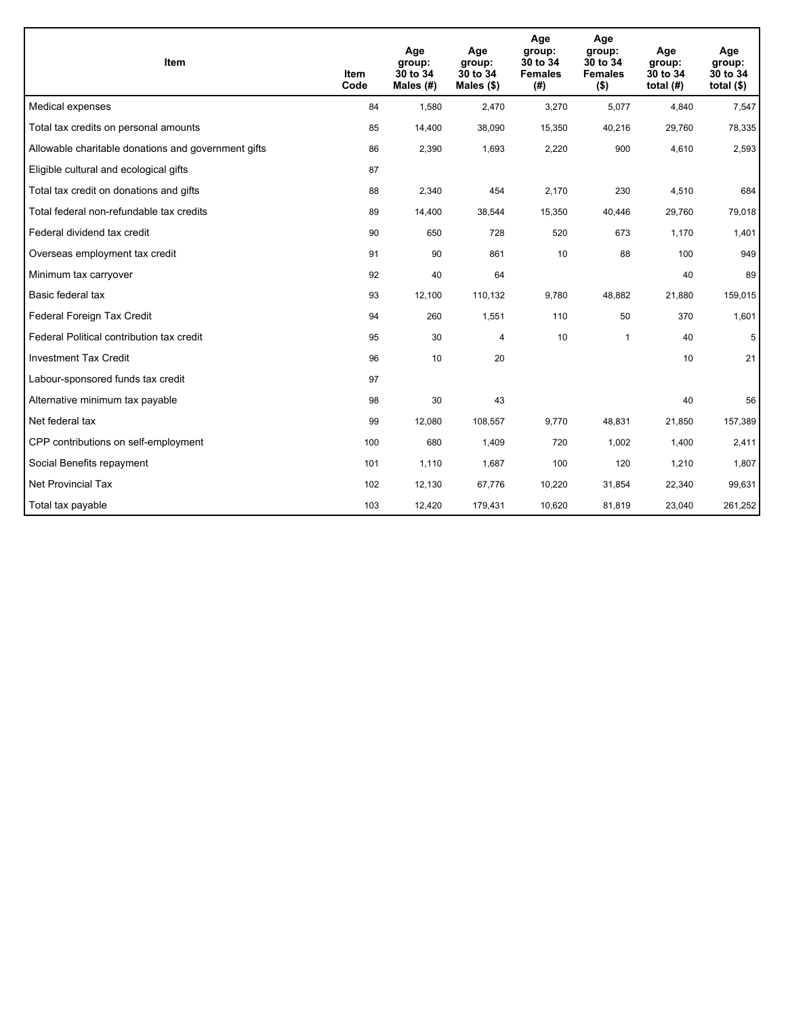| <b>Item</b>                                         | Item<br>Code | Age<br>group:<br>30 to 34<br>Males $(H)$ | Age<br>group:<br>30 to 34<br>Males $(\$)$ | Age<br>group:<br>30 to 34<br><b>Females</b><br>(#) | Age<br>group:<br>30 to 34<br><b>Females</b><br>$($ \$) | Age<br>group:<br>30 to 34<br>total $(H)$ | Age<br>group:<br>30 to 34<br>total $($)$ |
|-----------------------------------------------------|--------------|------------------------------------------|-------------------------------------------|----------------------------------------------------|--------------------------------------------------------|------------------------------------------|------------------------------------------|
| Medical expenses                                    | 84           | 1,580                                    | 2,470                                     | 3,270                                              | 5,077                                                  | 4,840                                    | 7,547                                    |
| Total tax credits on personal amounts               | 85           | 14,400                                   | 38,090                                    | 15,350                                             | 40,216                                                 | 29,760                                   | 78,335                                   |
| Allowable charitable donations and government gifts | 86           | 2,390                                    | 1,693                                     | 2,220                                              | 900                                                    | 4,610                                    | 2,593                                    |
| Eligible cultural and ecological gifts              | 87           |                                          |                                           |                                                    |                                                        |                                          |                                          |
| Total tax credit on donations and gifts             | 88           | 2,340                                    | 454                                       | 2,170                                              | 230                                                    | 4,510                                    | 684                                      |
| Total federal non-refundable tax credits            | 89           | 14,400                                   | 38,544                                    | 15,350                                             | 40,446                                                 | 29,760                                   | 79,018                                   |
| Federal dividend tax credit                         | 90           | 650                                      | 728                                       | 520                                                | 673                                                    | 1,170                                    | 1,401                                    |
| Overseas employment tax credit                      | 91           | 90                                       | 861                                       | 10                                                 | 88                                                     | 100                                      | 949                                      |
| Minimum tax carryover                               | 92           | 40                                       | 64                                        |                                                    |                                                        | 40                                       | 89                                       |
| Basic federal tax                                   | 93           | 12,100                                   | 110,132                                   | 9,780                                              | 48.882                                                 | 21,880                                   | 159,015                                  |
| Federal Foreign Tax Credit                          | 94           | 260                                      | 1,551                                     | 110                                                | 50                                                     | 370                                      | 1,601                                    |
| Federal Political contribution tax credit           | 95           | 30                                       | 4                                         | 10                                                 | $\mathbf 1$                                            | 40                                       | 5                                        |
| <b>Investment Tax Credit</b>                        | 96           | 10                                       | 20                                        |                                                    |                                                        | 10                                       | 21                                       |
| Labour-sponsored funds tax credit                   | 97           |                                          |                                           |                                                    |                                                        |                                          |                                          |
| Alternative minimum tax payable                     | 98           | 30                                       | 43                                        |                                                    |                                                        | 40                                       | 56                                       |
| Net federal tax                                     | 99           | 12,080                                   | 108,557                                   | 9,770                                              | 48,831                                                 | 21,850                                   | 157,389                                  |
| CPP contributions on self-employment                | 100          | 680                                      | 1,409                                     | 720                                                | 1,002                                                  | 1,400                                    | 2,411                                    |
| Social Benefits repayment                           | 101          | 1,110                                    | 1,687                                     | 100                                                | 120                                                    | 1,210                                    | 1,807                                    |
| <b>Net Provincial Tax</b>                           | 102          | 12,130                                   | 67,776                                    | 10,220                                             | 31,854                                                 | 22,340                                   | 99,631                                   |
| Total tax payable                                   | 103          | 12,420                                   | 179,431                                   | 10,620                                             | 81,819                                                 | 23,040                                   | 261,252                                  |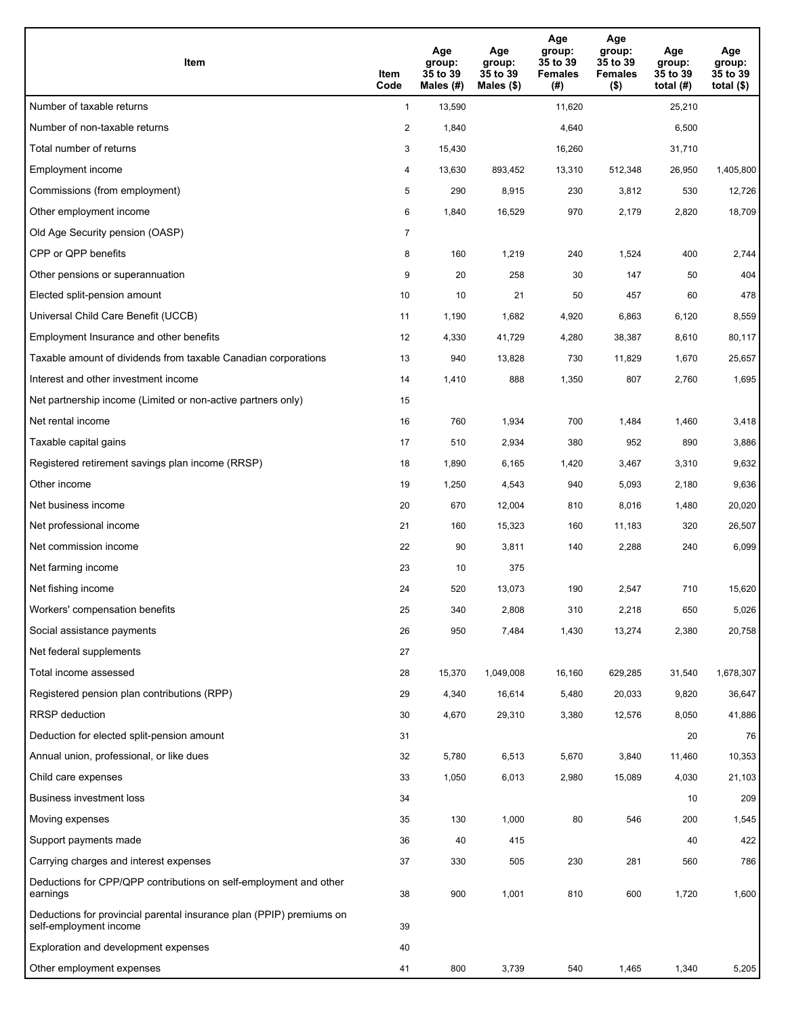| Item                                                                                           | Item<br>Code   | Age<br>group:<br>35 to 39<br>Males (#) | Age<br>group:<br>35 to 39<br>Males $(\$)$ | Age<br>group:<br>35 to 39<br><b>Females</b><br>(#) | Age<br>group:<br>35 to 39<br><b>Females</b><br>$($ \$) | Age<br>group:<br>35 to 39<br>total $(H)$ | Age<br>group:<br>35 to 39<br>total $($ |
|------------------------------------------------------------------------------------------------|----------------|----------------------------------------|-------------------------------------------|----------------------------------------------------|--------------------------------------------------------|------------------------------------------|----------------------------------------|
| Number of taxable returns                                                                      | $\mathbf{1}$   | 13,590                                 |                                           | 11,620                                             |                                                        | 25,210                                   |                                        |
| Number of non-taxable returns                                                                  | $\overline{a}$ | 1,840                                  |                                           | 4,640                                              |                                                        | 6,500                                    |                                        |
| Total number of returns                                                                        | 3              | 15,430                                 |                                           | 16,260                                             |                                                        | 31,710                                   |                                        |
| Employment income                                                                              | 4              | 13,630                                 | 893,452                                   | 13,310                                             | 512,348                                                | 26,950                                   | 1,405,800                              |
| Commissions (from employment)                                                                  | 5              | 290                                    | 8,915                                     | 230                                                | 3,812                                                  | 530                                      | 12,726                                 |
| Other employment income                                                                        | 6              | 1,840                                  | 16,529                                    | 970                                                | 2,179                                                  | 2,820                                    | 18,709                                 |
| Old Age Security pension (OASP)                                                                | 7              |                                        |                                           |                                                    |                                                        |                                          |                                        |
| CPP or QPP benefits                                                                            | 8              | 160                                    | 1,219                                     | 240                                                | 1,524                                                  | 400                                      | 2,744                                  |
| Other pensions or superannuation                                                               | 9              | 20                                     | 258                                       | 30                                                 | 147                                                    | 50                                       | 404                                    |
| Elected split-pension amount                                                                   | 10             | 10                                     | 21                                        | 50                                                 | 457                                                    | 60                                       | 478                                    |
| Universal Child Care Benefit (UCCB)                                                            | 11             | 1,190                                  | 1,682                                     | 4,920                                              | 6,863                                                  | 6,120                                    | 8,559                                  |
| Employment Insurance and other benefits                                                        | 12             | 4,330                                  | 41,729                                    | 4,280                                              | 38,387                                                 | 8,610                                    | 80,117                                 |
| Taxable amount of dividends from taxable Canadian corporations                                 | 13             | 940                                    | 13,828                                    | 730                                                | 11,829                                                 | 1,670                                    | 25,657                                 |
| Interest and other investment income                                                           | 14             | 1,410                                  | 888                                       | 1,350                                              | 807                                                    | 2,760                                    | 1,695                                  |
| Net partnership income (Limited or non-active partners only)                                   | 15             |                                        |                                           |                                                    |                                                        |                                          |                                        |
| Net rental income                                                                              | 16             | 760                                    | 1,934                                     | 700                                                | 1,484                                                  | 1,460                                    | 3,418                                  |
| Taxable capital gains                                                                          | 17             | 510                                    | 2,934                                     | 380                                                | 952                                                    | 890                                      | 3,886                                  |
| Registered retirement savings plan income (RRSP)                                               | 18             | 1,890                                  | 6,165                                     | 1,420                                              | 3,467                                                  | 3,310                                    | 9,632                                  |
| Other income                                                                                   | 19             | 1,250                                  | 4,543                                     | 940                                                | 5,093                                                  | 2,180                                    | 9,636                                  |
| Net business income                                                                            | 20             | 670                                    | 12,004                                    | 810                                                | 8,016                                                  | 1,480                                    | 20,020                                 |
| Net professional income                                                                        | 21             | 160                                    | 15,323                                    | 160                                                | 11,183                                                 | 320                                      | 26,507                                 |
| Net commission income                                                                          | 22             | 90                                     | 3,811                                     | 140                                                | 2,288                                                  | 240                                      | 6,099                                  |
| Net farming income                                                                             | 23             | 10                                     | 375                                       |                                                    |                                                        |                                          |                                        |
| Net fishing income                                                                             | 24             | 520                                    | 13,073                                    | 190                                                | 2,547                                                  | 710                                      | 15,620                                 |
| Workers' compensation benefits                                                                 | 25             | 340                                    | 2,808                                     | 310                                                | 2,218                                                  | 650                                      | 5,026                                  |
| Social assistance payments                                                                     | 26             | 950                                    | 7,484                                     | 1,430                                              | 13,274                                                 | 2,380                                    | 20,758                                 |
| Net federal supplements                                                                        | 27             |                                        |                                           |                                                    |                                                        |                                          |                                        |
| Total income assessed                                                                          | 28             | 15,370                                 | 1,049,008                                 | 16,160                                             | 629,285                                                | 31,540                                   | 1,678,307                              |
| Registered pension plan contributions (RPP)                                                    | 29             | 4,340                                  | 16,614                                    | 5,480                                              | 20,033                                                 | 9,820                                    | 36,647                                 |
| RRSP deduction                                                                                 | 30             | 4,670                                  | 29,310                                    | 3,380                                              | 12,576                                                 | 8,050                                    | 41,886                                 |
| Deduction for elected split-pension amount                                                     | 31             |                                        |                                           |                                                    |                                                        | 20                                       | 76                                     |
| Annual union, professional, or like dues                                                       | 32             | 5,780                                  | 6,513                                     | 5,670                                              | 3,840                                                  | 11,460                                   | 10,353                                 |
| Child care expenses                                                                            | 33             | 1,050                                  | 6,013                                     | 2,980                                              | 15,089                                                 | 4,030                                    | 21,103                                 |
| Business investment loss                                                                       | 34             |                                        |                                           |                                                    |                                                        | 10                                       | 209                                    |
| Moving expenses                                                                                | 35             | 130                                    | 1,000                                     | 80                                                 | 546                                                    | 200                                      | 1,545                                  |
| Support payments made                                                                          | 36             | 40                                     | 415                                       |                                                    |                                                        | 40                                       | 422                                    |
| Carrying charges and interest expenses                                                         | 37             | 330                                    | 505                                       | 230                                                | 281                                                    | 560                                      | 786                                    |
| Deductions for CPP/QPP contributions on self-employment and other<br>earnings                  | 38             | 900                                    | 1,001                                     | 810                                                | 600                                                    | 1,720                                    | 1,600                                  |
| Deductions for provincial parental insurance plan (PPIP) premiums on<br>self-employment income | 39             |                                        |                                           |                                                    |                                                        |                                          |                                        |
| Exploration and development expenses                                                           | 40             |                                        |                                           |                                                    |                                                        |                                          |                                        |
| Other employment expenses                                                                      | 41             | 800                                    | 3,739                                     | 540                                                | 1,465                                                  | 1,340                                    | 5,205                                  |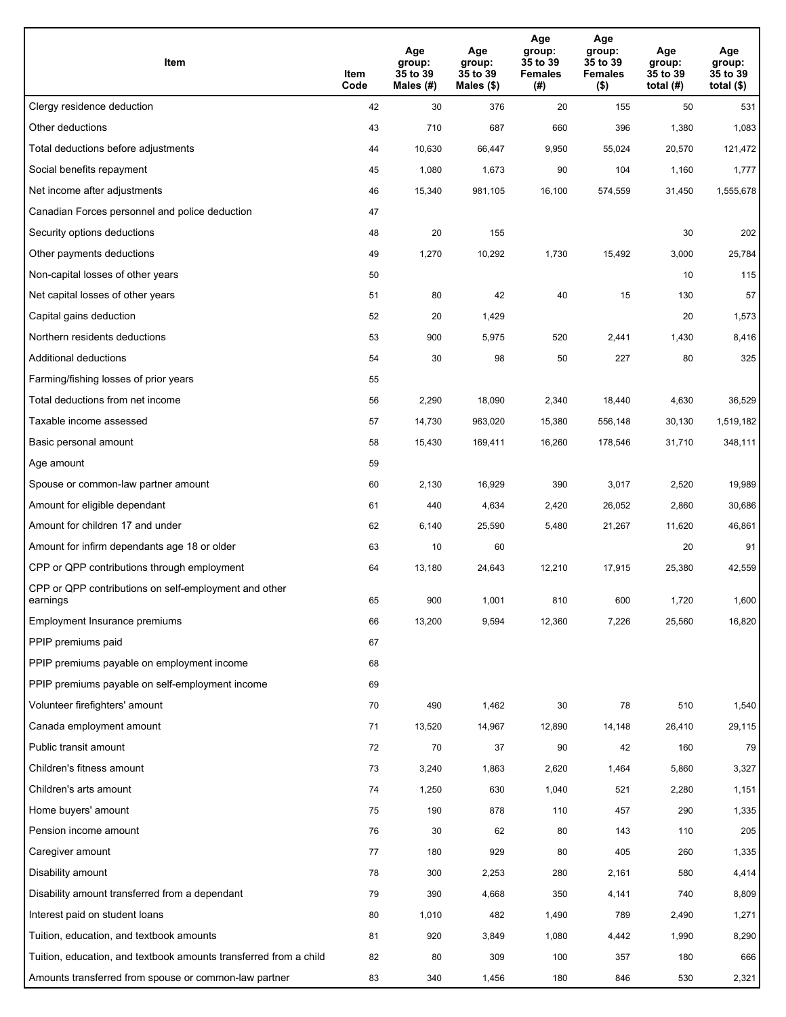| Item                                                              | Item<br>Code | Age<br>group:<br>35 to 39<br>Males (#) | Age<br>group:<br>35 to 39<br>Males (\$) | Age<br>group:<br>35 to 39<br><b>Females</b><br>(# ) | Age<br>group:<br>35 to 39<br>Females<br>$($ \$) | Age<br>group:<br>35 to 39<br>total $(H)$ | Age<br>group:<br>35 to 39<br>total $($)$ |
|-------------------------------------------------------------------|--------------|----------------------------------------|-----------------------------------------|-----------------------------------------------------|-------------------------------------------------|------------------------------------------|------------------------------------------|
| Clergy residence deduction                                        | 42           | 30                                     | 376                                     | 20                                                  | 155                                             | 50                                       | 531                                      |
| Other deductions                                                  | 43           | 710                                    | 687                                     | 660                                                 | 396                                             | 1,380                                    | 1,083                                    |
| Total deductions before adjustments                               | 44           | 10,630                                 | 66,447                                  | 9,950                                               | 55,024                                          | 20,570                                   | 121,472                                  |
| Social benefits repayment                                         | 45           | 1,080                                  | 1,673                                   | 90                                                  | 104                                             | 1,160                                    | 1,777                                    |
| Net income after adjustments                                      | 46           | 15,340                                 | 981,105                                 | 16,100                                              | 574,559                                         | 31,450                                   | 1,555,678                                |
| Canadian Forces personnel and police deduction                    | 47           |                                        |                                         |                                                     |                                                 |                                          |                                          |
| Security options deductions                                       | 48           | 20                                     | 155                                     |                                                     |                                                 | 30                                       | 202                                      |
| Other payments deductions                                         | 49           | 1,270                                  | 10,292                                  | 1,730                                               | 15,492                                          | 3,000                                    | 25,784                                   |
| Non-capital losses of other years                                 | 50           |                                        |                                         |                                                     |                                                 | 10                                       | 115                                      |
| Net capital losses of other years                                 | 51           | 80                                     | 42                                      | 40                                                  | 15                                              | 130                                      | 57                                       |
| Capital gains deduction                                           | 52           | 20                                     | 1,429                                   |                                                     |                                                 | 20                                       | 1,573                                    |
| Northern residents deductions                                     | 53           | 900                                    | 5,975                                   | 520                                                 | 2,441                                           | 1,430                                    | 8,416                                    |
| Additional deductions                                             | 54           | 30                                     | 98                                      | 50                                                  | 227                                             | 80                                       | 325                                      |
| Farming/fishing losses of prior years                             | 55           |                                        |                                         |                                                     |                                                 |                                          |                                          |
| Total deductions from net income                                  | 56           | 2,290                                  | 18,090                                  | 2,340                                               | 18,440                                          | 4,630                                    | 36,529                                   |
| Taxable income assessed                                           | 57           | 14,730                                 | 963,020                                 | 15,380                                              | 556,148                                         | 30,130                                   | 1,519,182                                |
| Basic personal amount                                             | 58           | 15,430                                 | 169,411                                 | 16,260                                              | 178,546                                         | 31,710                                   | 348,111                                  |
| Age amount                                                        | 59           |                                        |                                         |                                                     |                                                 |                                          |                                          |
| Spouse or common-law partner amount                               | 60           | 2,130                                  | 16,929                                  | 390                                                 | 3,017                                           | 2,520                                    | 19,989                                   |
| Amount for eligible dependant                                     | 61           | 440                                    | 4,634                                   | 2,420                                               | 26,052                                          | 2,860                                    | 30,686                                   |
| Amount for children 17 and under                                  | 62           | 6,140                                  | 25,590                                  | 5,480                                               | 21,267                                          | 11,620                                   | 46,861                                   |
| Amount for infirm dependants age 18 or older                      | 63           | 10                                     | 60                                      |                                                     |                                                 | 20                                       | 91                                       |
| CPP or QPP contributions through employment                       | 64           | 13,180                                 | 24,643                                  | 12,210                                              | 17,915                                          | 25,380                                   | 42,559                                   |
| CPP or QPP contributions on self-employment and other<br>earnings | 65           | 900                                    | 1,001                                   | 810                                                 | 600                                             | 1,720                                    | 1,600                                    |
| Employment Insurance premiums                                     | 66           | 13,200                                 | 9,594                                   | 12,360                                              | 7,226                                           | 25,560                                   | 16,820                                   |
| PPIP premiums paid                                                | 67           |                                        |                                         |                                                     |                                                 |                                          |                                          |
| PPIP premiums payable on employment income                        | 68           |                                        |                                         |                                                     |                                                 |                                          |                                          |
| PPIP premiums payable on self-employment income                   | 69           |                                        |                                         |                                                     |                                                 |                                          |                                          |
| Volunteer firefighters' amount                                    | 70           | 490                                    | 1,462                                   | 30                                                  | 78                                              | 510                                      | 1,540                                    |
| Canada employment amount                                          | 71           | 13,520                                 | 14,967                                  | 12,890                                              | 14,148                                          | 26,410                                   | 29,115                                   |
| Public transit amount                                             | 72           | 70                                     | 37                                      | 90                                                  | 42                                              | 160                                      | 79                                       |
| Children's fitness amount                                         | 73           | 3,240                                  | 1,863                                   | 2,620                                               | 1,464                                           | 5,860                                    | 3,327                                    |
| Children's arts amount                                            | 74           | 1,250                                  | 630                                     | 1,040                                               | 521                                             | 2,280                                    | 1,151                                    |
| Home buyers' amount                                               | 75           | 190                                    | 878                                     | 110                                                 | 457                                             | 290                                      | 1,335                                    |
| Pension income amount                                             | 76           | 30                                     | 62                                      | 80                                                  | 143                                             | 110                                      | 205                                      |
| Caregiver amount                                                  | 77           | 180                                    | 929                                     | 80                                                  | 405                                             | 260                                      | 1,335                                    |
| Disability amount                                                 | 78           | 300                                    | 2,253                                   | 280                                                 | 2,161                                           | 580                                      | 4,414                                    |
| Disability amount transferred from a dependant                    | 79           | 390                                    | 4,668                                   | 350                                                 | 4,141                                           | 740                                      | 8,809                                    |
| Interest paid on student loans                                    | 80           | 1,010                                  | 482                                     | 1,490                                               | 789                                             | 2,490                                    | 1,271                                    |
| Tuition, education, and textbook amounts                          | 81           | 920                                    | 3,849                                   | 1,080                                               | 4,442                                           | 1,990                                    | 8,290                                    |
| Tuition, education, and textbook amounts transferred from a child | 82           | 80                                     | 309                                     | 100                                                 | 357                                             | 180                                      | 666                                      |
| Amounts transferred from spouse or common-law partner             | 83           | 340                                    | 1,456                                   | 180                                                 | 846                                             | 530                                      | 2,321                                    |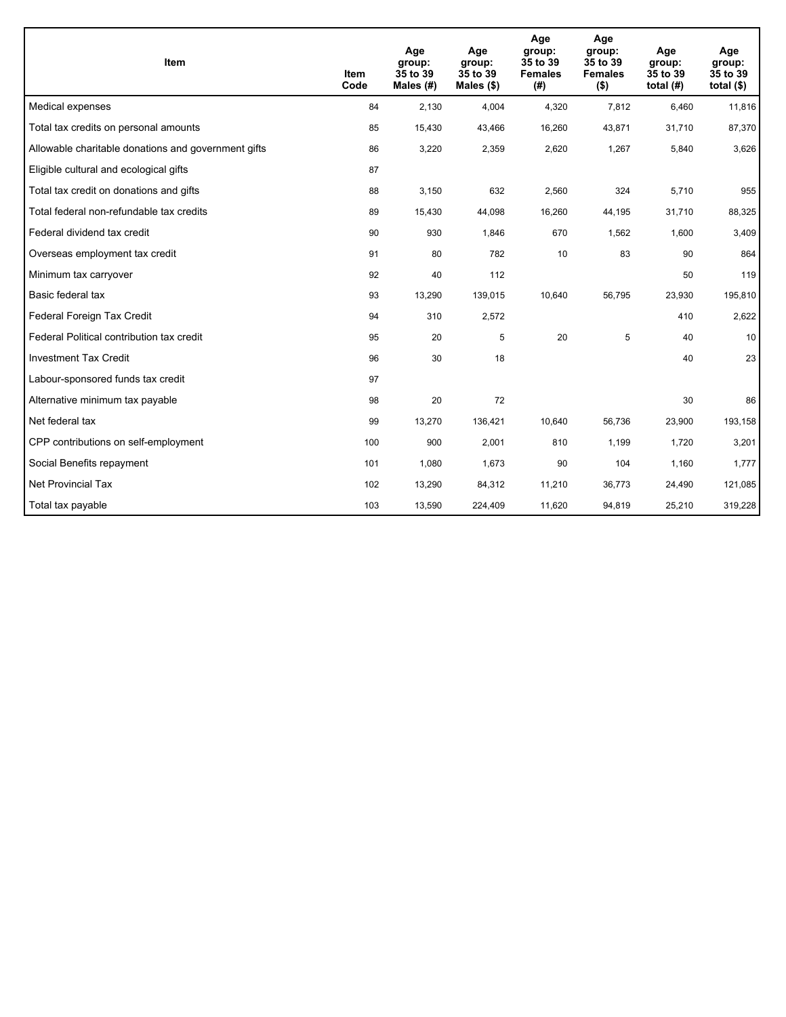| <b>Item</b>                                         | <b>Item</b><br>Code | Age<br>group:<br>35 to 39<br>Males $(H)$ | Age<br>group:<br>35 to 39<br>Males $(\$)$ | Age<br>group:<br>35 to 39<br><b>Females</b><br>(#) | Age<br>group:<br>35 to 39<br><b>Females</b><br>$($ \$) | Age<br>group:<br>35 to 39<br>total $(H)$ | Age<br>group:<br>35 to 39<br>total $($)$ |
|-----------------------------------------------------|---------------------|------------------------------------------|-------------------------------------------|----------------------------------------------------|--------------------------------------------------------|------------------------------------------|------------------------------------------|
| Medical expenses                                    | 84                  | 2.130                                    | 4.004                                     | 4,320                                              | 7,812                                                  | 6.460                                    | 11,816                                   |
| Total tax credits on personal amounts               | 85                  | 15,430                                   | 43,466                                    | 16,260                                             | 43,871                                                 | 31,710                                   | 87,370                                   |
| Allowable charitable donations and government gifts | 86                  | 3,220                                    | 2,359                                     | 2,620                                              | 1,267                                                  | 5,840                                    | 3,626                                    |
| Eligible cultural and ecological gifts              | 87                  |                                          |                                           |                                                    |                                                        |                                          |                                          |
| Total tax credit on donations and gifts             | 88                  | 3,150                                    | 632                                       | 2,560                                              | 324                                                    | 5,710                                    | 955                                      |
| Total federal non-refundable tax credits            | 89                  | 15,430                                   | 44,098                                    | 16,260                                             | 44,195                                                 | 31,710                                   | 88,325                                   |
| Federal dividend tax credit                         | 90                  | 930                                      | 1,846                                     | 670                                                | 1,562                                                  | 1,600                                    | 3,409                                    |
| Overseas employment tax credit                      | 91                  | 80                                       | 782                                       | 10                                                 | 83                                                     | 90                                       | 864                                      |
| Minimum tax carryover                               | 92                  | 40                                       | 112                                       |                                                    |                                                        | 50                                       | 119                                      |
| Basic federal tax                                   | 93                  | 13,290                                   | 139,015                                   | 10,640                                             | 56,795                                                 | 23,930                                   | 195,810                                  |
| Federal Foreign Tax Credit                          | 94                  | 310                                      | 2,572                                     |                                                    |                                                        | 410                                      | 2,622                                    |
| Federal Political contribution tax credit           | 95                  | 20                                       | 5                                         | 20                                                 | 5                                                      | 40                                       | 10                                       |
| <b>Investment Tax Credit</b>                        | 96                  | 30                                       | 18                                        |                                                    |                                                        | 40                                       | 23                                       |
| Labour-sponsored funds tax credit                   | 97                  |                                          |                                           |                                                    |                                                        |                                          |                                          |
| Alternative minimum tax payable                     | 98                  | 20                                       | 72                                        |                                                    |                                                        | 30                                       | 86                                       |
| Net federal tax                                     | 99                  | 13,270                                   | 136,421                                   | 10,640                                             | 56,736                                                 | 23,900                                   | 193,158                                  |
| CPP contributions on self-employment                | 100                 | 900                                      | 2,001                                     | 810                                                | 1,199                                                  | 1,720                                    | 3,201                                    |
| Social Benefits repayment                           | 101                 | 1,080                                    | 1,673                                     | 90                                                 | 104                                                    | 1,160                                    | 1,777                                    |
| Net Provincial Tax                                  | 102                 | 13,290                                   | 84,312                                    | 11,210                                             | 36,773                                                 | 24,490                                   | 121,085                                  |
| Total tax payable                                   | 103                 | 13,590                                   | 224,409                                   | 11,620                                             | 94,819                                                 | 25,210                                   | 319,228                                  |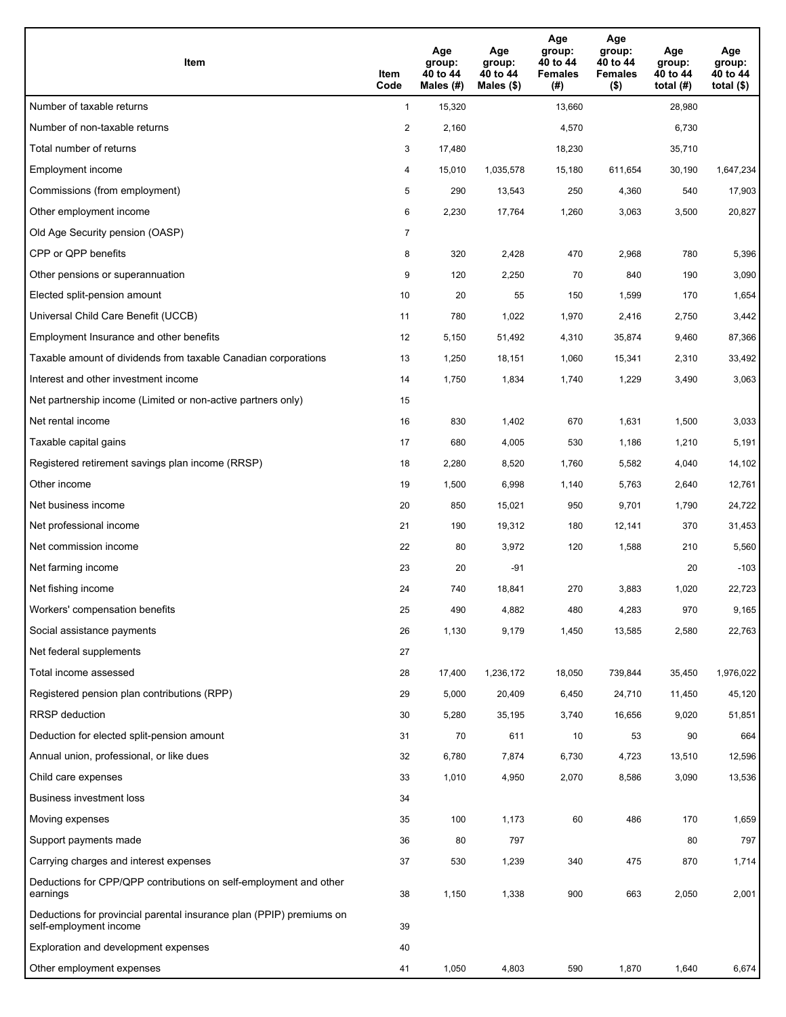| Item                                                                                           | Item<br>Code   | Age<br>group:<br>40 to 44<br>Males (#) | Age<br>group:<br>40 to 44<br>Males $(\$)$ | Age<br>group:<br>40 to 44<br><b>Females</b><br>(#) | Age<br>group:<br>40 to 44<br><b>Females</b><br>$($ \$) | Age<br>group:<br>40 to 44<br>total $(H)$ | Age<br>group:<br>40 to 44<br>total $($ |
|------------------------------------------------------------------------------------------------|----------------|----------------------------------------|-------------------------------------------|----------------------------------------------------|--------------------------------------------------------|------------------------------------------|----------------------------------------|
| Number of taxable returns                                                                      | $\mathbf{1}$   | 15,320                                 |                                           | 13,660                                             |                                                        | 28,980                                   |                                        |
| Number of non-taxable returns                                                                  | $\overline{a}$ | 2,160                                  |                                           | 4,570                                              |                                                        | 6,730                                    |                                        |
| Total number of returns                                                                        | 3              | 17,480                                 |                                           | 18,230                                             |                                                        | 35,710                                   |                                        |
| Employment income                                                                              | 4              | 15,010                                 | 1,035,578                                 | 15,180                                             | 611,654                                                | 30,190                                   | 1,647,234                              |
| Commissions (from employment)                                                                  | 5              | 290                                    | 13,543                                    | 250                                                | 4,360                                                  | 540                                      | 17,903                                 |
| Other employment income                                                                        | 6              | 2,230                                  | 17,764                                    | 1,260                                              | 3,063                                                  | 3,500                                    | 20,827                                 |
| Old Age Security pension (OASP)                                                                | 7              |                                        |                                           |                                                    |                                                        |                                          |                                        |
| CPP or QPP benefits                                                                            | 8              | 320                                    | 2,428                                     | 470                                                | 2,968                                                  | 780                                      | 5,396                                  |
| Other pensions or superannuation                                                               | 9              | 120                                    | 2,250                                     | 70                                                 | 840                                                    | 190                                      | 3,090                                  |
| Elected split-pension amount                                                                   | 10             | 20                                     | 55                                        | 150                                                | 1,599                                                  | 170                                      | 1,654                                  |
| Universal Child Care Benefit (UCCB)                                                            | 11             | 780                                    | 1,022                                     | 1,970                                              | 2,416                                                  | 2,750                                    | 3,442                                  |
| Employment Insurance and other benefits                                                        | 12             | 5,150                                  | 51,492                                    | 4,310                                              | 35,874                                                 | 9,460                                    | 87,366                                 |
| Taxable amount of dividends from taxable Canadian corporations                                 | 13             | 1,250                                  | 18,151                                    | 1,060                                              | 15,341                                                 | 2,310                                    | 33,492                                 |
| Interest and other investment income                                                           | 14             | 1,750                                  | 1,834                                     | 1,740                                              | 1,229                                                  | 3,490                                    | 3,063                                  |
| Net partnership income (Limited or non-active partners only)                                   | 15             |                                        |                                           |                                                    |                                                        |                                          |                                        |
| Net rental income                                                                              | 16             | 830                                    | 1,402                                     | 670                                                | 1,631                                                  | 1,500                                    | 3,033                                  |
| Taxable capital gains                                                                          | 17             | 680                                    | 4,005                                     | 530                                                | 1,186                                                  | 1,210                                    | 5,191                                  |
| Registered retirement savings plan income (RRSP)                                               | 18             | 2,280                                  | 8,520                                     | 1,760                                              | 5,582                                                  | 4,040                                    | 14,102                                 |
| Other income                                                                                   | 19             | 1,500                                  | 6,998                                     | 1,140                                              | 5,763                                                  | 2,640                                    | 12,761                                 |
| Net business income                                                                            | 20             | 850                                    | 15,021                                    | 950                                                | 9,701                                                  | 1,790                                    | 24,722                                 |
| Net professional income                                                                        | 21             | 190                                    | 19,312                                    | 180                                                | 12,141                                                 | 370                                      | 31,453                                 |
| Net commission income                                                                          | 22             | 80                                     | 3,972                                     | 120                                                | 1,588                                                  | 210                                      | 5,560                                  |
| Net farming income                                                                             | 23             | 20                                     | $-91$                                     |                                                    |                                                        | 20                                       | $-103$                                 |
| Net fishing income                                                                             | 24             | 740                                    | 18,841                                    | 270                                                | 3,883                                                  | 1,020                                    | 22,723                                 |
| Workers' compensation benefits                                                                 | 25             | 490                                    | 4,882                                     | 480                                                | 4,283                                                  | 970                                      | 9,165                                  |
| Social assistance payments                                                                     | 26             | 1,130                                  | 9,179                                     | 1,450                                              | 13,585                                                 | 2,580                                    | 22,763                                 |
| Net federal supplements                                                                        | 27             |                                        |                                           |                                                    |                                                        |                                          |                                        |
| Total income assessed                                                                          | 28             | 17,400                                 | 1,236,172                                 | 18,050                                             | 739,844                                                | 35,450                                   | 1,976,022                              |
| Registered pension plan contributions (RPP)                                                    | 29             | 5,000                                  | 20,409                                    | 6,450                                              | 24,710                                                 | 11,450                                   | 45,120                                 |
| RRSP deduction                                                                                 | 30             | 5,280                                  | 35,195                                    | 3,740                                              | 16,656                                                 | 9,020                                    | 51,851                                 |
| Deduction for elected split-pension amount                                                     | 31             | 70                                     | 611                                       | 10                                                 | 53                                                     | 90                                       | 664                                    |
| Annual union, professional, or like dues                                                       | 32             | 6,780                                  | 7,874                                     | 6,730                                              | 4,723                                                  | 13,510                                   | 12,596                                 |
| Child care expenses                                                                            | 33             | 1,010                                  | 4,950                                     | 2,070                                              | 8,586                                                  | 3,090                                    | 13,536                                 |
| Business investment loss                                                                       | 34             |                                        |                                           |                                                    |                                                        |                                          |                                        |
| Moving expenses                                                                                | 35             | 100                                    | 1,173                                     | 60                                                 | 486                                                    | 170                                      | 1,659                                  |
| Support payments made                                                                          | 36             | 80                                     | 797                                       |                                                    |                                                        | 80                                       | 797                                    |
| Carrying charges and interest expenses                                                         | 37             | 530                                    | 1,239                                     | 340                                                | 475                                                    | 870                                      | 1,714                                  |
| Deductions for CPP/QPP contributions on self-employment and other<br>earnings                  | 38             | 1,150                                  | 1,338                                     | 900                                                | 663                                                    | 2,050                                    | 2,001                                  |
| Deductions for provincial parental insurance plan (PPIP) premiums on<br>self-employment income | 39             |                                        |                                           |                                                    |                                                        |                                          |                                        |
| Exploration and development expenses                                                           | 40             |                                        |                                           |                                                    |                                                        |                                          |                                        |
| Other employment expenses                                                                      | 41             | 1,050                                  | 4,803                                     | 590                                                | 1,870                                                  | 1,640                                    | 6,674                                  |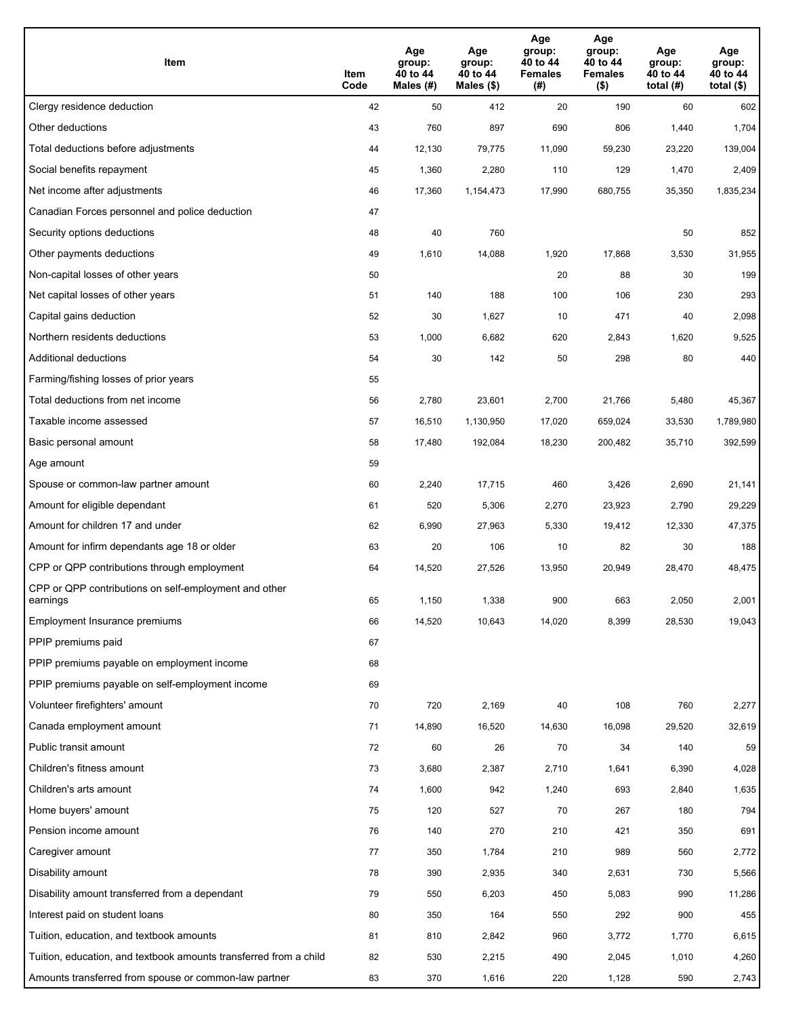| Item                                                              | Item<br>Code | Age<br>group:<br>40 to 44<br>Males (#) | Age<br>group:<br>40 to 44<br>Males (\$) | Age<br>group:<br>40 to 44<br><b>Females</b><br>(#) | Age<br>group:<br>40 to 44<br><b>Females</b><br>$($ \$) | Age<br>group:<br>40 to 44<br>total $(H)$ | Age<br>group:<br>40 to 44<br>total (\$) |
|-------------------------------------------------------------------|--------------|----------------------------------------|-----------------------------------------|----------------------------------------------------|--------------------------------------------------------|------------------------------------------|-----------------------------------------|
| Clergy residence deduction                                        | 42           | 50                                     | 412                                     | 20                                                 | 190                                                    | 60                                       | 602                                     |
| Other deductions                                                  | 43           | 760                                    | 897                                     | 690                                                | 806                                                    | 1,440                                    | 1,704                                   |
| Total deductions before adjustments                               | 44           | 12,130                                 | 79,775                                  | 11,090                                             | 59,230                                                 | 23,220                                   | 139,004                                 |
| Social benefits repayment                                         | 45           | 1,360                                  | 2,280                                   | 110                                                | 129                                                    | 1,470                                    | 2,409                                   |
| Net income after adjustments                                      | 46           | 17,360                                 | 1,154,473                               | 17,990                                             | 680,755                                                | 35,350                                   | 1,835,234                               |
| Canadian Forces personnel and police deduction                    | 47           |                                        |                                         |                                                    |                                                        |                                          |                                         |
| Security options deductions                                       | 48           | 40                                     | 760                                     |                                                    |                                                        | 50                                       | 852                                     |
| Other payments deductions                                         | 49           | 1,610                                  | 14,088                                  | 1,920                                              | 17,868                                                 | 3,530                                    | 31,955                                  |
| Non-capital losses of other years                                 | 50           |                                        |                                         | 20                                                 | 88                                                     | 30                                       | 199                                     |
| Net capital losses of other years                                 | 51           | 140                                    | 188                                     | 100                                                | 106                                                    | 230                                      | 293                                     |
| Capital gains deduction                                           | 52           | 30                                     | 1,627                                   | 10                                                 | 471                                                    | 40                                       | 2,098                                   |
| Northern residents deductions                                     | 53           | 1,000                                  | 6,682                                   | 620                                                | 2,843                                                  | 1,620                                    | 9,525                                   |
| Additional deductions                                             | 54           | 30                                     | 142                                     | 50                                                 | 298                                                    | 80                                       | 440                                     |
| Farming/fishing losses of prior years                             | 55           |                                        |                                         |                                                    |                                                        |                                          |                                         |
| Total deductions from net income                                  | 56           | 2,780                                  | 23,601                                  | 2,700                                              | 21,766                                                 | 5,480                                    | 45,367                                  |
| Taxable income assessed                                           | 57           | 16,510                                 | 1,130,950                               | 17,020                                             | 659,024                                                | 33,530                                   | 1,789,980                               |
| Basic personal amount                                             | 58           | 17,480                                 | 192,084                                 | 18,230                                             | 200,482                                                | 35,710                                   | 392,599                                 |
| Age amount                                                        | 59           |                                        |                                         |                                                    |                                                        |                                          |                                         |
| Spouse or common-law partner amount                               | 60           | 2,240                                  | 17,715                                  | 460                                                | 3,426                                                  | 2,690                                    | 21,141                                  |
| Amount for eligible dependant                                     | 61           | 520                                    | 5,306                                   | 2,270                                              | 23,923                                                 | 2,790                                    | 29,229                                  |
| Amount for children 17 and under                                  | 62           | 6,990                                  | 27,963                                  | 5,330                                              | 19,412                                                 | 12,330                                   | 47,375                                  |
| Amount for infirm dependants age 18 or older                      | 63           | 20                                     | 106                                     | 10                                                 | 82                                                     | 30                                       | 188                                     |
| CPP or QPP contributions through employment                       | 64           | 14,520                                 | 27,526                                  | 13,950                                             | 20,949                                                 | 28,470                                   | 48,475                                  |
| CPP or QPP contributions on self-employment and other<br>earnings | 65           | 1,150                                  | 1,338                                   | 900                                                | 663                                                    | 2,050                                    | 2,001                                   |
| Employment Insurance premiums                                     | 66           | 14,520                                 | 10,643                                  | 14,020                                             | 8,399                                                  | 28,530                                   | 19,043                                  |
| PPIP premiums paid                                                | 67           |                                        |                                         |                                                    |                                                        |                                          |                                         |
| PPIP premiums payable on employment income                        | 68           |                                        |                                         |                                                    |                                                        |                                          |                                         |
| PPIP premiums payable on self-employment income                   | 69           |                                        |                                         |                                                    |                                                        |                                          |                                         |
| Volunteer firefighters' amount                                    | $70\,$       | 720                                    | 2,169                                   | 40                                                 | 108                                                    | 760                                      | 2,277                                   |
| Canada employment amount                                          | 71           | 14,890                                 | 16,520                                  | 14,630                                             | 16,098                                                 | 29,520                                   | 32,619                                  |
| Public transit amount                                             | 72           | 60                                     | 26                                      | 70                                                 | 34                                                     | 140                                      | 59                                      |
| Children's fitness amount                                         | 73           | 3,680                                  | 2,387                                   | 2,710                                              | 1,641                                                  | 6,390                                    | 4,028                                   |
| Children's arts amount                                            | 74           | 1,600                                  | 942                                     | 1,240                                              | 693                                                    | 2,840                                    | 1,635                                   |
| Home buyers' amount                                               | 75           | 120                                    | 527                                     | 70                                                 | 267                                                    | 180                                      | 794                                     |
| Pension income amount                                             | 76           | 140                                    | 270                                     | 210                                                | 421                                                    | 350                                      | 691                                     |
| Caregiver amount                                                  | 77           | 350                                    | 1,784                                   | 210                                                | 989                                                    | 560                                      | 2,772                                   |
| Disability amount                                                 | 78           | 390                                    | 2,935                                   | 340                                                | 2,631                                                  | 730                                      | 5,566                                   |
| Disability amount transferred from a dependant                    | 79           | 550                                    | 6,203                                   | 450                                                | 5,083                                                  | 990                                      | 11,286                                  |
| Interest paid on student loans                                    | 80           | 350                                    | 164                                     | 550                                                | 292                                                    | 900                                      | 455                                     |
| Tuition, education, and textbook amounts                          | 81           | 810                                    | 2,842                                   | 960                                                | 3,772                                                  | 1,770                                    | 6,615                                   |
| Tuition, education, and textbook amounts transferred from a child | 82           | 530                                    | 2,215                                   | 490                                                | 2,045                                                  | 1,010                                    | 4,260                                   |
| Amounts transferred from spouse or common-law partner             | 83           | 370                                    | 1,616                                   | 220                                                | 1,128                                                  | 590                                      | 2,743                                   |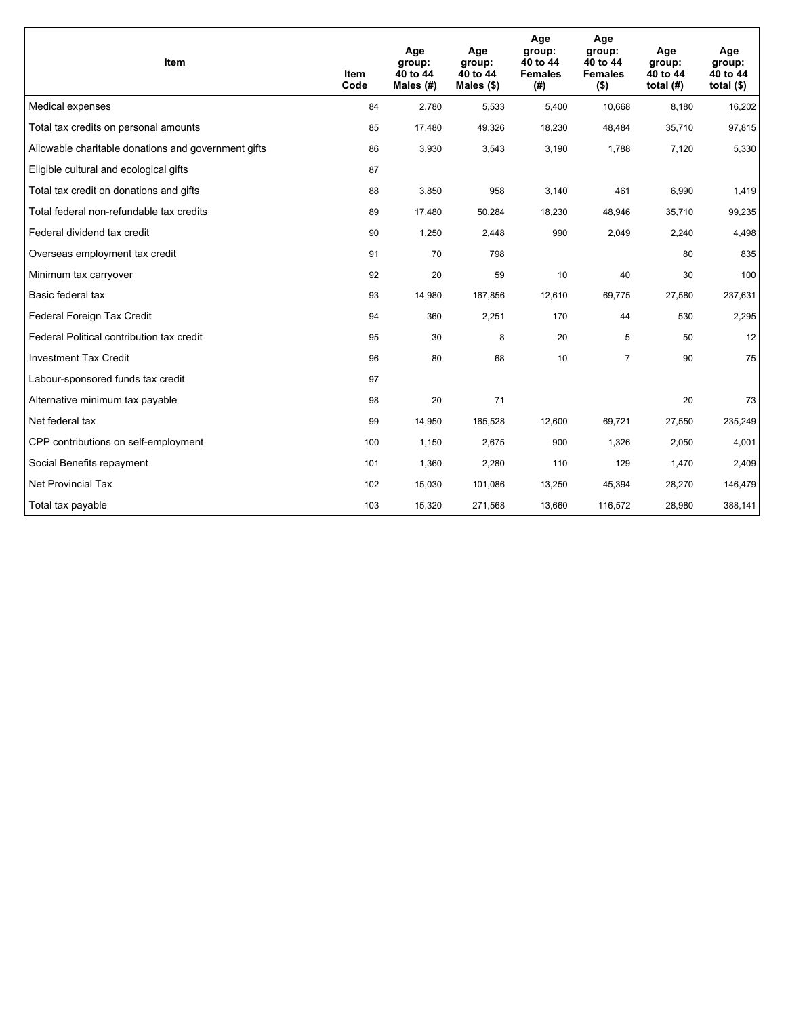| <b>Item</b>                                         | Item<br>Code | Age<br>group:<br>40 to 44<br>Males $(H)$ | Age<br>group:<br>40 to 44<br>Males $(\$)$ | Age<br>group:<br>40 to 44<br><b>Females</b><br>(#) | Age<br>group:<br>40 to 44<br><b>Females</b><br>$($ \$) | Age<br>group:<br>40 to 44<br>total $(H)$ | Age<br>group:<br>40 to 44<br>total $($)$ |
|-----------------------------------------------------|--------------|------------------------------------------|-------------------------------------------|----------------------------------------------------|--------------------------------------------------------|------------------------------------------|------------------------------------------|
| Medical expenses                                    | 84           | 2,780                                    | 5,533                                     | 5,400                                              | 10,668                                                 | 8,180                                    | 16,202                                   |
| Total tax credits on personal amounts               | 85           | 17,480                                   | 49,326                                    | 18,230                                             | 48,484                                                 | 35,710                                   | 97,815                                   |
| Allowable charitable donations and government gifts | 86           | 3,930                                    | 3,543                                     | 3,190                                              | 1,788                                                  | 7,120                                    | 5,330                                    |
| Eligible cultural and ecological gifts              | 87           |                                          |                                           |                                                    |                                                        |                                          |                                          |
| Total tax credit on donations and gifts             | 88           | 3,850                                    | 958                                       | 3,140                                              | 461                                                    | 6,990                                    | 1,419                                    |
| Total federal non-refundable tax credits            | 89           | 17,480                                   | 50,284                                    | 18,230                                             | 48,946                                                 | 35,710                                   | 99,235                                   |
| Federal dividend tax credit                         | 90           | 1,250                                    | 2,448                                     | 990                                                | 2,049                                                  | 2,240                                    | 4,498                                    |
| Overseas employment tax credit                      | 91           | 70                                       | 798                                       |                                                    |                                                        | 80                                       | 835                                      |
| Minimum tax carryover                               | 92           | 20                                       | 59                                        | 10                                                 | 40                                                     | 30                                       | 100                                      |
| Basic federal tax                                   | 93           | 14,980                                   | 167,856                                   | 12,610                                             | 69.775                                                 | 27,580                                   | 237,631                                  |
| Federal Foreign Tax Credit                          | 94           | 360                                      | 2,251                                     | 170                                                | 44                                                     | 530                                      | 2,295                                    |
| Federal Political contribution tax credit           | 95           | 30                                       | 8                                         | 20                                                 | 5                                                      | 50                                       | 12                                       |
| <b>Investment Tax Credit</b>                        | 96           | 80                                       | 68                                        | 10                                                 | $\overline{7}$                                         | 90                                       | 75                                       |
| Labour-sponsored funds tax credit                   | 97           |                                          |                                           |                                                    |                                                        |                                          |                                          |
| Alternative minimum tax payable                     | 98           | 20                                       | 71                                        |                                                    |                                                        | 20                                       | 73                                       |
| Net federal tax                                     | 99           | 14,950                                   | 165,528                                   | 12,600                                             | 69,721                                                 | 27,550                                   | 235,249                                  |
| CPP contributions on self-employment                | 100          | 1,150                                    | 2,675                                     | 900                                                | 1,326                                                  | 2,050                                    | 4,001                                    |
| Social Benefits repayment                           | 101          | 1,360                                    | 2,280                                     | 110                                                | 129                                                    | 1,470                                    | 2,409                                    |
| <b>Net Provincial Tax</b>                           | 102          | 15,030                                   | 101,086                                   | 13,250                                             | 45,394                                                 | 28,270                                   | 146,479                                  |
| Total tax payable                                   | 103          | 15,320                                   | 271,568                                   | 13,660                                             | 116,572                                                | 28,980                                   | 388,141                                  |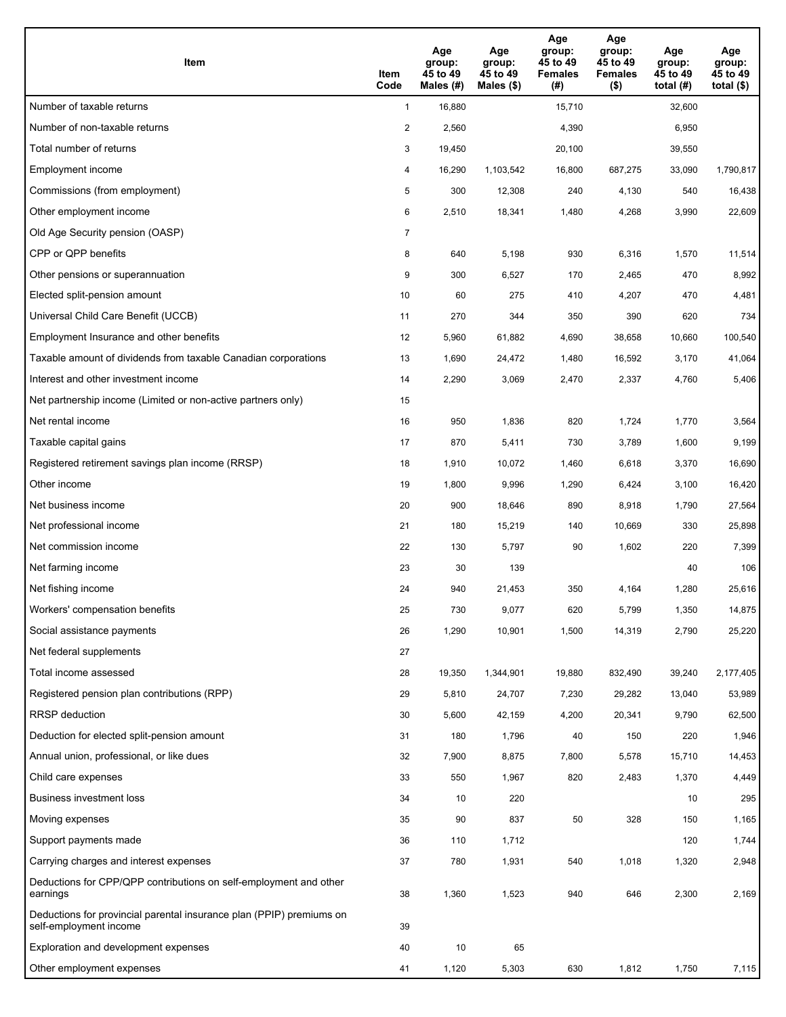| Item                                                                                           | Item<br>Code   | Age<br>group:<br>45 to 49<br>Males (#) | Age<br>group:<br>45 to 49<br>Males $(\$)$ | Age<br>group:<br>45 to 49<br><b>Females</b><br>(#) | Age<br>group:<br>45 to 49<br><b>Females</b><br>$($ \$) | Age<br>group:<br>45 to 49<br>total $(H)$ | Age<br>group:<br>45 to 49<br>total $($)$ |
|------------------------------------------------------------------------------------------------|----------------|----------------------------------------|-------------------------------------------|----------------------------------------------------|--------------------------------------------------------|------------------------------------------|------------------------------------------|
| Number of taxable returns                                                                      | $\mathbf{1}$   | 16,880                                 |                                           | 15,710                                             |                                                        | 32,600                                   |                                          |
| Number of non-taxable returns                                                                  | $\overline{c}$ | 2,560                                  |                                           | 4,390                                              |                                                        | 6,950                                    |                                          |
| Total number of returns                                                                        | 3              | 19,450                                 |                                           | 20,100                                             |                                                        | 39,550                                   |                                          |
| Employment income                                                                              | 4              | 16,290                                 | 1,103,542                                 | 16,800                                             | 687,275                                                | 33,090                                   | 1,790,817                                |
| Commissions (from employment)                                                                  | 5              | 300                                    | 12,308                                    | 240                                                | 4,130                                                  | 540                                      | 16,438                                   |
| Other employment income                                                                        | 6              | 2,510                                  | 18,341                                    | 1,480                                              | 4,268                                                  | 3,990                                    | 22,609                                   |
| Old Age Security pension (OASP)                                                                | $\overline{7}$ |                                        |                                           |                                                    |                                                        |                                          |                                          |
| CPP or QPP benefits                                                                            | 8              | 640                                    | 5,198                                     | 930                                                | 6,316                                                  | 1,570                                    | 11,514                                   |
| Other pensions or superannuation                                                               | 9              | 300                                    | 6,527                                     | 170                                                | 2,465                                                  | 470                                      | 8,992                                    |
| Elected split-pension amount                                                                   | 10             | 60                                     | 275                                       | 410                                                | 4,207                                                  | 470                                      | 4,481                                    |
| Universal Child Care Benefit (UCCB)                                                            | 11             | 270                                    | 344                                       | 350                                                | 390                                                    | 620                                      | 734                                      |
| Employment Insurance and other benefits                                                        | 12             | 5,960                                  | 61,882                                    | 4,690                                              | 38,658                                                 | 10,660                                   | 100,540                                  |
| Taxable amount of dividends from taxable Canadian corporations                                 | 13             | 1,690                                  | 24,472                                    | 1,480                                              | 16,592                                                 | 3,170                                    | 41,064                                   |
| Interest and other investment income                                                           | 14             | 2,290                                  | 3,069                                     | 2,470                                              | 2,337                                                  | 4,760                                    | 5,406                                    |
| Net partnership income (Limited or non-active partners only)                                   | 15             |                                        |                                           |                                                    |                                                        |                                          |                                          |
| Net rental income                                                                              | 16             | 950                                    | 1,836                                     | 820                                                | 1,724                                                  | 1,770                                    | 3,564                                    |
| Taxable capital gains                                                                          | 17             | 870                                    | 5,411                                     | 730                                                | 3,789                                                  | 1,600                                    | 9,199                                    |
| Registered retirement savings plan income (RRSP)                                               | 18             | 1,910                                  | 10,072                                    | 1,460                                              | 6,618                                                  | 3,370                                    | 16,690                                   |
| Other income                                                                                   | 19             | 1,800                                  | 9,996                                     | 1,290                                              | 6,424                                                  | 3,100                                    | 16,420                                   |
| Net business income                                                                            | 20             | 900                                    | 18,646                                    | 890                                                | 8,918                                                  | 1,790                                    | 27,564                                   |
| Net professional income                                                                        | 21             | 180                                    | 15,219                                    | 140                                                | 10,669                                                 | 330                                      | 25,898                                   |
| Net commission income                                                                          | 22             | 130                                    | 5,797                                     | 90                                                 | 1,602                                                  | 220                                      | 7,399                                    |
| Net farming income                                                                             | 23             | 30                                     | 139                                       |                                                    |                                                        | 40                                       | 106                                      |
| Net fishing income                                                                             | 24             | 940                                    | 21,453                                    | 350                                                | 4,164                                                  | 1,280                                    | 25,616                                   |
| Workers' compensation benefits                                                                 | 25             | 730                                    | 9,077                                     | 620                                                | 5,799                                                  | 1,350                                    | 14,875                                   |
| Social assistance payments                                                                     | 26             | 1,290                                  | 10,901                                    | 1,500                                              | 14,319                                                 | 2,790                                    | 25,220                                   |
| Net federal supplements                                                                        | 27             |                                        |                                           |                                                    |                                                        |                                          |                                          |
| Total income assessed                                                                          | 28             | 19,350                                 | 1,344,901                                 | 19,880                                             | 832,490                                                | 39,240                                   | 2,177,405                                |
| Registered pension plan contributions (RPP)                                                    | 29             | 5,810                                  | 24,707                                    | 7,230                                              | 29,282                                                 | 13,040                                   | 53,989                                   |
| RRSP deduction                                                                                 | 30             | 5,600                                  | 42,159                                    | 4,200                                              | 20,341                                                 | 9,790                                    | 62,500                                   |
| Deduction for elected split-pension amount                                                     | 31             | 180                                    | 1,796                                     | 40                                                 | 150                                                    | 220                                      | 1,946                                    |
| Annual union, professional, or like dues                                                       | 32             | 7,900                                  | 8,875                                     | 7,800                                              | 5,578                                                  | 15,710                                   | 14,453                                   |
| Child care expenses                                                                            | 33             | 550                                    | 1,967                                     | 820                                                | 2,483                                                  | 1,370                                    | 4,449                                    |
| <b>Business investment loss</b>                                                                | 34             | 10                                     | 220                                       |                                                    |                                                        | 10                                       | 295                                      |
| Moving expenses                                                                                | 35             | 90                                     | 837                                       | 50                                                 | 328                                                    | 150                                      | 1,165                                    |
| Support payments made                                                                          | 36             | 110                                    | 1,712                                     |                                                    |                                                        | 120                                      | 1,744                                    |
| Carrying charges and interest expenses                                                         | 37             | 780                                    | 1,931                                     | 540                                                | 1,018                                                  | 1,320                                    | 2,948                                    |
| Deductions for CPP/QPP contributions on self-employment and other<br>earnings                  | 38             | 1,360                                  | 1,523                                     | 940                                                | 646                                                    | 2,300                                    | 2,169                                    |
| Deductions for provincial parental insurance plan (PPIP) premiums on<br>self-employment income | 39             |                                        |                                           |                                                    |                                                        |                                          |                                          |
| Exploration and development expenses                                                           | 40             | 10                                     | 65                                        |                                                    |                                                        |                                          |                                          |
| Other employment expenses                                                                      | 41             | 1,120                                  | 5,303                                     | 630                                                | 1,812                                                  | 1,750                                    | 7,115                                    |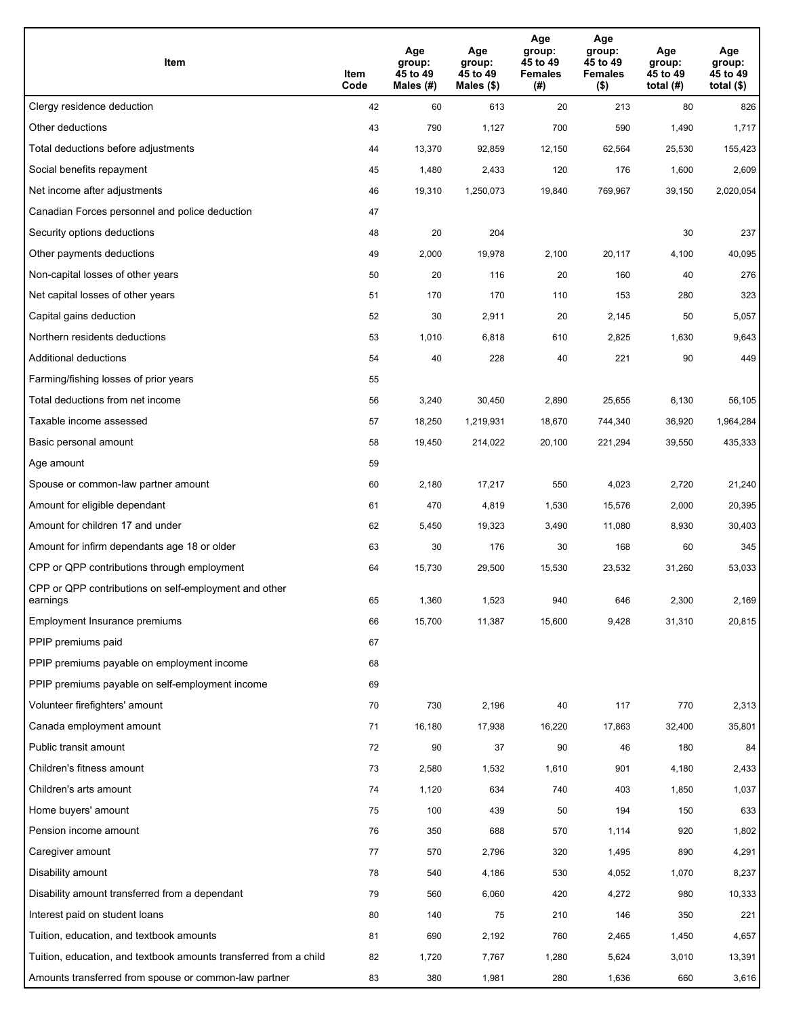| Item                                                              | Item<br>Code | Age<br>group:<br>45 to 49<br>Males (#) | Age<br>group:<br>45 to 49<br>Males (\$) | Age<br>group:<br>45 to 49<br><b>Females</b><br>(#) | Age<br>group:<br>45 to 49<br><b>Females</b><br>$($ \$) | Age<br>group:<br>45 to 49<br>total $(H)$ | Age<br>group:<br>45 to 49<br>total (\$) |
|-------------------------------------------------------------------|--------------|----------------------------------------|-----------------------------------------|----------------------------------------------------|--------------------------------------------------------|------------------------------------------|-----------------------------------------|
| Clergy residence deduction                                        | 42           | 60                                     | 613                                     | 20                                                 | 213                                                    | 80                                       | 826                                     |
| Other deductions                                                  | 43           | 790                                    | 1,127                                   | 700                                                | 590                                                    | 1,490                                    | 1,717                                   |
| Total deductions before adjustments                               | 44           | 13,370                                 | 92,859                                  | 12,150                                             | 62,564                                                 | 25,530                                   | 155,423                                 |
| Social benefits repayment                                         | 45           | 1,480                                  | 2,433                                   | 120                                                | 176                                                    | 1,600                                    | 2,609                                   |
| Net income after adjustments                                      | 46           | 19,310                                 | 1,250,073                               | 19,840                                             | 769,967                                                | 39,150                                   | 2,020,054                               |
| Canadian Forces personnel and police deduction                    | 47           |                                        |                                         |                                                    |                                                        |                                          |                                         |
| Security options deductions                                       | 48           | 20                                     | 204                                     |                                                    |                                                        | 30                                       | 237                                     |
| Other payments deductions                                         | 49           | 2,000                                  | 19,978                                  | 2,100                                              | 20,117                                                 | 4,100                                    | 40,095                                  |
| Non-capital losses of other years                                 | 50           | 20                                     | 116                                     | 20                                                 | 160                                                    | 40                                       | 276                                     |
| Net capital losses of other years                                 | 51           | 170                                    | 170                                     | 110                                                | 153                                                    | 280                                      | 323                                     |
| Capital gains deduction                                           | 52           | 30                                     | 2,911                                   | 20                                                 | 2,145                                                  | 50                                       | 5,057                                   |
| Northern residents deductions                                     | 53           | 1,010                                  | 6,818                                   | 610                                                | 2,825                                                  | 1,630                                    | 9,643                                   |
| Additional deductions                                             | 54           | 40                                     | 228                                     | 40                                                 | 221                                                    | 90                                       | 449                                     |
| Farming/fishing losses of prior years                             | 55           |                                        |                                         |                                                    |                                                        |                                          |                                         |
| Total deductions from net income                                  | 56           | 3,240                                  | 30,450                                  | 2,890                                              | 25,655                                                 | 6,130                                    | 56,105                                  |
| Taxable income assessed                                           | 57           | 18,250                                 | 1,219,931                               | 18,670                                             | 744,340                                                | 36,920                                   | 1,964,284                               |
| Basic personal amount                                             | 58           | 19,450                                 | 214,022                                 | 20,100                                             | 221,294                                                | 39,550                                   | 435,333                                 |
| Age amount                                                        | 59           |                                        |                                         |                                                    |                                                        |                                          |                                         |
| Spouse or common-law partner amount                               | 60           | 2,180                                  | 17,217                                  | 550                                                | 4,023                                                  | 2,720                                    | 21,240                                  |
| Amount for eligible dependant                                     | 61           | 470                                    | 4,819                                   | 1,530                                              | 15,576                                                 | 2,000                                    | 20,395                                  |
| Amount for children 17 and under                                  | 62           | 5,450                                  | 19,323                                  | 3,490                                              | 11,080                                                 | 8,930                                    | 30,403                                  |
| Amount for infirm dependants age 18 or older                      | 63           | 30                                     | 176                                     | 30                                                 | 168                                                    | 60                                       | 345                                     |
| CPP or QPP contributions through employment                       | 64           | 15,730                                 | 29,500                                  | 15,530                                             | 23,532                                                 | 31,260                                   | 53,033                                  |
| CPP or QPP contributions on self-employment and other<br>earnings | 65           | 1,360                                  | 1,523                                   | 940                                                | 646                                                    | 2,300                                    | 2,169                                   |
| Employment Insurance premiums                                     | 66           | 15,700                                 | 11,387                                  | 15,600                                             | 9,428                                                  | 31,310                                   | 20,815                                  |
| PPIP premiums paid                                                | 67           |                                        |                                         |                                                    |                                                        |                                          |                                         |
| PPIP premiums payable on employment income                        | 68           |                                        |                                         |                                                    |                                                        |                                          |                                         |
| PPIP premiums payable on self-employment income                   | 69           |                                        |                                         |                                                    |                                                        |                                          |                                         |
| Volunteer firefighters' amount                                    | 70           | 730                                    | 2,196                                   | 40                                                 | 117                                                    | 770                                      | 2,313                                   |
| Canada employment amount                                          | 71           | 16,180                                 | 17,938                                  | 16,220                                             | 17,863                                                 | 32,400                                   | 35,801                                  |
| Public transit amount                                             | 72           | 90                                     | 37                                      | 90                                                 | 46                                                     | 180                                      | 84                                      |
| Children's fitness amount                                         | 73           | 2,580                                  | 1,532                                   | 1,610                                              | 901                                                    | 4,180                                    | 2,433                                   |
| Children's arts amount                                            | 74           | 1,120                                  | 634                                     | 740                                                | 403                                                    | 1,850                                    | 1,037                                   |
| Home buyers' amount                                               | 75           | 100                                    | 439                                     | 50                                                 | 194                                                    | 150                                      | 633                                     |
| Pension income amount                                             | 76           | 350                                    | 688                                     | 570                                                | 1,114                                                  | 920                                      | 1,802                                   |
| Caregiver amount                                                  | 77           | 570                                    | 2,796                                   | 320                                                | 1,495                                                  | 890                                      | 4,291                                   |
| Disability amount                                                 | 78           | 540                                    | 4,186                                   | 530                                                | 4,052                                                  | 1,070                                    | 8,237                                   |
| Disability amount transferred from a dependant                    | 79           | 560                                    | 6,060                                   | 420                                                | 4,272                                                  | 980                                      | 10,333                                  |
| Interest paid on student loans                                    | 80           | 140                                    | 75                                      | 210                                                | 146                                                    | 350                                      | 221                                     |
| Tuition, education, and textbook amounts                          | 81           | 690                                    | 2,192                                   | 760                                                | 2,465                                                  | 1,450                                    | 4,657                                   |
| Tuition, education, and textbook amounts transferred from a child | 82           | 1,720                                  | 7,767                                   | 1,280                                              | 5,624                                                  | 3,010                                    | 13,391                                  |
| Amounts transferred from spouse or common-law partner             | 83           | 380                                    | 1,981                                   | 280                                                | 1,636                                                  | 660                                      | 3,616                                   |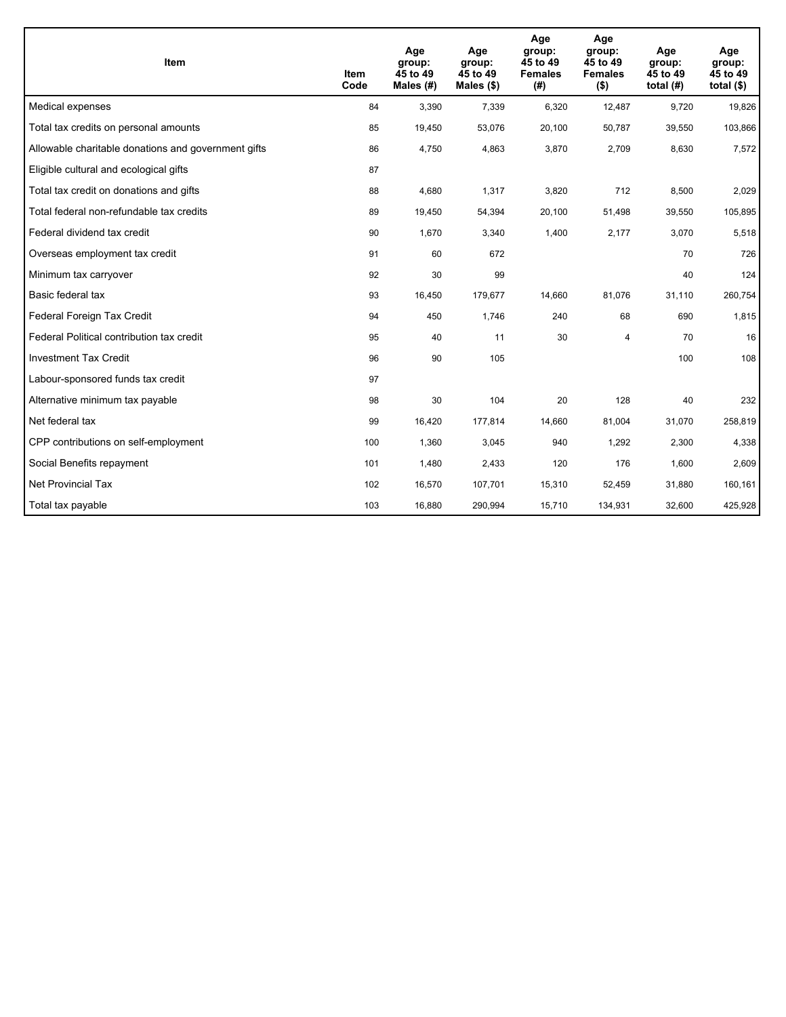| <b>Item</b>                                         | Item<br>Code | Age<br>group:<br>45 to 49<br>Males (#) | Age<br>group:<br>45 to 49<br>Males (\$) | Age<br>group:<br>45 to 49<br><b>Females</b><br>(#) | Age<br>group:<br>45 to 49<br><b>Females</b><br>$($ \$) | Age<br>group:<br>45 to 49<br>total $(H)$ | Age<br>group:<br>45 to 49<br>total $($)$ |
|-----------------------------------------------------|--------------|----------------------------------------|-----------------------------------------|----------------------------------------------------|--------------------------------------------------------|------------------------------------------|------------------------------------------|
| Medical expenses                                    | 84           | 3,390                                  | 7,339                                   | 6,320                                              | 12,487                                                 | 9,720                                    | 19,826                                   |
| Total tax credits on personal amounts               | 85           | 19,450                                 | 53,076                                  | 20,100                                             | 50,787                                                 | 39,550                                   | 103,866                                  |
| Allowable charitable donations and government gifts | 86           | 4,750                                  | 4,863                                   | 3,870                                              | 2,709                                                  | 8,630                                    | 7,572                                    |
| Eligible cultural and ecological gifts              | 87           |                                        |                                         |                                                    |                                                        |                                          |                                          |
| Total tax credit on donations and gifts             | 88           | 4,680                                  | 1,317                                   | 3,820                                              | 712                                                    | 8,500                                    | 2,029                                    |
| Total federal non-refundable tax credits            | 89           | 19,450                                 | 54,394                                  | 20,100                                             | 51,498                                                 | 39,550                                   | 105,895                                  |
| Federal dividend tax credit                         | 90           | 1,670                                  | 3,340                                   | 1,400                                              | 2,177                                                  | 3,070                                    | 5,518                                    |
| Overseas employment tax credit                      | 91           | 60                                     | 672                                     |                                                    |                                                        | 70                                       | 726                                      |
| Minimum tax carryover                               | 92           | 30                                     | 99                                      |                                                    |                                                        | 40                                       | 124                                      |
| Basic federal tax                                   | 93           | 16,450                                 | 179,677                                 | 14,660                                             | 81,076                                                 | 31,110                                   | 260,754                                  |
| Federal Foreign Tax Credit                          | 94           | 450                                    | 1,746                                   | 240                                                | 68                                                     | 690                                      | 1,815                                    |
| Federal Political contribution tax credit           | 95           | 40                                     | 11                                      | 30                                                 | 4                                                      | 70                                       | 16                                       |
| <b>Investment Tax Credit</b>                        | 96           | 90                                     | 105                                     |                                                    |                                                        | 100                                      | 108                                      |
| Labour-sponsored funds tax credit                   | 97           |                                        |                                         |                                                    |                                                        |                                          |                                          |
| Alternative minimum tax payable                     | 98           | 30                                     | 104                                     | 20                                                 | 128                                                    | 40                                       | 232                                      |
| Net federal tax                                     | 99           | 16,420                                 | 177,814                                 | 14,660                                             | 81,004                                                 | 31,070                                   | 258,819                                  |
| CPP contributions on self-employment                | 100          | 1,360                                  | 3,045                                   | 940                                                | 1,292                                                  | 2,300                                    | 4,338                                    |
| Social Benefits repayment                           | 101          | 1,480                                  | 2,433                                   | 120                                                | 176                                                    | 1,600                                    | 2,609                                    |
| <b>Net Provincial Tax</b>                           | 102          | 16,570                                 | 107,701                                 | 15,310                                             | 52,459                                                 | 31,880                                   | 160,161                                  |
| Total tax payable                                   | 103          | 16,880                                 | 290,994                                 | 15,710                                             | 134,931                                                | 32,600                                   | 425,928                                  |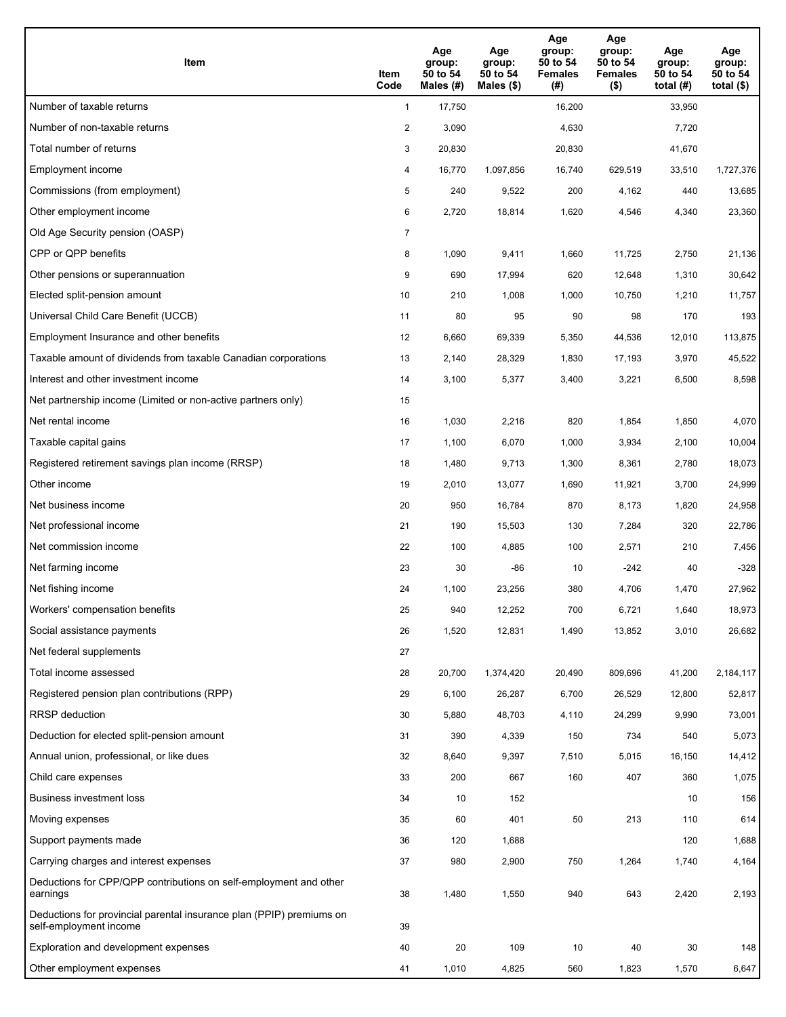| Item                                                                                           | Item<br>Code   | Age<br>group:<br>50 to 54<br>Males (#) | Age<br>group:<br>50 to 54<br>Males $(\$)$ | Age<br>group:<br>50 to 54<br><b>Females</b><br>(#) | Age<br>group:<br>50 to 54<br><b>Females</b><br>$($ \$) | Age<br>group:<br>50 to 54<br>total $(H)$ | Age<br>group:<br>50 to 54<br>total $($ |
|------------------------------------------------------------------------------------------------|----------------|----------------------------------------|-------------------------------------------|----------------------------------------------------|--------------------------------------------------------|------------------------------------------|----------------------------------------|
| Number of taxable returns                                                                      | $\mathbf{1}$   | 17,750                                 |                                           | 16,200                                             |                                                        | 33,950                                   |                                        |
| Number of non-taxable returns                                                                  | $\overline{a}$ | 3,090                                  |                                           | 4,630                                              |                                                        | 7,720                                    |                                        |
| Total number of returns                                                                        | 3              | 20,830                                 |                                           | 20,830                                             |                                                        | 41,670                                   |                                        |
| Employment income                                                                              | 4              | 16,770                                 | 1,097,856                                 | 16,740                                             | 629.519                                                | 33,510                                   | 1,727,376                              |
| Commissions (from employment)                                                                  | 5              | 240                                    | 9,522                                     | 200                                                | 4,162                                                  | 440                                      | 13,685                                 |
| Other employment income                                                                        | 6              | 2,720                                  | 18,814                                    | 1,620                                              | 4,546                                                  | 4,340                                    | 23,360                                 |
| Old Age Security pension (OASP)                                                                | $\overline{7}$ |                                        |                                           |                                                    |                                                        |                                          |                                        |
| CPP or QPP benefits                                                                            | 8              | 1,090                                  | 9,411                                     | 1,660                                              | 11,725                                                 | 2,750                                    | 21,136                                 |
| Other pensions or superannuation                                                               | 9              | 690                                    | 17,994                                    | 620                                                | 12,648                                                 | 1,310                                    | 30,642                                 |
| Elected split-pension amount                                                                   | 10             | 210                                    | 1,008                                     | 1,000                                              | 10,750                                                 | 1,210                                    | 11,757                                 |
| Universal Child Care Benefit (UCCB)                                                            | 11             | 80                                     | 95                                        | 90                                                 | 98                                                     | 170                                      | 193                                    |
| Employment Insurance and other benefits                                                        | 12             | 6,660                                  | 69,339                                    | 5,350                                              | 44,536                                                 | 12,010                                   | 113,875                                |
| Taxable amount of dividends from taxable Canadian corporations                                 | 13             | 2,140                                  | 28,329                                    | 1,830                                              | 17,193                                                 | 3,970                                    | 45,522                                 |
| Interest and other investment income                                                           | 14             | 3,100                                  | 5,377                                     | 3,400                                              | 3,221                                                  | 6,500                                    | 8,598                                  |
| Net partnership income (Limited or non-active partners only)                                   | 15             |                                        |                                           |                                                    |                                                        |                                          |                                        |
| Net rental income                                                                              | 16             | 1,030                                  | 2,216                                     | 820                                                | 1,854                                                  | 1,850                                    | 4,070                                  |
| Taxable capital gains                                                                          | 17             | 1,100                                  | 6,070                                     | 1,000                                              | 3,934                                                  | 2,100                                    | 10,004                                 |
| Registered retirement savings plan income (RRSP)                                               | 18             | 1,480                                  | 9,713                                     | 1,300                                              | 8,361                                                  | 2,780                                    | 18,073                                 |
| Other income                                                                                   | 19             | 2,010                                  | 13,077                                    | 1,690                                              | 11,921                                                 | 3,700                                    | 24,999                                 |
| Net business income                                                                            | 20             | 950                                    | 16,784                                    | 870                                                | 8,173                                                  | 1,820                                    | 24,958                                 |
| Net professional income                                                                        | 21             | 190                                    | 15,503                                    | 130                                                | 7,284                                                  | 320                                      | 22,786                                 |
| Net commission income                                                                          | 22             | 100                                    | 4,885                                     | 100                                                | 2,571                                                  | 210                                      | 7,456                                  |
| Net farming income                                                                             | 23             | 30                                     | -86                                       | 10                                                 | $-242$                                                 | 40                                       | $-328$                                 |
| Net fishing income                                                                             | 24             | 1,100                                  | 23,256                                    | 380                                                | 4,706                                                  | 1,470                                    | 27,962                                 |
| Workers' compensation benefits                                                                 | 25             | 940                                    | 12,252                                    | 700                                                | 6,721                                                  | 1,640                                    | 18,973                                 |
| Social assistance payments                                                                     | 26             | 1,520                                  | 12,831                                    | 1,490                                              | 13,852                                                 | 3,010                                    | 26,682                                 |
| Net federal supplements                                                                        | 27             |                                        |                                           |                                                    |                                                        |                                          |                                        |
| Total income assessed                                                                          | 28             | 20,700                                 | 1,374,420                                 | 20,490                                             | 809,696                                                | 41,200                                   | 2,184,117                              |
| Registered pension plan contributions (RPP)                                                    | 29             | 6,100                                  | 26,287                                    | 6,700                                              | 26,529                                                 | 12,800                                   | 52,817                                 |
| <b>RRSP</b> deduction                                                                          | 30             | 5,880                                  | 48,703                                    | 4,110                                              | 24,299                                                 | 9,990                                    | 73,001                                 |
| Deduction for elected split-pension amount                                                     | 31             | 390                                    | 4,339                                     | 150                                                | 734                                                    | 540                                      | 5,073                                  |
| Annual union, professional, or like dues                                                       | 32             | 8,640                                  | 9,397                                     | 7,510                                              | 5,015                                                  | 16,150                                   | 14,412                                 |
| Child care expenses                                                                            | 33             | 200                                    | 667                                       | 160                                                | 407                                                    | 360                                      | 1,075                                  |
| Business investment loss                                                                       | 34             | 10                                     | 152                                       |                                                    |                                                        | 10                                       | 156                                    |
| Moving expenses                                                                                | 35             | 60                                     | 401                                       | 50                                                 | 213                                                    | 110                                      | 614                                    |
| Support payments made                                                                          | 36             | 120                                    | 1,688                                     |                                                    |                                                        | 120                                      | 1,688                                  |
| Carrying charges and interest expenses                                                         | 37             | 980                                    | 2,900                                     | 750                                                | 1,264                                                  | 1,740                                    | 4,164                                  |
| Deductions for CPP/QPP contributions on self-employment and other<br>earnings                  | 38             | 1,480                                  | 1,550                                     | 940                                                | 643                                                    | 2,420                                    | 2,193                                  |
| Deductions for provincial parental insurance plan (PPIP) premiums on<br>self-employment income | 39             |                                        |                                           |                                                    |                                                        |                                          |                                        |
| Exploration and development expenses                                                           | 40             | 20                                     | 109                                       | 10                                                 | 40                                                     | 30                                       | 148                                    |
| Other employment expenses                                                                      | 41             | 1,010                                  | 4,825                                     | 560                                                | 1,823                                                  | 1,570                                    | 6,647                                  |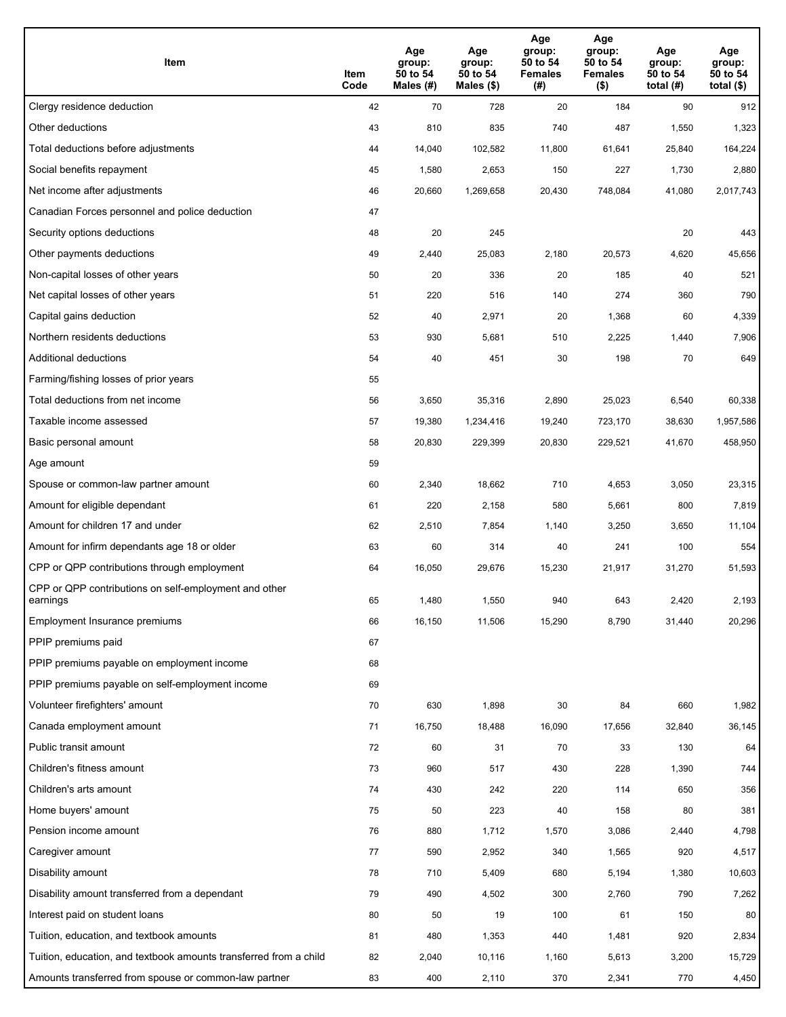| Item                                                              | Item<br>Code | Age<br>group:<br>50 to 54<br>Males (#) | Age<br>group:<br>50 to 54<br>Males (\$) | Age<br>group:<br>50 to 54<br><b>Females</b><br>(# ) | Age<br>group:<br>50 to 54<br><b>Females</b><br>$($ \$) | Age<br>group:<br>50 to 54<br>total $(H)$ | Age<br>group:<br>50 to 54<br>total $($)$ |
|-------------------------------------------------------------------|--------------|----------------------------------------|-----------------------------------------|-----------------------------------------------------|--------------------------------------------------------|------------------------------------------|------------------------------------------|
| Clergy residence deduction                                        | 42           | 70                                     | 728                                     | 20                                                  | 184                                                    | 90                                       | 912                                      |
| Other deductions                                                  | 43           | 810                                    | 835                                     | 740                                                 | 487                                                    | 1,550                                    | 1,323                                    |
| Total deductions before adjustments                               | 44           | 14,040                                 | 102,582                                 | 11,800                                              | 61,641                                                 | 25,840                                   | 164,224                                  |
| Social benefits repayment                                         | 45           | 1,580                                  | 2,653                                   | 150                                                 | 227                                                    | 1,730                                    | 2,880                                    |
| Net income after adjustments                                      | 46           | 20,660                                 | 1,269,658                               | 20,430                                              | 748,084                                                | 41,080                                   | 2,017,743                                |
| Canadian Forces personnel and police deduction                    | 47           |                                        |                                         |                                                     |                                                        |                                          |                                          |
| Security options deductions                                       | 48           | 20                                     | 245                                     |                                                     |                                                        | 20                                       | 443                                      |
| Other payments deductions                                         | 49           | 2,440                                  | 25,083                                  | 2,180                                               | 20,573                                                 | 4,620                                    | 45,656                                   |
| Non-capital losses of other years                                 | 50           | 20                                     | 336                                     | 20                                                  | 185                                                    | 40                                       | 521                                      |
| Net capital losses of other years                                 | 51           | 220                                    | 516                                     | 140                                                 | 274                                                    | 360                                      | 790                                      |
| Capital gains deduction                                           | 52           | 40                                     | 2,971                                   | 20                                                  | 1,368                                                  | 60                                       | 4,339                                    |
| Northern residents deductions                                     | 53           | 930                                    | 5,681                                   | 510                                                 | 2,225                                                  | 1,440                                    | 7,906                                    |
| Additional deductions                                             | 54           | 40                                     | 451                                     | 30                                                  | 198                                                    | 70                                       | 649                                      |
| Farming/fishing losses of prior years                             | 55           |                                        |                                         |                                                     |                                                        |                                          |                                          |
| Total deductions from net income                                  | 56           | 3,650                                  | 35,316                                  | 2,890                                               | 25,023                                                 | 6,540                                    | 60,338                                   |
| Taxable income assessed                                           | 57           | 19,380                                 | 1,234,416                               | 19,240                                              | 723,170                                                | 38,630                                   | 1,957,586                                |
| Basic personal amount                                             | 58           | 20,830                                 | 229,399                                 | 20,830                                              | 229,521                                                | 41,670                                   | 458,950                                  |
| Age amount                                                        | 59           |                                        |                                         |                                                     |                                                        |                                          |                                          |
| Spouse or common-law partner amount                               | 60           | 2,340                                  | 18,662                                  | 710                                                 | 4,653                                                  | 3,050                                    | 23,315                                   |
| Amount for eligible dependant                                     | 61           | 220                                    | 2,158                                   | 580                                                 | 5,661                                                  | 800                                      | 7,819                                    |
| Amount for children 17 and under                                  | 62           | 2,510                                  | 7,854                                   | 1,140                                               | 3,250                                                  | 3,650                                    | 11,104                                   |
| Amount for infirm dependants age 18 or older                      | 63           | 60                                     | 314                                     | 40                                                  | 241                                                    | 100                                      | 554                                      |
| CPP or QPP contributions through employment                       | 64           | 16,050                                 | 29,676                                  | 15,230                                              | 21,917                                                 | 31,270                                   | 51,593                                   |
| CPP or QPP contributions on self-employment and other<br>earnings | 65           | 1,480                                  | 1,550                                   | 940                                                 | 643                                                    | 2,420                                    | 2,193                                    |
| Employment Insurance premiums                                     | 66           | 16,150                                 | 11,506                                  | 15,290                                              | 8,790                                                  | 31,440                                   | 20,296                                   |
| PPIP premiums paid                                                | 67           |                                        |                                         |                                                     |                                                        |                                          |                                          |
| PPIP premiums payable on employment income                        | 68           |                                        |                                         |                                                     |                                                        |                                          |                                          |
| PPIP premiums payable on self-employment income                   | 69           |                                        |                                         |                                                     |                                                        |                                          |                                          |
| Volunteer firefighters' amount                                    | 70           | 630                                    | 1,898                                   | 30                                                  | 84                                                     | 660                                      | 1,982                                    |
| Canada employment amount                                          | 71           | 16,750                                 | 18,488                                  | 16,090                                              | 17,656                                                 | 32,840                                   | 36,145                                   |
| Public transit amount                                             | 72           | 60                                     | 31                                      | 70                                                  | 33                                                     | 130                                      | 64                                       |
| Children's fitness amount                                         | 73           | 960                                    | 517                                     | 430                                                 | 228                                                    | 1,390                                    | 744                                      |
| Children's arts amount                                            | 74           | 430                                    | 242                                     | 220                                                 | 114                                                    | 650                                      | 356                                      |
| Home buyers' amount                                               | 75           | 50                                     | 223                                     | 40                                                  | 158                                                    | 80                                       | 381                                      |
| Pension income amount                                             | 76           | 880                                    | 1,712                                   | 1,570                                               | 3,086                                                  | 2,440                                    | 4,798                                    |
| Caregiver amount                                                  | $77 \,$      | 590                                    | 2,952                                   | 340                                                 | 1,565                                                  | 920                                      | 4,517                                    |
| Disability amount                                                 | 78           | 710                                    | 5,409                                   | 680                                                 | 5,194                                                  | 1,380                                    | 10,603                                   |
| Disability amount transferred from a dependant                    | 79           | 490                                    | 4,502                                   | 300                                                 | 2,760                                                  | 790                                      | 7,262                                    |
| Interest paid on student loans                                    | 80           | 50                                     | 19                                      | 100                                                 | 61                                                     | 150                                      | 80                                       |
| Tuition, education, and textbook amounts                          | 81           | 480                                    | 1,353                                   | 440                                                 | 1,481                                                  | 920                                      | 2,834                                    |
| Tuition, education, and textbook amounts transferred from a child | 82           | 2,040                                  | 10,116                                  | 1,160                                               | 5,613                                                  | 3,200                                    | 15,729                                   |
| Amounts transferred from spouse or common-law partner             | 83           | 400                                    | 2,110                                   | 370                                                 | 2,341                                                  | 770                                      | 4,450                                    |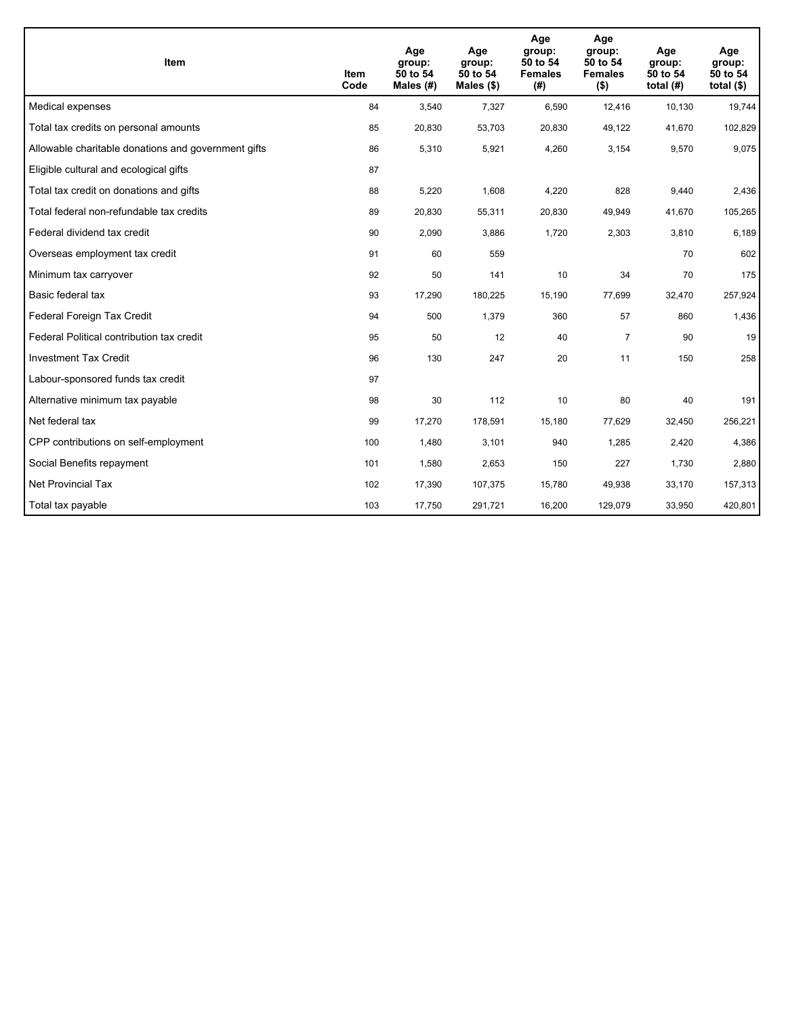| <b>Item</b>                                         | Item<br>Code | Age<br>group:<br>50 to 54<br>Males $(H)$ | Age<br>group:<br>50 to 54<br>Males $(\$)$ | Age<br>group:<br>50 to 54<br><b>Females</b><br>(#) | Age<br>group:<br>50 to 54<br><b>Females</b><br>$($ \$) | Age<br>group:<br>50 to 54<br>total $(H)$ | Age<br>group:<br>50 to 54<br>total $($)$ |
|-----------------------------------------------------|--------------|------------------------------------------|-------------------------------------------|----------------------------------------------------|--------------------------------------------------------|------------------------------------------|------------------------------------------|
| Medical expenses                                    | 84           | 3,540                                    | 7,327                                     | 6,590                                              | 12,416                                                 | 10,130                                   | 19,744                                   |
| Total tax credits on personal amounts               | 85           | 20,830                                   | 53,703                                    | 20,830                                             | 49,122                                                 | 41,670                                   | 102,829                                  |
| Allowable charitable donations and government gifts | 86           | 5,310                                    | 5,921                                     | 4,260                                              | 3,154                                                  | 9,570                                    | 9,075                                    |
| Eligible cultural and ecological gifts              | 87           |                                          |                                           |                                                    |                                                        |                                          |                                          |
| Total tax credit on donations and gifts             | 88           | 5,220                                    | 1,608                                     | 4,220                                              | 828                                                    | 9,440                                    | 2,436                                    |
| Total federal non-refundable tax credits            | 89           | 20,830                                   | 55,311                                    | 20,830                                             | 49,949                                                 | 41,670                                   | 105,265                                  |
| Federal dividend tax credit                         | 90           | 2,090                                    | 3,886                                     | 1,720                                              | 2,303                                                  | 3,810                                    | 6,189                                    |
| Overseas employment tax credit                      | 91           | 60                                       | 559                                       |                                                    |                                                        | 70                                       | 602                                      |
| Minimum tax carryover                               | 92           | 50                                       | 141                                       | 10                                                 | 34                                                     | 70                                       | 175                                      |
| Basic federal tax                                   | 93           | 17,290                                   | 180,225                                   | 15,190                                             | 77,699                                                 | 32,470                                   | 257,924                                  |
| Federal Foreign Tax Credit                          | 94           | 500                                      | 1,379                                     | 360                                                | 57                                                     | 860                                      | 1,436                                    |
| Federal Political contribution tax credit           | 95           | 50                                       | 12                                        | 40                                                 | $\overline{7}$                                         | 90                                       | 19                                       |
| <b>Investment Tax Credit</b>                        | 96           | 130                                      | 247                                       | 20                                                 | 11                                                     | 150                                      | 258                                      |
| Labour-sponsored funds tax credit                   | 97           |                                          |                                           |                                                    |                                                        |                                          |                                          |
| Alternative minimum tax payable                     | 98           | 30                                       | 112                                       | 10                                                 | 80                                                     | 40                                       | 191                                      |
| Net federal tax                                     | 99           | 17,270                                   | 178,591                                   | 15,180                                             | 77,629                                                 | 32,450                                   | 256,221                                  |
| CPP contributions on self-employment                | 100          | 1,480                                    | 3,101                                     | 940                                                | 1,285                                                  | 2,420                                    | 4,386                                    |
| Social Benefits repayment                           | 101          | 1,580                                    | 2,653                                     | 150                                                | 227                                                    | 1,730                                    | 2,880                                    |
| <b>Net Provincial Tax</b>                           | 102          | 17,390                                   | 107,375                                   | 15,780                                             | 49,938                                                 | 33,170                                   | 157,313                                  |
| Total tax payable                                   | 103          | 17,750                                   | 291,721                                   | 16,200                                             | 129,079                                                | 33,950                                   | 420,801                                  |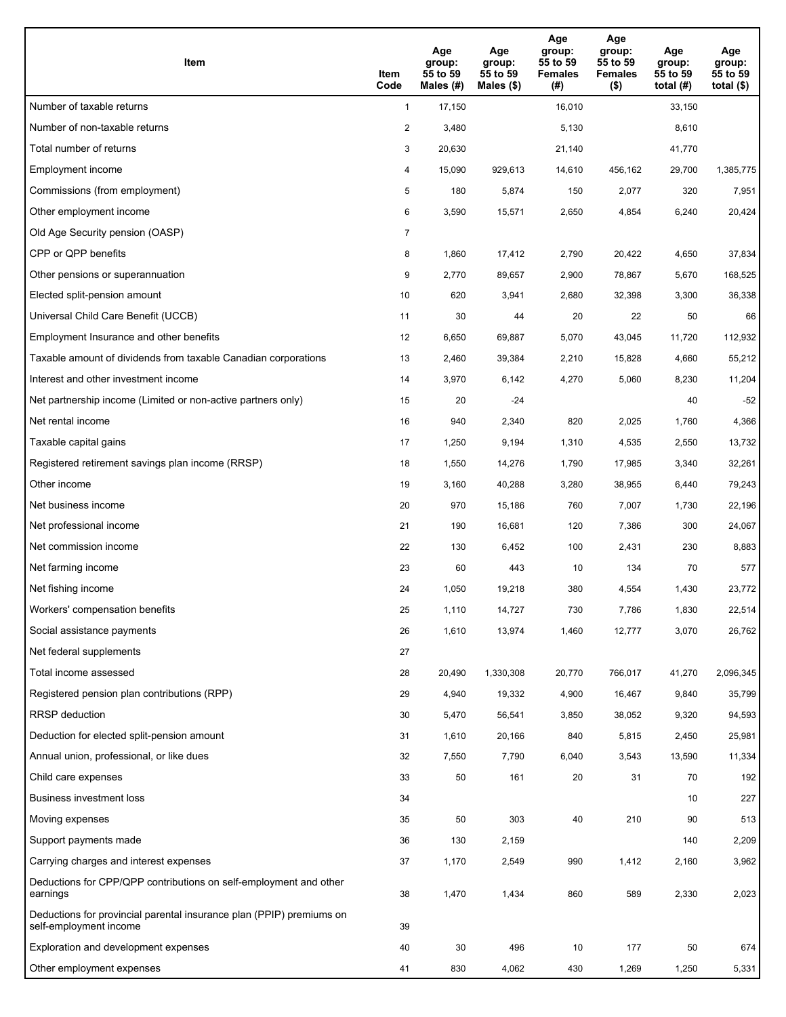| Item                                                                                           | Item<br>Code   | Age<br>group:<br>55 to 59<br>Males (#) | Age<br>group:<br>55 to 59<br>Males $(\$)$ | Age<br>group:<br>55 to 59<br><b>Females</b><br>(#) | Age<br>group:<br>55 to 59<br><b>Females</b><br>$($ \$) | Age<br>group:<br>55 to 59<br>total $(#)$ | Age<br>group:<br>55 to 59<br>total $($ |
|------------------------------------------------------------------------------------------------|----------------|----------------------------------------|-------------------------------------------|----------------------------------------------------|--------------------------------------------------------|------------------------------------------|----------------------------------------|
| Number of taxable returns                                                                      | $\mathbf{1}$   | 17,150                                 |                                           | 16,010                                             |                                                        | 33,150                                   |                                        |
| Number of non-taxable returns                                                                  | $\overline{a}$ | 3,480                                  |                                           | 5,130                                              |                                                        | 8,610                                    |                                        |
| Total number of returns                                                                        | 3              | 20,630                                 |                                           | 21,140                                             |                                                        | 41,770                                   |                                        |
| Employment income                                                                              | 4              | 15,090                                 | 929.613                                   | 14,610                                             | 456,162                                                | 29,700                                   | 1,385,775                              |
| Commissions (from employment)                                                                  | 5              | 180                                    | 5,874                                     | 150                                                | 2,077                                                  | 320                                      | 7,951                                  |
| Other employment income                                                                        | 6              | 3,590                                  | 15,571                                    | 2,650                                              | 4,854                                                  | 6,240                                    | 20,424                                 |
| Old Age Security pension (OASP)                                                                | 7              |                                        |                                           |                                                    |                                                        |                                          |                                        |
| CPP or QPP benefits                                                                            | 8              | 1,860                                  | 17,412                                    | 2,790                                              | 20,422                                                 | 4,650                                    | 37,834                                 |
| Other pensions or superannuation                                                               | 9              | 2,770                                  | 89,657                                    | 2,900                                              | 78,867                                                 | 5,670                                    | 168,525                                |
| Elected split-pension amount                                                                   | 10             | 620                                    | 3,941                                     | 2,680                                              | 32,398                                                 | 3,300                                    | 36,338                                 |
| Universal Child Care Benefit (UCCB)                                                            | 11             | 30                                     | 44                                        | 20                                                 | 22                                                     | 50                                       | 66                                     |
| Employment Insurance and other benefits                                                        | 12             | 6,650                                  | 69,887                                    | 5,070                                              | 43,045                                                 | 11,720                                   | 112,932                                |
| Taxable amount of dividends from taxable Canadian corporations                                 | 13             | 2,460                                  | 39,384                                    | 2,210                                              | 15,828                                                 | 4,660                                    | 55,212                                 |
| Interest and other investment income                                                           | 14             | 3,970                                  | 6,142                                     | 4,270                                              | 5,060                                                  | 8,230                                    | 11,204                                 |
| Net partnership income (Limited or non-active partners only)                                   | 15             | 20                                     | $-24$                                     |                                                    |                                                        | 40                                       | $-52$                                  |
| Net rental income                                                                              | 16             | 940                                    | 2,340                                     | 820                                                | 2,025                                                  | 1,760                                    | 4,366                                  |
| Taxable capital gains                                                                          | 17             | 1,250                                  | 9,194                                     | 1,310                                              | 4,535                                                  | 2,550                                    | 13,732                                 |
| Registered retirement savings plan income (RRSP)                                               | 18             | 1,550                                  | 14,276                                    | 1,790                                              | 17,985                                                 | 3,340                                    | 32,261                                 |
| Other income                                                                                   | 19             | 3,160                                  | 40,288                                    | 3,280                                              | 38,955                                                 | 6,440                                    | 79,243                                 |
| Net business income                                                                            | 20             | 970                                    | 15,186                                    | 760                                                | 7,007                                                  | 1,730                                    | 22,196                                 |
| Net professional income                                                                        | 21             | 190                                    | 16,681                                    | 120                                                | 7,386                                                  | 300                                      | 24,067                                 |
| Net commission income                                                                          | 22             | 130                                    | 6,452                                     | 100                                                | 2,431                                                  | 230                                      | 8,883                                  |
| Net farming income                                                                             | 23             | 60                                     | 443                                       | 10                                                 | 134                                                    | 70                                       | 577                                    |
| Net fishing income                                                                             | 24             | 1,050                                  | 19,218                                    | 380                                                | 4,554                                                  | 1,430                                    | 23,772                                 |
| Workers' compensation benefits                                                                 | 25             | 1,110                                  | 14,727                                    | 730                                                | 7,786                                                  | 1,830                                    | 22,514                                 |
| Social assistance payments                                                                     | 26             | 1,610                                  | 13,974                                    | 1,460                                              | 12,777                                                 | 3,070                                    | 26,762                                 |
| Net federal supplements                                                                        | 27             |                                        |                                           |                                                    |                                                        |                                          |                                        |
| Total income assessed                                                                          | 28             | 20,490                                 | 1,330,308                                 | 20,770                                             | 766,017                                                | 41,270                                   | 2,096,345                              |
| Registered pension plan contributions (RPP)                                                    | 29             | 4,940                                  | 19,332                                    | 4,900                                              | 16,467                                                 | 9,840                                    | 35,799                                 |
| <b>RRSP</b> deduction                                                                          | 30             | 5,470                                  | 56,541                                    | 3,850                                              | 38,052                                                 | 9,320                                    | 94,593                                 |
| Deduction for elected split-pension amount                                                     | 31             | 1,610                                  | 20,166                                    | 840                                                | 5,815                                                  | 2,450                                    | 25,981                                 |
| Annual union, professional, or like dues                                                       | 32             | 7,550                                  | 7,790                                     | 6,040                                              | 3,543                                                  | 13,590                                   | 11,334                                 |
| Child care expenses                                                                            | 33             | 50                                     | 161                                       | 20                                                 | 31                                                     | 70                                       | 192                                    |
| Business investment loss                                                                       | 34             |                                        |                                           |                                                    |                                                        | 10                                       | 227                                    |
| Moving expenses                                                                                | 35             | 50                                     | 303                                       | 40                                                 | 210                                                    | 90                                       | 513                                    |
| Support payments made                                                                          | 36             | 130                                    | 2,159                                     |                                                    |                                                        | 140                                      | 2,209                                  |
| Carrying charges and interest expenses                                                         | 37             | 1,170                                  | 2,549                                     | 990                                                | 1,412                                                  | 2,160                                    | 3,962                                  |
| Deductions for CPP/QPP contributions on self-employment and other<br>earnings                  | 38             | 1,470                                  | 1,434                                     | 860                                                | 589                                                    | 2,330                                    | 2,023                                  |
| Deductions for provincial parental insurance plan (PPIP) premiums on<br>self-employment income | 39             |                                        |                                           |                                                    |                                                        |                                          |                                        |
| Exploration and development expenses                                                           | 40             | 30                                     | 496                                       | 10                                                 | 177                                                    | 50                                       | 674                                    |
| Other employment expenses                                                                      | 41             | 830                                    | 4,062                                     | 430                                                | 1,269                                                  | 1,250                                    | 5,331                                  |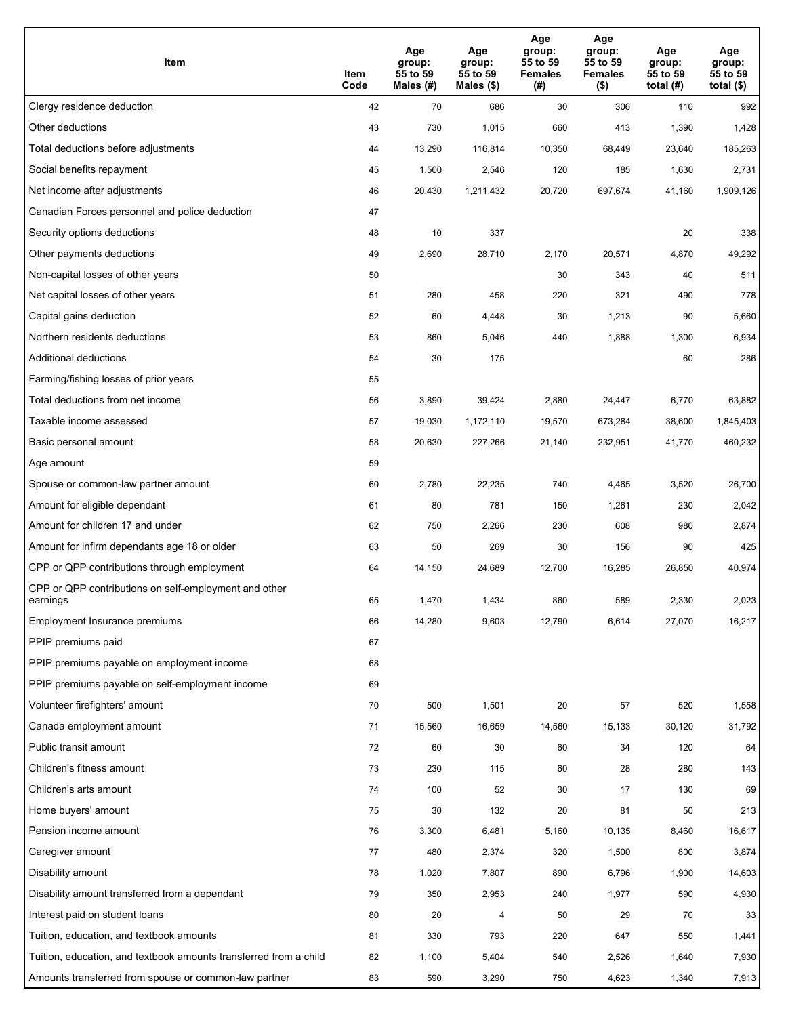| Item                                                              | Item<br>Code | Age<br>group:<br>55 to 59<br>Males (#) | Age<br>group:<br>55 to 59<br>Males (\$) | Age<br>group:<br>55 to 59<br><b>Females</b><br>(# ) | Age<br>group:<br>55 to 59<br><b>Females</b><br>$($ \$) | Age<br>group:<br>55 to 59<br>total $(H)$ | Age<br>group:<br>55 to 59<br>total $($)$ |
|-------------------------------------------------------------------|--------------|----------------------------------------|-----------------------------------------|-----------------------------------------------------|--------------------------------------------------------|------------------------------------------|------------------------------------------|
| Clergy residence deduction                                        | 42           | 70                                     | 686                                     | 30                                                  | 306                                                    | 110                                      | 992                                      |
| Other deductions                                                  | 43           | 730                                    | 1,015                                   | 660                                                 | 413                                                    | 1,390                                    | 1,428                                    |
| Total deductions before adjustments                               | 44           | 13,290                                 | 116,814                                 | 10,350                                              | 68,449                                                 | 23,640                                   | 185,263                                  |
| Social benefits repayment                                         | 45           | 1,500                                  | 2,546                                   | 120                                                 | 185                                                    | 1,630                                    | 2,731                                    |
| Net income after adjustments                                      | 46           | 20,430                                 | 1,211,432                               | 20,720                                              | 697,674                                                | 41,160                                   | 1,909,126                                |
| Canadian Forces personnel and police deduction                    | 47           |                                        |                                         |                                                     |                                                        |                                          |                                          |
| Security options deductions                                       | 48           | 10                                     | 337                                     |                                                     |                                                        | 20                                       | 338                                      |
| Other payments deductions                                         | 49           | 2,690                                  | 28,710                                  | 2,170                                               | 20,571                                                 | 4,870                                    | 49,292                                   |
| Non-capital losses of other years                                 | 50           |                                        |                                         | 30                                                  | 343                                                    | 40                                       | 511                                      |
| Net capital losses of other years                                 | 51           | 280                                    | 458                                     | 220                                                 | 321                                                    | 490                                      | 778                                      |
| Capital gains deduction                                           | 52           | 60                                     | 4,448                                   | 30                                                  | 1,213                                                  | 90                                       | 5,660                                    |
| Northern residents deductions                                     | 53           | 860                                    | 5,046                                   | 440                                                 | 1,888                                                  | 1,300                                    | 6,934                                    |
| Additional deductions                                             | 54           | 30                                     | 175                                     |                                                     |                                                        | 60                                       | 286                                      |
| Farming/fishing losses of prior years                             | 55           |                                        |                                         |                                                     |                                                        |                                          |                                          |
| Total deductions from net income                                  | 56           | 3,890                                  | 39,424                                  | 2,880                                               | 24,447                                                 | 6,770                                    | 63,882                                   |
| Taxable income assessed                                           | 57           | 19,030                                 | 1,172,110                               | 19,570                                              | 673,284                                                | 38,600                                   | 1,845,403                                |
| Basic personal amount                                             | 58           | 20,630                                 | 227,266                                 | 21,140                                              | 232,951                                                | 41,770                                   | 460,232                                  |
| Age amount                                                        | 59           |                                        |                                         |                                                     |                                                        |                                          |                                          |
| Spouse or common-law partner amount                               | 60           | 2,780                                  | 22,235                                  | 740                                                 | 4,465                                                  | 3,520                                    | 26,700                                   |
| Amount for eligible dependant                                     | 61           | 80                                     | 781                                     | 150                                                 | 1,261                                                  | 230                                      | 2,042                                    |
| Amount for children 17 and under                                  | 62           | 750                                    | 2,266                                   | 230                                                 | 608                                                    | 980                                      | 2,874                                    |
| Amount for infirm dependants age 18 or older                      | 63           | 50                                     | 269                                     | 30                                                  | 156                                                    | 90                                       | 425                                      |
| CPP or QPP contributions through employment                       | 64           | 14,150                                 | 24,689                                  | 12,700                                              | 16,285                                                 | 26,850                                   | 40,974                                   |
| CPP or QPP contributions on self-employment and other<br>earnings | 65           | 1,470                                  | 1,434                                   | 860                                                 | 589                                                    | 2,330                                    | 2,023                                    |
| Employment Insurance premiums                                     | 66           | 14,280                                 | 9,603                                   | 12,790                                              | 6,614                                                  | 27,070                                   | 16,217                                   |
| PPIP premiums paid                                                | 67           |                                        |                                         |                                                     |                                                        |                                          |                                          |
| PPIP premiums payable on employment income                        | 68           |                                        |                                         |                                                     |                                                        |                                          |                                          |
| PPIP premiums payable on self-employment income                   | 69           |                                        |                                         |                                                     |                                                        |                                          |                                          |
| Volunteer firefighters' amount                                    | 70           | 500                                    | 1,501                                   | 20                                                  | 57                                                     | 520                                      | 1,558                                    |
| Canada employment amount                                          | 71           | 15,560                                 | 16,659                                  | 14,560                                              | 15,133                                                 | 30,120                                   | 31,792                                   |
| Public transit amount                                             | 72           | 60                                     | 30                                      | 60                                                  | 34                                                     | 120                                      | 64                                       |
| Children's fitness amount                                         | 73           | 230                                    | 115                                     | 60                                                  | 28                                                     | 280                                      | 143                                      |
| Children's arts amount                                            | 74           | 100                                    | 52                                      | 30                                                  | 17                                                     | 130                                      | 69                                       |
| Home buyers' amount                                               | 75           | 30                                     | 132                                     | 20                                                  | 81                                                     | 50                                       | 213                                      |
| Pension income amount                                             | 76           | 3,300                                  | 6,481                                   | 5,160                                               | 10,135                                                 | 8,460                                    | 16,617                                   |
| Caregiver amount                                                  | $77\,$       | 480                                    | 2,374                                   | 320                                                 | 1,500                                                  | 800                                      | 3,874                                    |
| Disability amount                                                 | 78           | 1,020                                  | 7,807                                   | 890                                                 | 6,796                                                  | 1,900                                    | 14,603                                   |
| Disability amount transferred from a dependant                    | 79           | 350                                    | 2,953                                   | 240                                                 | 1,977                                                  | 590                                      | 4,930                                    |
| Interest paid on student loans                                    | 80           | 20                                     | 4                                       | 50                                                  | 29                                                     | 70                                       | 33                                       |
| Tuition, education, and textbook amounts                          | 81           | 330                                    | 793                                     | 220                                                 | 647                                                    | 550                                      | 1,441                                    |
| Tuition, education, and textbook amounts transferred from a child | 82           | 1,100                                  | 5,404                                   | 540                                                 | 2,526                                                  | 1,640                                    | 7,930                                    |
| Amounts transferred from spouse or common-law partner             | 83           | 590                                    | 3,290                                   | 750                                                 | 4,623                                                  | 1,340                                    | 7,913                                    |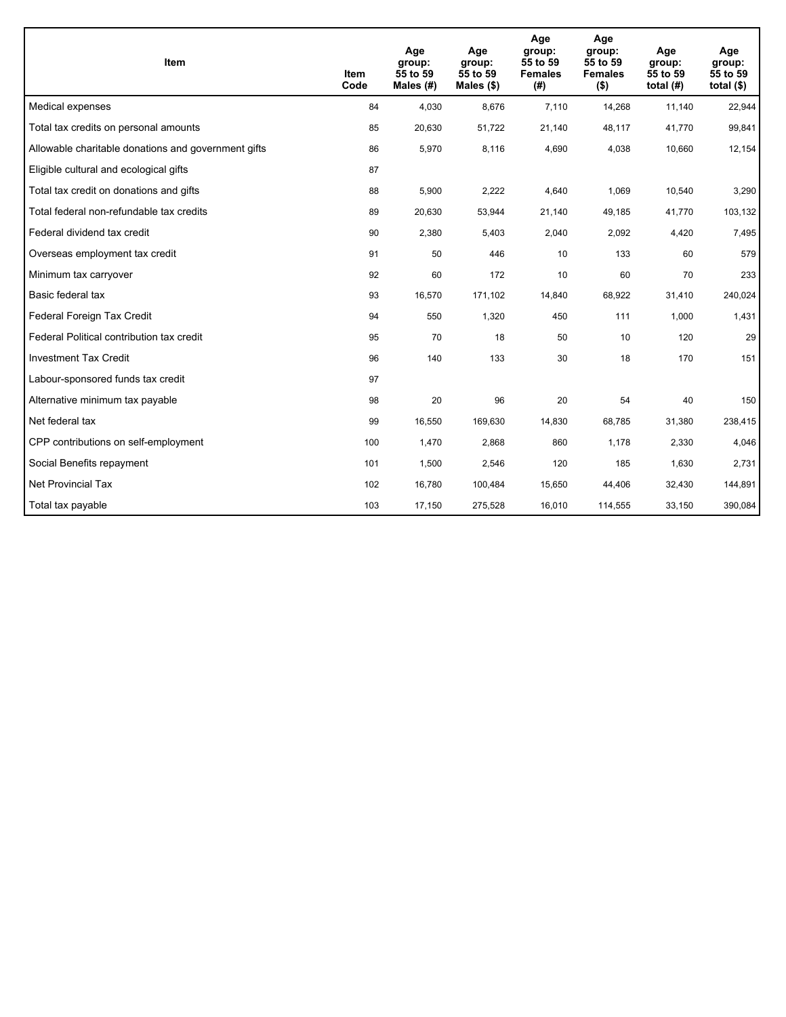| <b>Item</b>                                         | Item<br>Code | Age<br>group:<br>55 to 59<br>Males (#) | Age<br>group:<br>55 to 59<br>Males $(\$)$ | Age<br>group:<br>55 to 59<br><b>Females</b><br>(#) | Age<br>group:<br>55 to 59<br><b>Females</b><br>$($ \$) | Age<br>group:<br>55 to 59<br>total $(H)$ | Age<br>group:<br>55 to 59<br>total $($)$ |
|-----------------------------------------------------|--------------|----------------------------------------|-------------------------------------------|----------------------------------------------------|--------------------------------------------------------|------------------------------------------|------------------------------------------|
| Medical expenses                                    | 84           | 4,030                                  | 8.676                                     | 7,110                                              | 14,268                                                 | 11,140                                   | 22,944                                   |
| Total tax credits on personal amounts               | 85           | 20,630                                 | 51,722                                    | 21,140                                             | 48,117                                                 | 41,770                                   | 99,841                                   |
| Allowable charitable donations and government gifts | 86           | 5,970                                  | 8,116                                     | 4,690                                              | 4,038                                                  | 10,660                                   | 12,154                                   |
| Eligible cultural and ecological gifts              | 87           |                                        |                                           |                                                    |                                                        |                                          |                                          |
| Total tax credit on donations and gifts             | 88           | 5,900                                  | 2,222                                     | 4,640                                              | 1,069                                                  | 10,540                                   | 3,290                                    |
| Total federal non-refundable tax credits            | 89           | 20,630                                 | 53,944                                    | 21,140                                             | 49,185                                                 | 41,770                                   | 103,132                                  |
| Federal dividend tax credit                         | 90           | 2,380                                  | 5,403                                     | 2,040                                              | 2,092                                                  | 4,420                                    | 7,495                                    |
| Overseas employment tax credit                      | 91           | 50                                     | 446                                       | 10                                                 | 133                                                    | 60                                       | 579                                      |
| Minimum tax carryover                               | 92           | 60                                     | 172                                       | 10                                                 | 60                                                     | 70                                       | 233                                      |
| Basic federal tax                                   | 93           | 16,570                                 | 171,102                                   | 14,840                                             | 68,922                                                 | 31,410                                   | 240,024                                  |
| Federal Foreign Tax Credit                          | 94           | 550                                    | 1,320                                     | 450                                                | 111                                                    | 1,000                                    | 1,431                                    |
| Federal Political contribution tax credit           | 95           | 70                                     | 18                                        | 50                                                 | 10                                                     | 120                                      | 29                                       |
| <b>Investment Tax Credit</b>                        | 96           | 140                                    | 133                                       | 30                                                 | 18                                                     | 170                                      | 151                                      |
| Labour-sponsored funds tax credit                   | 97           |                                        |                                           |                                                    |                                                        |                                          |                                          |
| Alternative minimum tax payable                     | 98           | 20                                     | 96                                        | 20                                                 | 54                                                     | 40                                       | 150                                      |
| Net federal tax                                     | 99           | 16,550                                 | 169,630                                   | 14,830                                             | 68,785                                                 | 31,380                                   | 238,415                                  |
| CPP contributions on self-employment                | 100          | 1,470                                  | 2,868                                     | 860                                                | 1,178                                                  | 2,330                                    | 4,046                                    |
| Social Benefits repayment                           | 101          | 1,500                                  | 2,546                                     | 120                                                | 185                                                    | 1,630                                    | 2,731                                    |
| <b>Net Provincial Tax</b>                           | 102          | 16,780                                 | 100,484                                   | 15,650                                             | 44,406                                                 | 32,430                                   | 144,891                                  |
| Total tax payable                                   | 103          | 17,150                                 | 275,528                                   | 16,010                                             | 114,555                                                | 33,150                                   | 390,084                                  |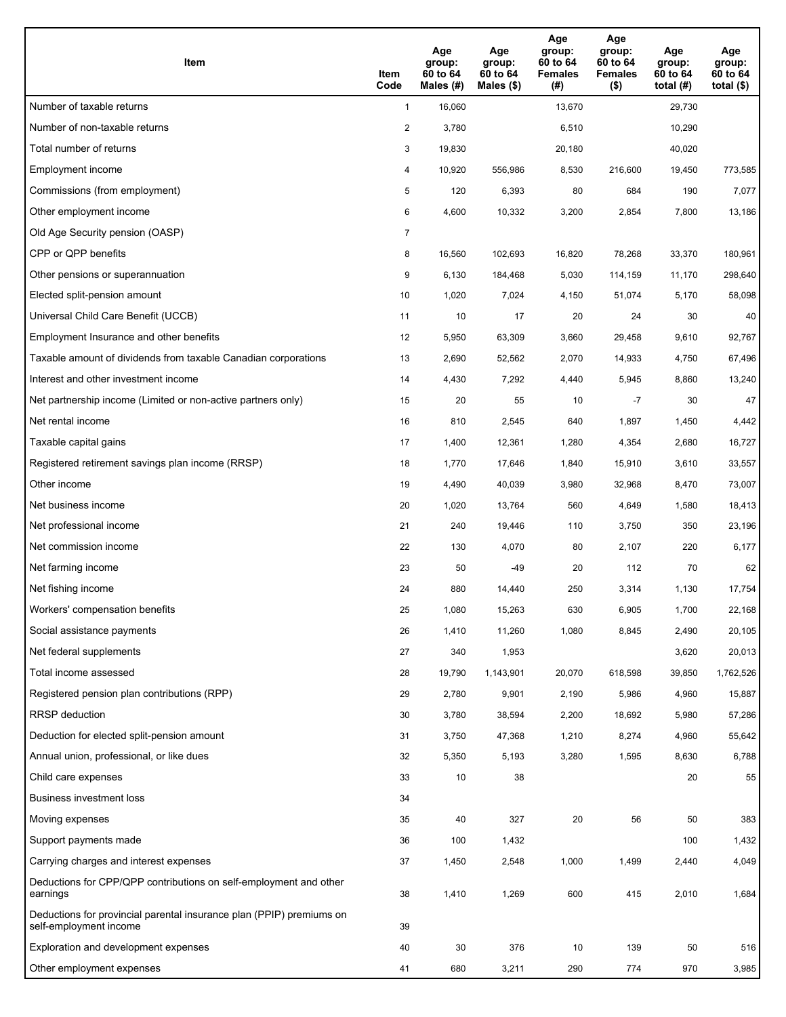| Item                                                                                           | Item<br>Code   | Age<br>group:<br>60 to 64<br>Males (#) | Age<br>group:<br>60 to 64<br>Males $(\$)$ | Age<br>group:<br>60 to 64<br><b>Females</b><br>(#) | Age<br>group:<br>60 to 64<br><b>Females</b><br>$($ \$) | Age<br>group:<br>60 to 64<br>total $(H)$ | Age<br>group:<br>60 to 64<br>total $($ |
|------------------------------------------------------------------------------------------------|----------------|----------------------------------------|-------------------------------------------|----------------------------------------------------|--------------------------------------------------------|------------------------------------------|----------------------------------------|
| Number of taxable returns                                                                      | $\mathbf{1}$   | 16,060                                 |                                           | 13,670                                             |                                                        | 29,730                                   |                                        |
| Number of non-taxable returns                                                                  | $\overline{a}$ | 3,780                                  |                                           | 6,510                                              |                                                        | 10,290                                   |                                        |
| Total number of returns                                                                        | 3              | 19,830                                 |                                           | 20,180                                             |                                                        | 40,020                                   |                                        |
| Employment income                                                                              | 4              | 10,920                                 | 556,986                                   | 8,530                                              | 216,600                                                | 19,450                                   | 773,585                                |
| Commissions (from employment)                                                                  | 5              | 120                                    | 6,393                                     | 80                                                 | 684                                                    | 190                                      | 7,077                                  |
| Other employment income                                                                        | 6              | 4,600                                  | 10,332                                    | 3,200                                              | 2,854                                                  | 7,800                                    | 13,186                                 |
| Old Age Security pension (OASP)                                                                | $\overline{7}$ |                                        |                                           |                                                    |                                                        |                                          |                                        |
| CPP or QPP benefits                                                                            | 8              | 16,560                                 | 102,693                                   | 16,820                                             | 78,268                                                 | 33,370                                   | 180,961                                |
| Other pensions or superannuation                                                               | 9              | 6,130                                  | 184,468                                   | 5,030                                              | 114,159                                                | 11,170                                   | 298,640                                |
| Elected split-pension amount                                                                   | 10             | 1,020                                  | 7,024                                     | 4,150                                              | 51,074                                                 | 5,170                                    | 58,098                                 |
| Universal Child Care Benefit (UCCB)                                                            | 11             | 10                                     | 17                                        | 20                                                 | 24                                                     | 30                                       | 40                                     |
| Employment Insurance and other benefits                                                        | 12             | 5,950                                  | 63,309                                    | 3,660                                              | 29,458                                                 | 9,610                                    | 92,767                                 |
| Taxable amount of dividends from taxable Canadian corporations                                 | 13             | 2,690                                  | 52,562                                    | 2,070                                              | 14,933                                                 | 4,750                                    | 67,496                                 |
| Interest and other investment income                                                           | 14             | 4,430                                  | 7,292                                     | 4,440                                              | 5,945                                                  | 8,860                                    | 13,240                                 |
| Net partnership income (Limited or non-active partners only)                                   | 15             | 20                                     | 55                                        | 10                                                 | $-7$                                                   | 30                                       | 47                                     |
| Net rental income                                                                              | 16             | 810                                    | 2,545                                     | 640                                                | 1,897                                                  | 1,450                                    | 4,442                                  |
| Taxable capital gains                                                                          | 17             | 1,400                                  | 12,361                                    | 1,280                                              | 4,354                                                  | 2,680                                    | 16,727                                 |
| Registered retirement savings plan income (RRSP)                                               | 18             | 1,770                                  | 17,646                                    | 1,840                                              | 15,910                                                 | 3,610                                    | 33,557                                 |
| Other income                                                                                   | 19             | 4,490                                  | 40,039                                    | 3,980                                              | 32,968                                                 | 8,470                                    | 73,007                                 |
| Net business income                                                                            | 20             | 1,020                                  | 13,764                                    | 560                                                | 4,649                                                  | 1,580                                    | 18,413                                 |
| Net professional income                                                                        | 21             | 240                                    | 19,446                                    | 110                                                | 3,750                                                  | 350                                      | 23,196                                 |
| Net commission income                                                                          | 22             | 130                                    | 4,070                                     | 80                                                 | 2,107                                                  | 220                                      | 6,177                                  |
| Net farming income                                                                             | 23             | 50                                     | $-49$                                     | 20                                                 | 112                                                    | 70                                       | 62                                     |
| Net fishing income                                                                             | 24             | 880                                    | 14,440                                    | 250                                                | 3,314                                                  | 1,130                                    | 17,754                                 |
| Workers' compensation benefits                                                                 | 25             | 1,080                                  | 15,263                                    | 630                                                | 6,905                                                  | 1,700                                    | 22,168                                 |
| Social assistance payments                                                                     | 26             | 1,410                                  | 11,260                                    | 1,080                                              | 8,845                                                  | 2,490                                    | 20,105                                 |
| Net federal supplements                                                                        | 27             | 340                                    | 1,953                                     |                                                    |                                                        | 3,620                                    | 20,013                                 |
| Total income assessed                                                                          | 28             | 19,790                                 | 1,143,901                                 | 20,070                                             | 618,598                                                | 39,850                                   | 1,762,526                              |
| Registered pension plan contributions (RPP)                                                    | 29             | 2,780                                  | 9,901                                     | 2,190                                              | 5,986                                                  | 4,960                                    | 15,887                                 |
| <b>RRSP</b> deduction                                                                          | 30             | 3,780                                  | 38,594                                    | 2,200                                              | 18,692                                                 | 5,980                                    | 57,286                                 |
| Deduction for elected split-pension amount                                                     | 31             | 3,750                                  | 47,368                                    | 1,210                                              | 8,274                                                  | 4,960                                    | 55,642                                 |
| Annual union, professional, or like dues                                                       | 32             | 5,350                                  | 5,193                                     | 3,280                                              | 1,595                                                  | 8,630                                    | 6,788                                  |
| Child care expenses                                                                            | 33             | 10                                     | 38                                        |                                                    |                                                        | 20                                       | 55                                     |
| Business investment loss                                                                       | 34             |                                        |                                           |                                                    |                                                        |                                          |                                        |
| Moving expenses                                                                                | 35             | 40                                     | 327                                       | 20                                                 | 56                                                     | 50                                       | 383                                    |
| Support payments made                                                                          | 36             | 100                                    | 1,432                                     |                                                    |                                                        | 100                                      | 1,432                                  |
| Carrying charges and interest expenses                                                         | 37             | 1,450                                  | 2,548                                     | 1,000                                              | 1,499                                                  | 2,440                                    | 4,049                                  |
| Deductions for CPP/QPP contributions on self-employment and other<br>earnings                  | 38             | 1,410                                  | 1,269                                     | 600                                                | 415                                                    | 2,010                                    | 1,684                                  |
| Deductions for provincial parental insurance plan (PPIP) premiums on<br>self-employment income | 39             |                                        |                                           |                                                    |                                                        |                                          |                                        |
| Exploration and development expenses                                                           | 40             | 30                                     | 376                                       | 10                                                 | 139                                                    | 50                                       | 516                                    |
| Other employment expenses                                                                      | 41             | 680                                    | 3,211                                     | 290                                                | 774                                                    | 970                                      | 3,985                                  |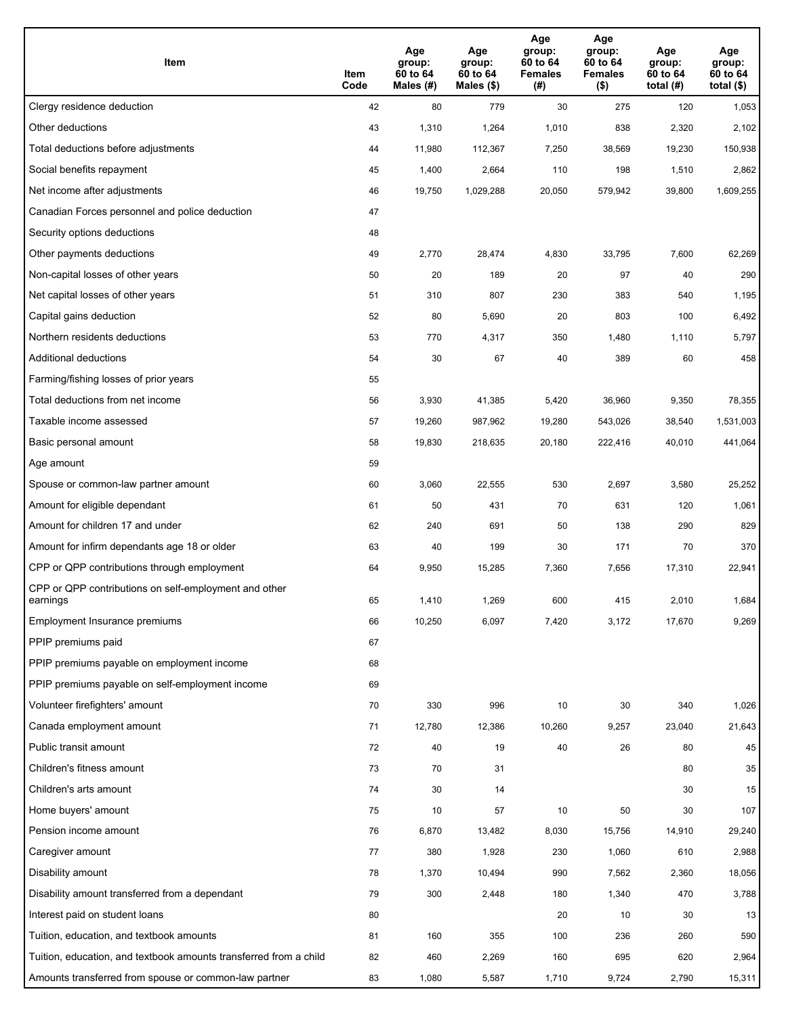| Item                                                              | Item<br>Code | Age<br>group:<br>60 to 64<br>Males (#) | Age<br>group:<br>60 to 64<br>Males (\$) | Age<br>group:<br>60 to 64<br><b>Females</b><br>(# ) | Age<br>group:<br>60 to 64<br><b>Females</b><br>$($ \$) | Age<br>group:<br>60 to 64<br>total $(H)$ | Age<br>group:<br>60 to 64<br>total $($)$ |
|-------------------------------------------------------------------|--------------|----------------------------------------|-----------------------------------------|-----------------------------------------------------|--------------------------------------------------------|------------------------------------------|------------------------------------------|
| Clergy residence deduction                                        | 42           | 80                                     | 779                                     | 30                                                  | 275                                                    | 120                                      | 1,053                                    |
| Other deductions                                                  | 43           | 1,310                                  | 1,264                                   | 1,010                                               | 838                                                    | 2,320                                    | 2,102                                    |
| Total deductions before adjustments                               | 44           | 11,980                                 | 112,367                                 | 7,250                                               | 38,569                                                 | 19,230                                   | 150,938                                  |
| Social benefits repayment                                         | 45           | 1,400                                  | 2,664                                   | 110                                                 | 198                                                    | 1,510                                    | 2,862                                    |
| Net income after adjustments                                      | 46           | 19,750                                 | 1,029,288                               | 20,050                                              | 579,942                                                | 39,800                                   | 1,609,255                                |
| Canadian Forces personnel and police deduction                    | 47           |                                        |                                         |                                                     |                                                        |                                          |                                          |
| Security options deductions                                       | 48           |                                        |                                         |                                                     |                                                        |                                          |                                          |
| Other payments deductions                                         | 49           | 2,770                                  | 28,474                                  | 4,830                                               | 33,795                                                 | 7,600                                    | 62,269                                   |
| Non-capital losses of other years                                 | 50           | 20                                     | 189                                     | 20                                                  | 97                                                     | 40                                       | 290                                      |
| Net capital losses of other years                                 | 51           | 310                                    | 807                                     | 230                                                 | 383                                                    | 540                                      | 1,195                                    |
| Capital gains deduction                                           | 52           | 80                                     | 5,690                                   | 20                                                  | 803                                                    | 100                                      | 6,492                                    |
| Northern residents deductions                                     | 53           | 770                                    | 4,317                                   | 350                                                 | 1,480                                                  | 1,110                                    | 5,797                                    |
| Additional deductions                                             | 54           | 30                                     | 67                                      | 40                                                  | 389                                                    | 60                                       | 458                                      |
| Farming/fishing losses of prior years                             | 55           |                                        |                                         |                                                     |                                                        |                                          |                                          |
| Total deductions from net income                                  | 56           | 3,930                                  | 41,385                                  | 5,420                                               | 36,960                                                 | 9,350                                    | 78,355                                   |
| Taxable income assessed                                           | 57           | 19,260                                 | 987,962                                 | 19,280                                              | 543,026                                                | 38,540                                   | 1,531,003                                |
| Basic personal amount                                             | 58           | 19,830                                 | 218,635                                 | 20,180                                              | 222,416                                                | 40,010                                   | 441,064                                  |
| Age amount                                                        | 59           |                                        |                                         |                                                     |                                                        |                                          |                                          |
| Spouse or common-law partner amount                               | 60           | 3,060                                  | 22,555                                  | 530                                                 | 2,697                                                  | 3,580                                    | 25,252                                   |
| Amount for eligible dependant                                     | 61           | 50                                     | 431                                     | 70                                                  | 631                                                    | 120                                      | 1,061                                    |
| Amount for children 17 and under                                  | 62           | 240                                    | 691                                     | 50                                                  | 138                                                    | 290                                      | 829                                      |
| Amount for infirm dependants age 18 or older                      | 63           | 40                                     | 199                                     | 30                                                  | 171                                                    | 70                                       | 370                                      |
| CPP or QPP contributions through employment                       | 64           | 9,950                                  | 15,285                                  | 7,360                                               | 7,656                                                  | 17,310                                   | 22,941                                   |
| CPP or QPP contributions on self-employment and other<br>earnings | 65           | 1,410                                  | 1,269                                   | 600                                                 | 415                                                    | 2,010                                    | 1,684                                    |
| Employment Insurance premiums                                     | 66           | 10,250                                 | 6,097                                   | 7,420                                               | 3,172                                                  | 17,670                                   | 9,269                                    |
| PPIP premiums paid                                                | 67           |                                        |                                         |                                                     |                                                        |                                          |                                          |
| PPIP premiums payable on employment income                        | 68           |                                        |                                         |                                                     |                                                        |                                          |                                          |
| PPIP premiums payable on self-employment income                   | 69           |                                        |                                         |                                                     |                                                        |                                          |                                          |
| Volunteer firefighters' amount                                    | 70           | 330                                    | 996                                     | 10                                                  | 30                                                     | 340                                      | 1,026                                    |
| Canada employment amount                                          | 71           | 12,780                                 | 12,386                                  | 10,260                                              | 9,257                                                  | 23,040                                   | 21,643                                   |
| Public transit amount                                             | 72           | 40                                     | 19                                      | 40                                                  | 26                                                     | 80                                       | 45                                       |
| Children's fitness amount                                         | 73           | 70                                     | 31                                      |                                                     |                                                        | 80                                       | 35                                       |
| Children's arts amount                                            | 74           | 30                                     | 14                                      |                                                     |                                                        | 30                                       | 15                                       |
| Home buyers' amount                                               | 75           | 10                                     | 57                                      | 10                                                  | 50                                                     | 30                                       | 107                                      |
| Pension income amount                                             | 76           | 6,870                                  | 13,482                                  | 8,030                                               | 15,756                                                 | 14,910                                   | 29,240                                   |
| Caregiver amount                                                  | 77           | 380                                    | 1,928                                   | 230                                                 | 1,060                                                  | 610                                      | 2,988                                    |
| Disability amount                                                 | 78           | 1,370                                  | 10,494                                  | 990                                                 | 7,562                                                  | 2,360                                    | 18,056                                   |
| Disability amount transferred from a dependant                    | 79           | 300                                    | 2,448                                   | 180                                                 | 1,340                                                  | 470                                      | 3,788                                    |
| Interest paid on student loans                                    | 80           |                                        |                                         | 20                                                  | 10                                                     | 30                                       | 13                                       |
| Tuition, education, and textbook amounts                          | 81           | 160                                    | 355                                     | 100                                                 | 236                                                    | 260                                      | 590                                      |
| Tuition, education, and textbook amounts transferred from a child | 82           | 460                                    | 2,269                                   | 160                                                 | 695                                                    | 620                                      | 2,964                                    |
| Amounts transferred from spouse or common-law partner             | 83           | 1,080                                  | 5,587                                   | 1,710                                               | 9,724                                                  | 2,790                                    | 15,311                                   |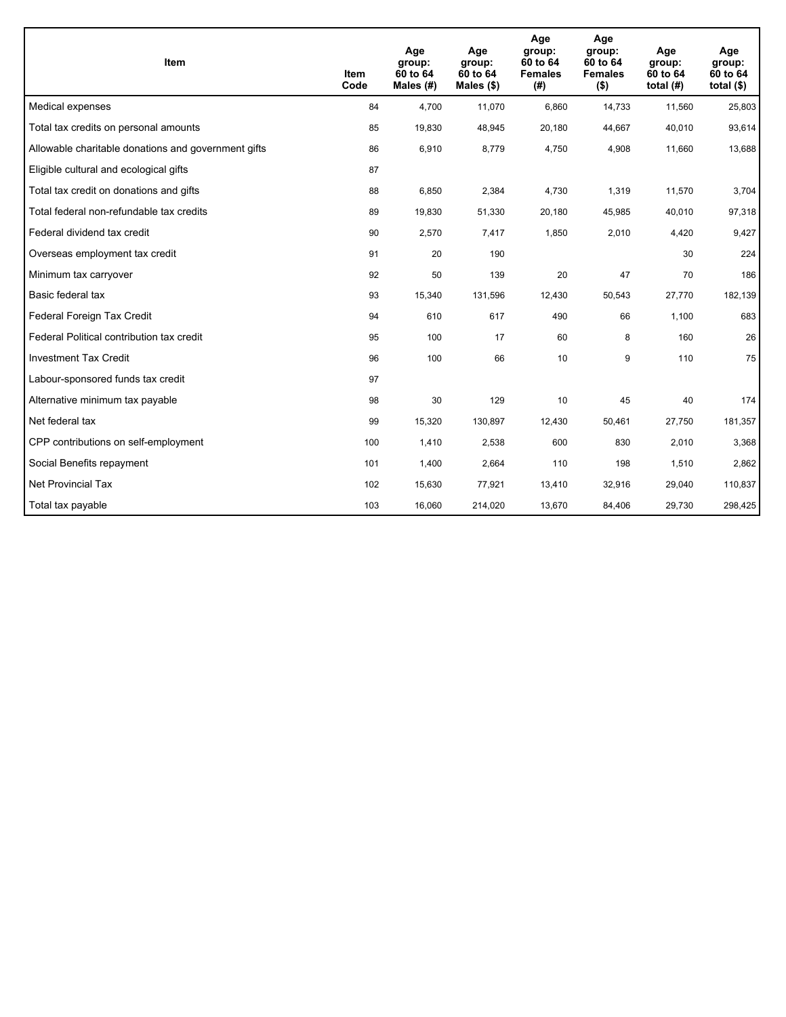| <b>Item</b>                                         | Item<br>Code | Age<br>group:<br>60 to 64<br>Males (#) | Age<br>group:<br>60 to 64<br>Males $(\$)$ | Age<br>group:<br>60 to 64<br><b>Females</b><br>(#) | Age<br>group:<br>60 to 64<br><b>Females</b><br>$($ \$) | Age<br>group:<br>60 to 64<br>total $(H)$ | Age<br>group:<br>60 to 64<br>total $($)$ |
|-----------------------------------------------------|--------------|----------------------------------------|-------------------------------------------|----------------------------------------------------|--------------------------------------------------------|------------------------------------------|------------------------------------------|
| Medical expenses                                    | 84           | 4.700                                  | 11,070                                    | 6,860                                              | 14,733                                                 | 11,560                                   | 25,803                                   |
| Total tax credits on personal amounts               | 85           | 19,830                                 | 48,945                                    | 20,180                                             | 44,667                                                 | 40,010                                   | 93,614                                   |
| Allowable charitable donations and government gifts | 86           | 6,910                                  | 8,779                                     | 4,750                                              | 4,908                                                  | 11,660                                   | 13,688                                   |
| Eligible cultural and ecological gifts              | 87           |                                        |                                           |                                                    |                                                        |                                          |                                          |
| Total tax credit on donations and gifts             | 88           | 6,850                                  | 2,384                                     | 4,730                                              | 1,319                                                  | 11,570                                   | 3,704                                    |
| Total federal non-refundable tax credits            | 89           | 19,830                                 | 51,330                                    | 20,180                                             | 45,985                                                 | 40,010                                   | 97,318                                   |
| Federal dividend tax credit                         | 90           | 2,570                                  | 7,417                                     | 1,850                                              | 2,010                                                  | 4,420                                    | 9,427                                    |
| Overseas employment tax credit                      | 91           | 20                                     | 190                                       |                                                    |                                                        | 30                                       | 224                                      |
| Minimum tax carryover                               | 92           | 50                                     | 139                                       | 20                                                 | 47                                                     | 70                                       | 186                                      |
| Basic federal tax                                   | 93           | 15,340                                 | 131,596                                   | 12,430                                             | 50,543                                                 | 27,770                                   | 182,139                                  |
| Federal Foreign Tax Credit                          | 94           | 610                                    | 617                                       | 490                                                | 66                                                     | 1,100                                    | 683                                      |
| Federal Political contribution tax credit           | 95           | 100                                    | 17                                        | 60                                                 | 8                                                      | 160                                      | 26                                       |
| <b>Investment Tax Credit</b>                        | 96           | 100                                    | 66                                        | 10                                                 | 9                                                      | 110                                      | 75                                       |
| Labour-sponsored funds tax credit                   | 97           |                                        |                                           |                                                    |                                                        |                                          |                                          |
| Alternative minimum tax payable                     | 98           | 30                                     | 129                                       | 10                                                 | 45                                                     | 40                                       | 174                                      |
| Net federal tax                                     | 99           | 15,320                                 | 130,897                                   | 12,430                                             | 50,461                                                 | 27,750                                   | 181,357                                  |
| CPP contributions on self-employment                | 100          | 1,410                                  | 2,538                                     | 600                                                | 830                                                    | 2,010                                    | 3,368                                    |
| Social Benefits repayment                           | 101          | 1,400                                  | 2,664                                     | 110                                                | 198                                                    | 1,510                                    | 2,862                                    |
| <b>Net Provincial Tax</b>                           | 102          | 15,630                                 | 77,921                                    | 13,410                                             | 32,916                                                 | 29,040                                   | 110,837                                  |
| Total tax payable                                   | 103          | 16,060                                 | 214,020                                   | 13,670                                             | 84,406                                                 | 29,730                                   | 298,425                                  |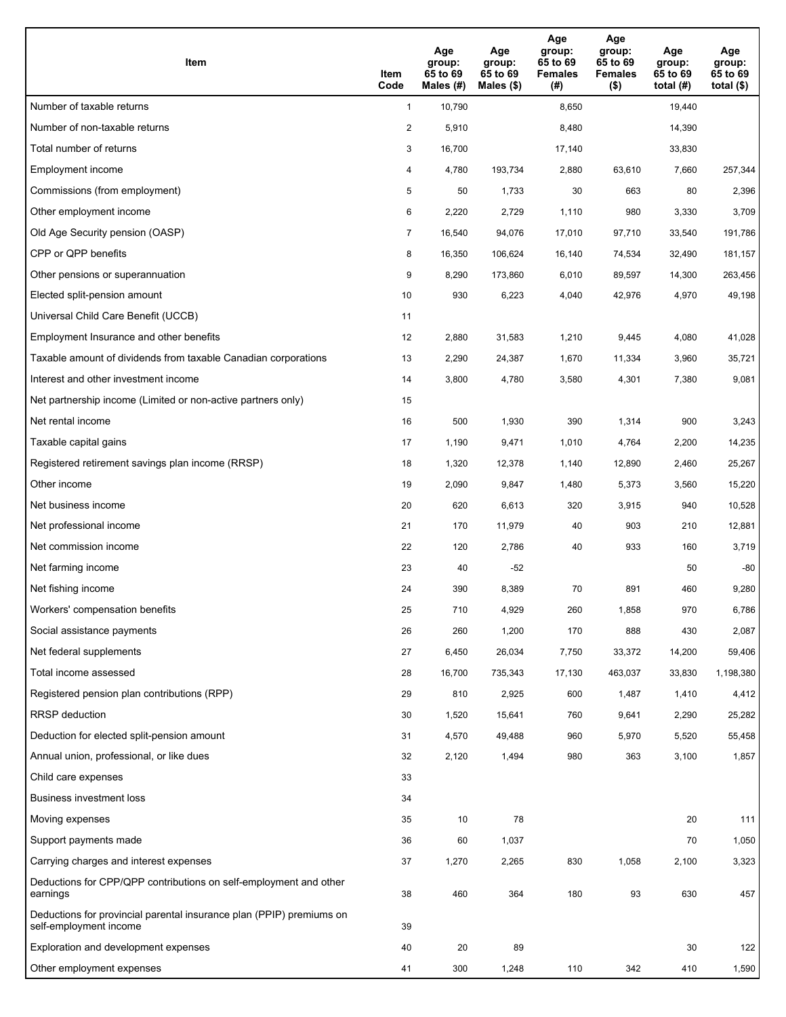| Item                                                                                           | Item<br>Code   | Age<br>group:<br>65 to 69<br>Males (#) | Age<br>group:<br>65 to 69<br>Males (\$) | Age<br>group:<br>65 to 69<br><b>Females</b><br>(# ) | Age<br>group:<br>65 to 69<br><b>Females</b><br>$($ \$) | Age<br>group:<br>65 to 69<br>total $(H)$ | Age<br>group:<br>65 to 69<br>total $($ |
|------------------------------------------------------------------------------------------------|----------------|----------------------------------------|-----------------------------------------|-----------------------------------------------------|--------------------------------------------------------|------------------------------------------|----------------------------------------|
| Number of taxable returns                                                                      | $\mathbf{1}$   | 10,790                                 |                                         | 8,650                                               |                                                        | 19,440                                   |                                        |
| Number of non-taxable returns                                                                  | 2              | 5,910                                  |                                         | 8,480                                               |                                                        | 14,390                                   |                                        |
| Total number of returns                                                                        | 3              | 16,700                                 |                                         | 17,140                                              |                                                        | 33,830                                   |                                        |
| Employment income                                                                              | 4              | 4,780                                  | 193,734                                 | 2,880                                               | 63,610                                                 | 7,660                                    | 257,344                                |
| Commissions (from employment)                                                                  | 5              | 50                                     | 1,733                                   | 30                                                  | 663                                                    | 80                                       | 2,396                                  |
| Other employment income                                                                        | 6              | 2,220                                  | 2,729                                   | 1,110                                               | 980                                                    | 3,330                                    | 3,709                                  |
| Old Age Security pension (OASP)                                                                | $\overline{7}$ | 16,540                                 | 94,076                                  | 17,010                                              | 97,710                                                 | 33,540                                   | 191,786                                |
| CPP or QPP benefits                                                                            | 8              | 16,350                                 | 106,624                                 | 16,140                                              | 74,534                                                 | 32,490                                   | 181,157                                |
| Other pensions or superannuation                                                               | 9              | 8,290                                  | 173,860                                 | 6,010                                               | 89,597                                                 | 14,300                                   | 263,456                                |
| Elected split-pension amount                                                                   | 10             | 930                                    | 6,223                                   | 4,040                                               | 42,976                                                 | 4,970                                    | 49,198                                 |
| Universal Child Care Benefit (UCCB)                                                            | 11             |                                        |                                         |                                                     |                                                        |                                          |                                        |
| Employment Insurance and other benefits                                                        | 12             | 2,880                                  | 31,583                                  | 1,210                                               | 9,445                                                  | 4,080                                    | 41,028                                 |
| Taxable amount of dividends from taxable Canadian corporations                                 | 13             | 2,290                                  | 24,387                                  | 1,670                                               | 11,334                                                 | 3,960                                    | 35,721                                 |
| Interest and other investment income                                                           | 14             | 3,800                                  | 4,780                                   | 3,580                                               | 4,301                                                  | 7,380                                    | 9,081                                  |
| Net partnership income (Limited or non-active partners only)                                   | 15             |                                        |                                         |                                                     |                                                        |                                          |                                        |
| Net rental income                                                                              | 16             | 500                                    | 1,930                                   | 390                                                 | 1,314                                                  | 900                                      | 3,243                                  |
| Taxable capital gains                                                                          | 17             | 1,190                                  | 9,471                                   | 1,010                                               | 4,764                                                  | 2,200                                    | 14,235                                 |
| Registered retirement savings plan income (RRSP)                                               | 18             | 1,320                                  | 12,378                                  | 1,140                                               | 12,890                                                 | 2,460                                    | 25,267                                 |
| Other income                                                                                   | 19             | 2,090                                  | 9,847                                   | 1,480                                               | 5,373                                                  | 3,560                                    | 15,220                                 |
| Net business income                                                                            | 20             | 620                                    | 6,613                                   | 320                                                 | 3,915                                                  | 940                                      | 10,528                                 |
| Net professional income                                                                        | 21             | 170                                    | 11.979                                  | 40                                                  | 903                                                    | 210                                      | 12,881                                 |
| Net commission income                                                                          | 22             | 120                                    | 2,786                                   | 40                                                  | 933                                                    | 160                                      | 3,719                                  |
| Net farming income                                                                             | 23             | 40                                     | $-52$                                   |                                                     |                                                        | 50                                       | -80                                    |
| Net fishing income                                                                             | 24             | 390                                    | 8,389                                   | 70                                                  | 891                                                    | 460                                      | 9,280                                  |
| Workers' compensation benefits                                                                 | 25             | 710                                    | 4,929                                   | 260                                                 | 1,858                                                  | 970                                      | 6,786                                  |
| Social assistance payments                                                                     | 26             | 260                                    | 1,200                                   | 170                                                 | 888                                                    | 430                                      | 2,087                                  |
| Net federal supplements                                                                        | 27             | 6,450                                  | 26,034                                  | 7,750                                               | 33,372                                                 | 14,200                                   | 59,406                                 |
| Total income assessed                                                                          | 28             | 16,700                                 | 735,343                                 | 17,130                                              | 463,037                                                | 33,830                                   | 1,198,380                              |
| Registered pension plan contributions (RPP)                                                    | 29             | 810                                    | 2,925                                   | 600                                                 | 1,487                                                  | 1,410                                    | 4,412                                  |
| <b>RRSP</b> deduction                                                                          | 30             | 1,520                                  | 15,641                                  | 760                                                 | 9,641                                                  | 2,290                                    | 25,282                                 |
| Deduction for elected split-pension amount                                                     | 31             | 4,570                                  | 49,488                                  | 960                                                 | 5,970                                                  | 5,520                                    | 55,458                                 |
| Annual union, professional, or like dues                                                       | 32             | 2,120                                  | 1,494                                   | 980                                                 | 363                                                    | 3,100                                    | 1,857                                  |
| Child care expenses                                                                            | 33             |                                        |                                         |                                                     |                                                        |                                          |                                        |
| Business investment loss                                                                       | 34             |                                        |                                         |                                                     |                                                        |                                          |                                        |
| Moving expenses                                                                                | 35             | 10                                     | 78                                      |                                                     |                                                        | 20                                       | 111                                    |
| Support payments made                                                                          | 36             | 60                                     | 1,037                                   |                                                     |                                                        | 70                                       | 1,050                                  |
| Carrying charges and interest expenses                                                         | 37             | 1,270                                  | 2,265                                   | 830                                                 | 1,058                                                  | 2,100                                    | 3,323                                  |
| Deductions for CPP/QPP contributions on self-employment and other<br>earnings                  | 38             | 460                                    | 364                                     | 180                                                 | 93                                                     | 630                                      | 457                                    |
| Deductions for provincial parental insurance plan (PPIP) premiums on<br>self-employment income | 39             |                                        |                                         |                                                     |                                                        |                                          |                                        |
| Exploration and development expenses                                                           | 40             | 20                                     | 89                                      |                                                     |                                                        | 30                                       | 122                                    |
| Other employment expenses                                                                      | 41             | 300                                    | 1,248                                   | 110                                                 | 342                                                    | 410                                      | 1,590                                  |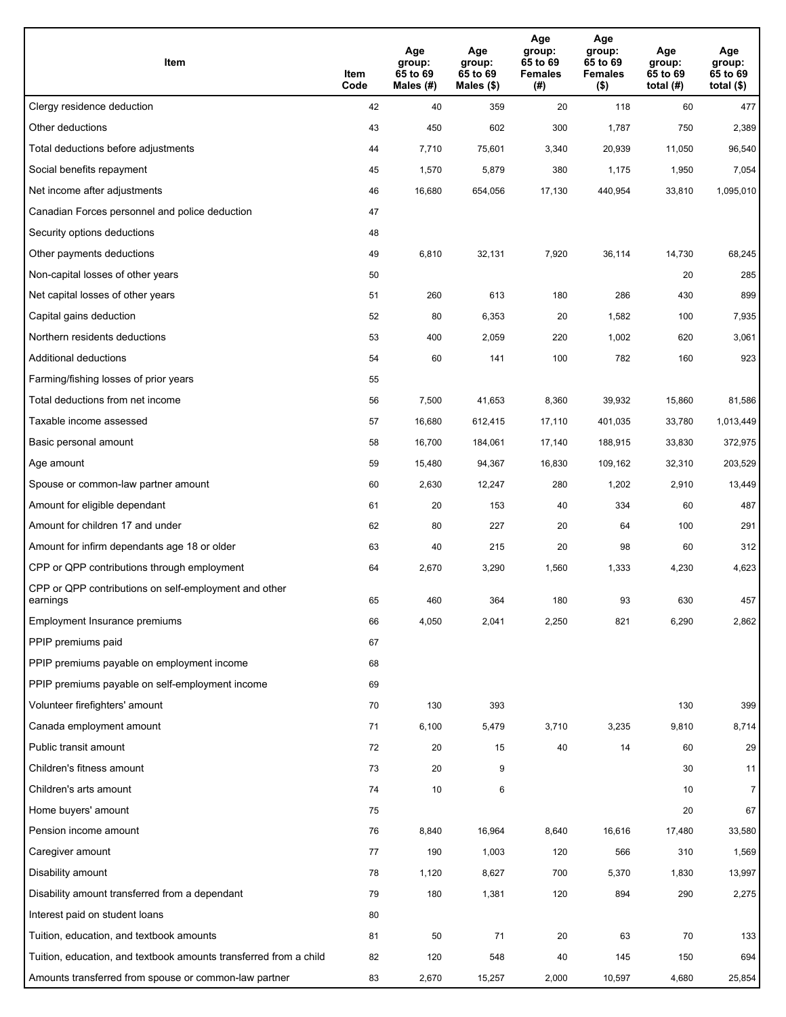| Item                                                              | Item<br>Code | Age<br>group:<br>65 to 69<br>Males (#) | Age<br>group:<br>65 to 69<br>Males (\$) | Age<br>group:<br>65 to 69<br><b>Females</b><br>(# ) | Age<br>group:<br>65 to 69<br><b>Females</b><br>$($ \$) | Age<br>group:<br>65 to 69<br>total $(H)$ | Age<br>group:<br>65 to 69<br>total $($)$ |
|-------------------------------------------------------------------|--------------|----------------------------------------|-----------------------------------------|-----------------------------------------------------|--------------------------------------------------------|------------------------------------------|------------------------------------------|
| Clergy residence deduction                                        | 42           | 40                                     | 359                                     | 20                                                  | 118                                                    | 60                                       | 477                                      |
| Other deductions                                                  | 43           | 450                                    | 602                                     | 300                                                 | 1,787                                                  | 750                                      | 2,389                                    |
| Total deductions before adjustments                               | 44           | 7,710                                  | 75,601                                  | 3,340                                               | 20,939                                                 | 11,050                                   | 96,540                                   |
| Social benefits repayment                                         | 45           | 1,570                                  | 5,879                                   | 380                                                 | 1,175                                                  | 1,950                                    | 7,054                                    |
| Net income after adjustments                                      | 46           | 16,680                                 | 654,056                                 | 17,130                                              | 440,954                                                | 33,810                                   | 1,095,010                                |
| Canadian Forces personnel and police deduction                    | 47           |                                        |                                         |                                                     |                                                        |                                          |                                          |
| Security options deductions                                       | 48           |                                        |                                         |                                                     |                                                        |                                          |                                          |
| Other payments deductions                                         | 49           | 6,810                                  | 32,131                                  | 7,920                                               | 36,114                                                 | 14,730                                   | 68,245                                   |
| Non-capital losses of other years                                 | 50           |                                        |                                         |                                                     |                                                        | 20                                       | 285                                      |
| Net capital losses of other years                                 | 51           | 260                                    | 613                                     | 180                                                 | 286                                                    | 430                                      | 899                                      |
| Capital gains deduction                                           | 52           | 80                                     | 6,353                                   | 20                                                  | 1,582                                                  | 100                                      | 7,935                                    |
| Northern residents deductions                                     | 53           | 400                                    | 2,059                                   | 220                                                 | 1,002                                                  | 620                                      | 3,061                                    |
| Additional deductions                                             | 54           | 60                                     | 141                                     | 100                                                 | 782                                                    | 160                                      | 923                                      |
| Farming/fishing losses of prior years                             | 55           |                                        |                                         |                                                     |                                                        |                                          |                                          |
| Total deductions from net income                                  | 56           | 7,500                                  | 41,653                                  | 8,360                                               | 39,932                                                 | 15,860                                   | 81,586                                   |
| Taxable income assessed                                           | 57           | 16,680                                 | 612,415                                 | 17,110                                              | 401,035                                                | 33,780                                   | 1,013,449                                |
| Basic personal amount                                             | 58           | 16,700                                 | 184,061                                 | 17,140                                              | 188,915                                                | 33,830                                   | 372,975                                  |
| Age amount                                                        | 59           | 15,480                                 | 94,367                                  | 16,830                                              | 109,162                                                | 32,310                                   | 203,529                                  |
| Spouse or common-law partner amount                               | 60           | 2,630                                  | 12,247                                  | 280                                                 | 1,202                                                  | 2,910                                    | 13,449                                   |
| Amount for eligible dependant                                     | 61           | 20                                     | 153                                     | 40                                                  | 334                                                    | 60                                       | 487                                      |
| Amount for children 17 and under                                  | 62           | 80                                     | 227                                     | 20                                                  | 64                                                     | 100                                      | 291                                      |
| Amount for infirm dependants age 18 or older                      | 63           | 40                                     | 215                                     | 20                                                  | 98                                                     | 60                                       | 312                                      |
| CPP or QPP contributions through employment                       | 64           | 2,670                                  | 3,290                                   | 1,560                                               | 1,333                                                  | 4,230                                    | 4,623                                    |
| CPP or QPP contributions on self-employment and other<br>earnings | 65           | 460                                    | 364                                     | 180                                                 | 93                                                     | 630                                      | 457                                      |
| Employment Insurance premiums                                     | 66           | 4,050                                  | 2,041                                   | 2,250                                               | 821                                                    | 6,290                                    | 2,862                                    |
| PPIP premiums paid                                                | 67           |                                        |                                         |                                                     |                                                        |                                          |                                          |
| PPIP premiums payable on employment income                        | 68           |                                        |                                         |                                                     |                                                        |                                          |                                          |
| PPIP premiums payable on self-employment income                   | 69           |                                        |                                         |                                                     |                                                        |                                          |                                          |
| Volunteer firefighters' amount                                    | 70           | 130                                    | 393                                     |                                                     |                                                        | 130                                      | 399                                      |
| Canada employment amount                                          | 71           | 6,100                                  | 5,479                                   | 3,710                                               | 3,235                                                  | 9,810                                    | 8,714                                    |
| Public transit amount                                             | 72           | 20                                     | 15                                      | 40                                                  | 14                                                     | 60                                       | 29                                       |
| Children's fitness amount                                         | 73           | 20                                     | 9                                       |                                                     |                                                        | 30                                       | 11                                       |
| Children's arts amount                                            | 74           | 10                                     | 6                                       |                                                     |                                                        | 10                                       | $\overline{7}$                           |
| Home buyers' amount                                               | 75           |                                        |                                         |                                                     |                                                        | 20                                       | 67                                       |
| Pension income amount                                             | 76           | 8,840                                  | 16,964                                  | 8,640                                               | 16,616                                                 | 17,480                                   | 33,580                                   |
| Caregiver amount                                                  | 77           | 190                                    | 1,003                                   | 120                                                 | 566                                                    | 310                                      | 1,569                                    |
| Disability amount                                                 | 78           | 1,120                                  | 8,627                                   | 700                                                 | 5,370                                                  | 1,830                                    | 13,997                                   |
| Disability amount transferred from a dependant                    | 79           | 180                                    | 1,381                                   | 120                                                 | 894                                                    | 290                                      | 2,275                                    |
| Interest paid on student loans                                    | 80           |                                        |                                         |                                                     |                                                        |                                          |                                          |
| Tuition, education, and textbook amounts                          | 81           | 50                                     | 71                                      | 20                                                  | 63                                                     | 70                                       | 133                                      |
| Tuition, education, and textbook amounts transferred from a child | 82           | 120                                    | 548                                     | 40                                                  | 145                                                    | 150                                      | 694                                      |
| Amounts transferred from spouse or common-law partner             | 83           | 2,670                                  | 15,257                                  | 2,000                                               | 10,597                                                 | 4,680                                    | 25,854                                   |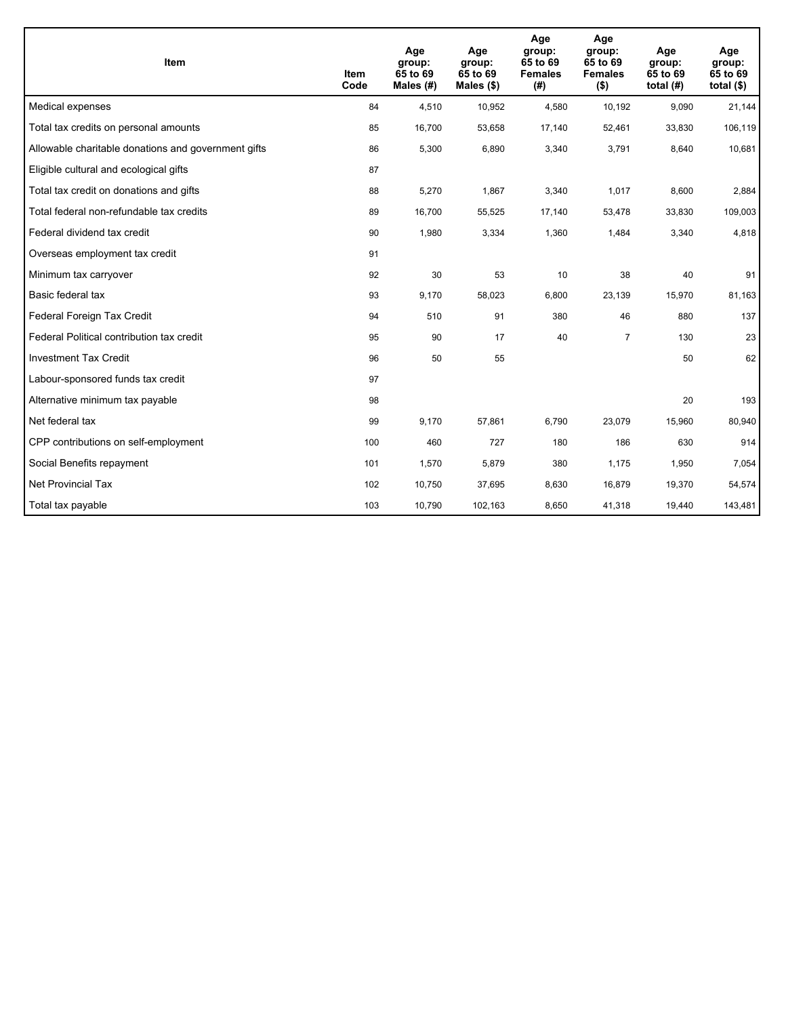| Item                                                | <b>Item</b><br>Code | Age<br>group:<br>65 to 69<br>Males (#) | Age<br>group:<br>65 to 69<br>Males $(\$)$ | Age<br>group:<br>65 to 69<br><b>Females</b><br>(# ) | Age<br>group:<br>65 to 69<br><b>Females</b><br>$($ \$) | Age<br>group:<br>65 to 69<br>total $(H)$ | Age<br>group:<br>65 to 69<br>total $($)$ |
|-----------------------------------------------------|---------------------|----------------------------------------|-------------------------------------------|-----------------------------------------------------|--------------------------------------------------------|------------------------------------------|------------------------------------------|
| Medical expenses                                    | 84                  | 4,510                                  | 10,952                                    | 4,580                                               | 10,192                                                 | 9.090                                    | 21,144                                   |
| Total tax credits on personal amounts               | 85                  | 16,700                                 | 53,658                                    | 17,140                                              | 52,461                                                 | 33,830                                   | 106,119                                  |
| Allowable charitable donations and government gifts | 86                  | 5,300                                  | 6,890                                     | 3,340                                               | 3,791                                                  | 8,640                                    | 10,681                                   |
| Eligible cultural and ecological gifts              | 87                  |                                        |                                           |                                                     |                                                        |                                          |                                          |
| Total tax credit on donations and gifts             | 88                  | 5,270                                  | 1,867                                     | 3,340                                               | 1,017                                                  | 8,600                                    | 2,884                                    |
| Total federal non-refundable tax credits            | 89                  | 16,700                                 | 55,525                                    | 17,140                                              | 53,478                                                 | 33,830                                   | 109,003                                  |
| Federal dividend tax credit                         | 90                  | 1,980                                  | 3,334                                     | 1,360                                               | 1,484                                                  | 3,340                                    | 4,818                                    |
| Overseas employment tax credit                      | 91                  |                                        |                                           |                                                     |                                                        |                                          |                                          |
| Minimum tax carryover                               | 92                  | 30                                     | 53                                        | 10                                                  | 38                                                     | 40                                       | 91                                       |
| Basic federal tax                                   | 93                  | 9,170                                  | 58,023                                    | 6,800                                               | 23,139                                                 | 15,970                                   | 81,163                                   |
| Federal Foreign Tax Credit                          | 94                  | 510                                    | 91                                        | 380                                                 | 46                                                     | 880                                      | 137                                      |
| Federal Political contribution tax credit           | 95                  | 90                                     | 17                                        | 40                                                  | $\overline{7}$                                         | 130                                      | 23                                       |
| <b>Investment Tax Credit</b>                        | 96                  | 50                                     | 55                                        |                                                     |                                                        | 50                                       | 62                                       |
| Labour-sponsored funds tax credit                   | 97                  |                                        |                                           |                                                     |                                                        |                                          |                                          |
| Alternative minimum tax payable                     | 98                  |                                        |                                           |                                                     |                                                        | 20                                       | 193                                      |
| Net federal tax                                     | 99                  | 9,170                                  | 57,861                                    | 6,790                                               | 23,079                                                 | 15,960                                   | 80,940                                   |
| CPP contributions on self-employment                | 100                 | 460                                    | 727                                       | 180                                                 | 186                                                    | 630                                      | 914                                      |
| Social Benefits repayment                           | 101                 | 1,570                                  | 5,879                                     | 380                                                 | 1,175                                                  | 1,950                                    | 7,054                                    |
| Net Provincial Tax                                  | 102                 | 10,750                                 | 37,695                                    | 8,630                                               | 16,879                                                 | 19,370                                   | 54,574                                   |
| Total tax payable                                   | 103                 | 10,790                                 | 102,163                                   | 8,650                                               | 41,318                                                 | 19,440                                   | 143,481                                  |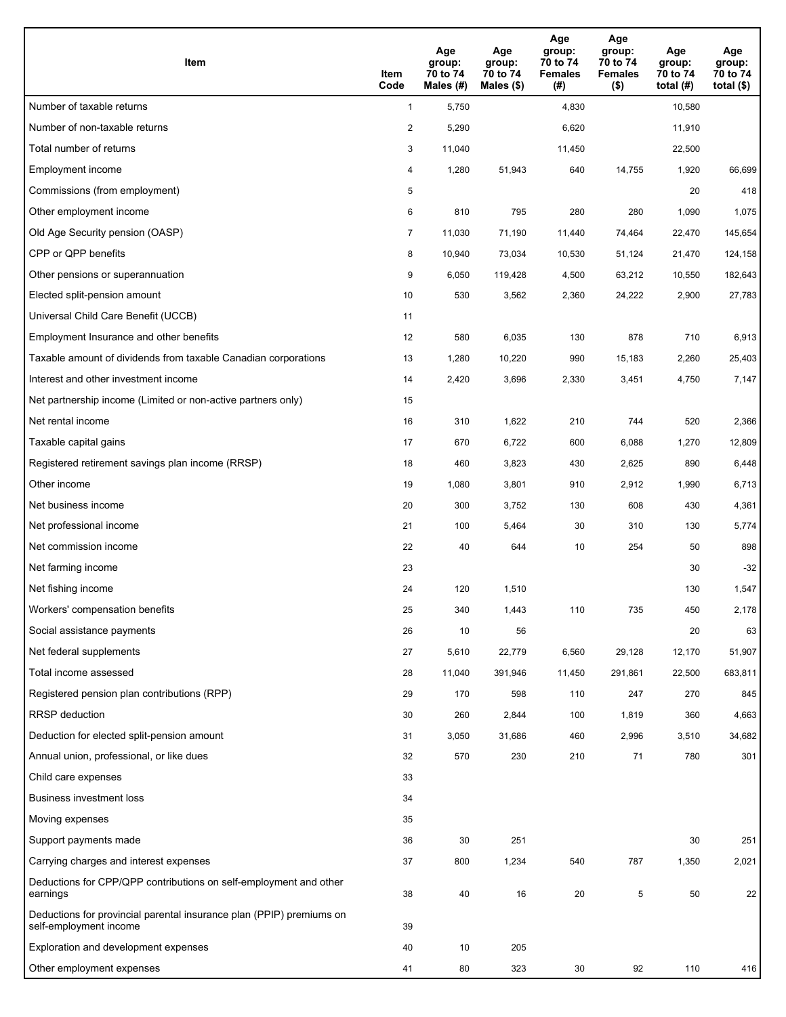| Item                                                                                           | Item<br>Code   | Age<br>group:<br>70 to 74<br>Males (#) | Age<br>group:<br>70 to 74<br>Males $(\$)$ | Age<br>group:<br>70 to 74<br><b>Females</b><br>(# ) | Age<br>group:<br>70 to 74<br><b>Females</b><br>$($ \$) | Age<br>group:<br>70 to 74<br>total $(H)$ | Age<br>group:<br>70 to 74<br>total $($)$ |
|------------------------------------------------------------------------------------------------|----------------|----------------------------------------|-------------------------------------------|-----------------------------------------------------|--------------------------------------------------------|------------------------------------------|------------------------------------------|
| Number of taxable returns                                                                      | $\mathbf{1}$   | 5,750                                  |                                           | 4,830                                               |                                                        | 10,580                                   |                                          |
| Number of non-taxable returns                                                                  | $\overline{c}$ | 5,290                                  |                                           | 6,620                                               |                                                        | 11,910                                   |                                          |
| Total number of returns                                                                        | 3              | 11,040                                 |                                           | 11,450                                              |                                                        | 22,500                                   |                                          |
| Employment income                                                                              | 4              | 1,280                                  | 51,943                                    | 640                                                 | 14,755                                                 | 1,920                                    | 66,699                                   |
| Commissions (from employment)                                                                  | 5              |                                        |                                           |                                                     |                                                        | 20                                       | 418                                      |
| Other employment income                                                                        | 6              | 810                                    | 795                                       | 280                                                 | 280                                                    | 1,090                                    | 1,075                                    |
| Old Age Security pension (OASP)                                                                | $\overline{7}$ | 11,030                                 | 71,190                                    | 11,440                                              | 74,464                                                 | 22,470                                   | 145,654                                  |
| CPP or QPP benefits                                                                            | 8              | 10,940                                 | 73,034                                    | 10,530                                              | 51,124                                                 | 21,470                                   | 124,158                                  |
| Other pensions or superannuation                                                               | 9              | 6,050                                  | 119,428                                   | 4,500                                               | 63,212                                                 | 10,550                                   | 182,643                                  |
| Elected split-pension amount                                                                   | 10             | 530                                    | 3,562                                     | 2,360                                               | 24,222                                                 | 2,900                                    | 27,783                                   |
| Universal Child Care Benefit (UCCB)                                                            | 11             |                                        |                                           |                                                     |                                                        |                                          |                                          |
| Employment Insurance and other benefits                                                        | 12             | 580                                    | 6,035                                     | 130                                                 | 878                                                    | 710                                      | 6,913                                    |
| Taxable amount of dividends from taxable Canadian corporations                                 | 13             | 1,280                                  | 10,220                                    | 990                                                 | 15,183                                                 | 2,260                                    | 25,403                                   |
| Interest and other investment income                                                           | 14             | 2,420                                  | 3,696                                     | 2,330                                               | 3,451                                                  | 4,750                                    | 7,147                                    |
| Net partnership income (Limited or non-active partners only)                                   | 15             |                                        |                                           |                                                     |                                                        |                                          |                                          |
| Net rental income                                                                              | 16             | 310                                    | 1,622                                     | 210                                                 | 744                                                    | 520                                      | 2,366                                    |
| Taxable capital gains                                                                          | 17             | 670                                    | 6,722                                     | 600                                                 | 6,088                                                  | 1,270                                    | 12,809                                   |
| Registered retirement savings plan income (RRSP)                                               | 18             | 460                                    | 3,823                                     | 430                                                 | 2,625                                                  | 890                                      | 6,448                                    |
| Other income                                                                                   | 19             | 1,080                                  | 3,801                                     | 910                                                 | 2,912                                                  | 1,990                                    | 6,713                                    |
| Net business income                                                                            | 20             | 300                                    | 3,752                                     | 130                                                 | 608                                                    | 430                                      | 4,361                                    |
| Net professional income                                                                        | 21             | 100                                    | 5,464                                     | 30                                                  | 310                                                    | 130                                      | 5,774                                    |
| Net commission income                                                                          | 22             | 40                                     | 644                                       | 10                                                  | 254                                                    | 50                                       | 898                                      |
| Net farming income                                                                             | 23             |                                        |                                           |                                                     |                                                        | 30                                       | $-32$                                    |
| Net fishing income                                                                             | 24             | 120                                    | 1,510                                     |                                                     |                                                        | 130                                      | 1,547                                    |
| Workers' compensation benefits                                                                 | 25             | 340                                    | 1,443                                     | 110                                                 | 735                                                    | 450                                      | 2,178                                    |
| Social assistance payments                                                                     | 26             | 10                                     | 56                                        |                                                     |                                                        | 20                                       | 63                                       |
| Net federal supplements                                                                        | 27             | 5,610                                  | 22,779                                    | 6,560                                               | 29,128                                                 | 12,170                                   | 51,907                                   |
| Total income assessed                                                                          | 28             | 11,040                                 | 391,946                                   | 11,450                                              | 291,861                                                | 22,500                                   | 683,811                                  |
| Registered pension plan contributions (RPP)                                                    | 29             | 170                                    | 598                                       | 110                                                 | 247                                                    | 270                                      | 845                                      |
| <b>RRSP</b> deduction                                                                          | 30             | 260                                    | 2,844                                     | 100                                                 | 1,819                                                  | 360                                      | 4,663                                    |
| Deduction for elected split-pension amount                                                     | 31             | 3,050                                  | 31,686                                    | 460                                                 | 2,996                                                  | 3,510                                    | 34,682                                   |
| Annual union, professional, or like dues                                                       | 32             | 570                                    | 230                                       | 210                                                 | 71                                                     | 780                                      | 301                                      |
| Child care expenses                                                                            | 33             |                                        |                                           |                                                     |                                                        |                                          |                                          |
| <b>Business investment loss</b>                                                                | 34             |                                        |                                           |                                                     |                                                        |                                          |                                          |
| Moving expenses                                                                                | 35             |                                        |                                           |                                                     |                                                        |                                          |                                          |
| Support payments made                                                                          | 36             | 30                                     | 251                                       |                                                     |                                                        | 30                                       | 251                                      |
| Carrying charges and interest expenses                                                         | 37             | 800                                    | 1,234                                     | 540                                                 | 787                                                    | 1,350                                    | 2,021                                    |
| Deductions for CPP/QPP contributions on self-employment and other<br>earnings                  | 38             | 40                                     | 16                                        | 20                                                  | 5                                                      | 50                                       | 22                                       |
| Deductions for provincial parental insurance plan (PPIP) premiums on<br>self-employment income | 39             |                                        |                                           |                                                     |                                                        |                                          |                                          |
| Exploration and development expenses                                                           | 40             | 10                                     | 205                                       |                                                     |                                                        |                                          |                                          |
| Other employment expenses                                                                      | 41             | 80                                     | 323                                       | 30                                                  | 92                                                     | 110                                      | 416                                      |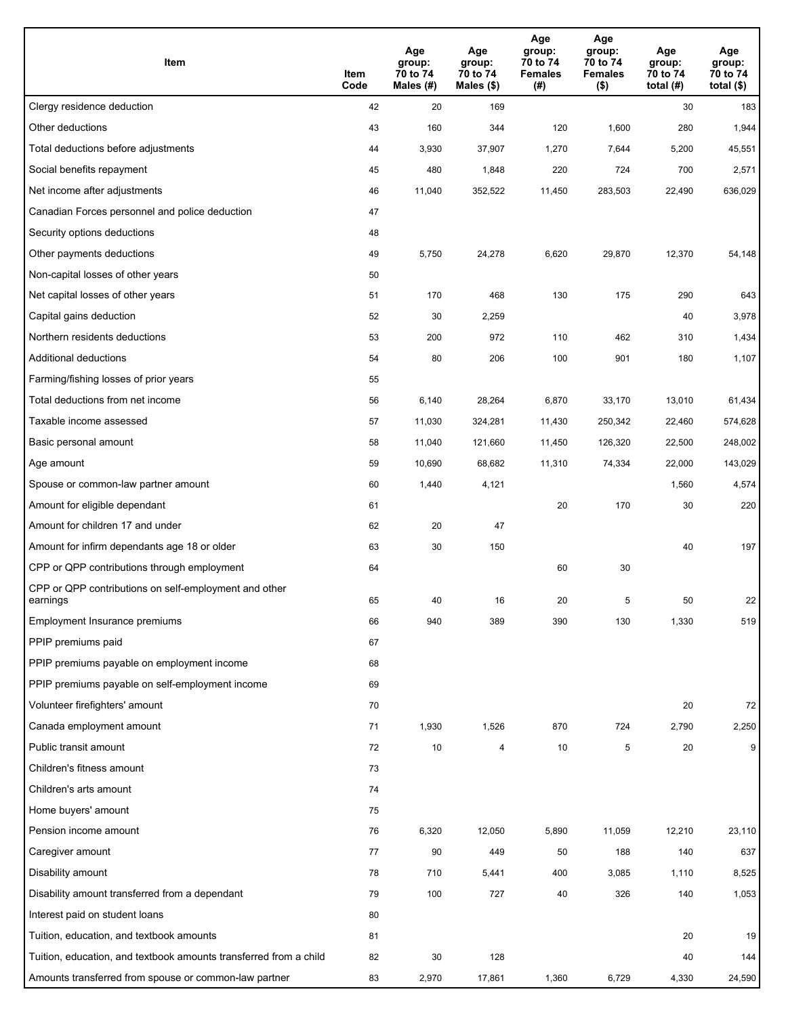| Item                                                              | Item<br>Code | Age<br>group:<br>70 to 74<br>Males (#) | Age<br>group:<br>70 to 74<br>Males $(\$)$ | Age<br>group:<br>70 to 74<br><b>Females</b><br>(# ) | Age<br>group:<br>70 to 74<br><b>Females</b><br>$($ \$) | Age<br>group:<br>70 to 74<br>total $(H)$ | Age<br>group:<br>70 to 74<br>total $($)$ |
|-------------------------------------------------------------------|--------------|----------------------------------------|-------------------------------------------|-----------------------------------------------------|--------------------------------------------------------|------------------------------------------|------------------------------------------|
| Clergy residence deduction                                        | 42           | 20                                     | 169                                       |                                                     |                                                        | 30                                       | 183                                      |
| Other deductions                                                  | 43           | 160                                    | 344                                       | 120                                                 | 1,600                                                  | 280                                      | 1,944                                    |
| Total deductions before adjustments                               | 44           | 3,930                                  | 37,907                                    | 1,270                                               | 7,644                                                  | 5,200                                    | 45,551                                   |
| Social benefits repayment                                         | 45           | 480                                    | 1,848                                     | 220                                                 | 724                                                    | 700                                      | 2,571                                    |
| Net income after adjustments                                      | 46           | 11,040                                 | 352,522                                   | 11,450                                              | 283,503                                                | 22,490                                   | 636,029                                  |
| Canadian Forces personnel and police deduction                    | 47           |                                        |                                           |                                                     |                                                        |                                          |                                          |
| Security options deductions                                       | 48           |                                        |                                           |                                                     |                                                        |                                          |                                          |
| Other payments deductions                                         | 49           | 5,750                                  | 24,278                                    | 6,620                                               | 29,870                                                 | 12,370                                   | 54,148                                   |
| Non-capital losses of other years                                 | 50           |                                        |                                           |                                                     |                                                        |                                          |                                          |
| Net capital losses of other years                                 | 51           | 170                                    | 468                                       | 130                                                 | 175                                                    | 290                                      | 643                                      |
| Capital gains deduction                                           | 52           | 30                                     | 2,259                                     |                                                     |                                                        | 40                                       | 3,978                                    |
| Northern residents deductions                                     | 53           | 200                                    | 972                                       | 110                                                 | 462                                                    | 310                                      | 1,434                                    |
| Additional deductions                                             | 54           | 80                                     | 206                                       | 100                                                 | 901                                                    | 180                                      | 1,107                                    |
| Farming/fishing losses of prior years                             | 55           |                                        |                                           |                                                     |                                                        |                                          |                                          |
| Total deductions from net income                                  | 56           | 6,140                                  | 28,264                                    | 6,870                                               | 33,170                                                 | 13,010                                   | 61,434                                   |
| Taxable income assessed                                           | 57           | 11,030                                 | 324,281                                   | 11,430                                              | 250,342                                                | 22,460                                   | 574,628                                  |
| Basic personal amount                                             | 58           | 11,040                                 | 121,660                                   | 11,450                                              | 126,320                                                | 22,500                                   | 248,002                                  |
| Age amount                                                        | 59           | 10,690                                 | 68,682                                    | 11,310                                              | 74,334                                                 | 22,000                                   | 143,029                                  |
| Spouse or common-law partner amount                               | 60           | 1,440                                  | 4,121                                     |                                                     |                                                        | 1,560                                    | 4,574                                    |
| Amount for eligible dependant                                     | 61           |                                        |                                           | 20                                                  | 170                                                    | 30                                       | 220                                      |
| Amount for children 17 and under                                  | 62           | 20                                     | 47                                        |                                                     |                                                        |                                          |                                          |
| Amount for infirm dependants age 18 or older                      | 63           | 30                                     | 150                                       |                                                     |                                                        | 40                                       | 197                                      |
| CPP or QPP contributions through employment                       | 64           |                                        |                                           | 60                                                  | 30                                                     |                                          |                                          |
| CPP or QPP contributions on self-employment and other<br>earnings | 65           | 40                                     | 16                                        | 20                                                  | 5                                                      | 50                                       | 22                                       |
| Employment Insurance premiums                                     | 66           | 940                                    | 389                                       | 390                                                 | 130                                                    | 1,330                                    | 519                                      |
| PPIP premiums paid                                                | 67           |                                        |                                           |                                                     |                                                        |                                          |                                          |
| PPIP premiums payable on employment income                        | 68           |                                        |                                           |                                                     |                                                        |                                          |                                          |
| PPIP premiums payable on self-employment income                   | 69           |                                        |                                           |                                                     |                                                        |                                          |                                          |
| Volunteer firefighters' amount                                    | 70           |                                        |                                           |                                                     |                                                        | 20                                       | 72                                       |
| Canada employment amount                                          | 71           | 1,930                                  | 1,526                                     | 870                                                 | 724                                                    | 2,790                                    | 2,250                                    |
| Public transit amount                                             | 72           | 10                                     | 4                                         | 10                                                  | 5                                                      | 20                                       | 9                                        |
| Children's fitness amount                                         | 73           |                                        |                                           |                                                     |                                                        |                                          |                                          |
| Children's arts amount                                            | 74           |                                        |                                           |                                                     |                                                        |                                          |                                          |
| Home buyers' amount                                               | 75           |                                        |                                           |                                                     |                                                        |                                          |                                          |
| Pension income amount                                             | 76           | 6,320                                  | 12,050                                    | 5,890                                               | 11,059                                                 | 12,210                                   | 23,110                                   |
| Caregiver amount                                                  | 77           | 90                                     | 449                                       | 50                                                  | 188                                                    | 140                                      | 637                                      |
| Disability amount                                                 | 78           | 710                                    | 5,441                                     | 400                                                 | 3,085                                                  | 1,110                                    | 8,525                                    |
| Disability amount transferred from a dependant                    | 79           | 100                                    | 727                                       | 40                                                  | 326                                                    | 140                                      | 1,053                                    |
| Interest paid on student loans                                    | 80           |                                        |                                           |                                                     |                                                        |                                          |                                          |
| Tuition, education, and textbook amounts                          | 81           |                                        |                                           |                                                     |                                                        | 20                                       | 19                                       |
| Tuition, education, and textbook amounts transferred from a child | 82           | 30                                     | 128                                       |                                                     |                                                        | 40                                       | 144                                      |
| Amounts transferred from spouse or common-law partner             | 83           | 2,970                                  | 17,861                                    | 1,360                                               | 6,729                                                  | 4,330                                    | 24,590                                   |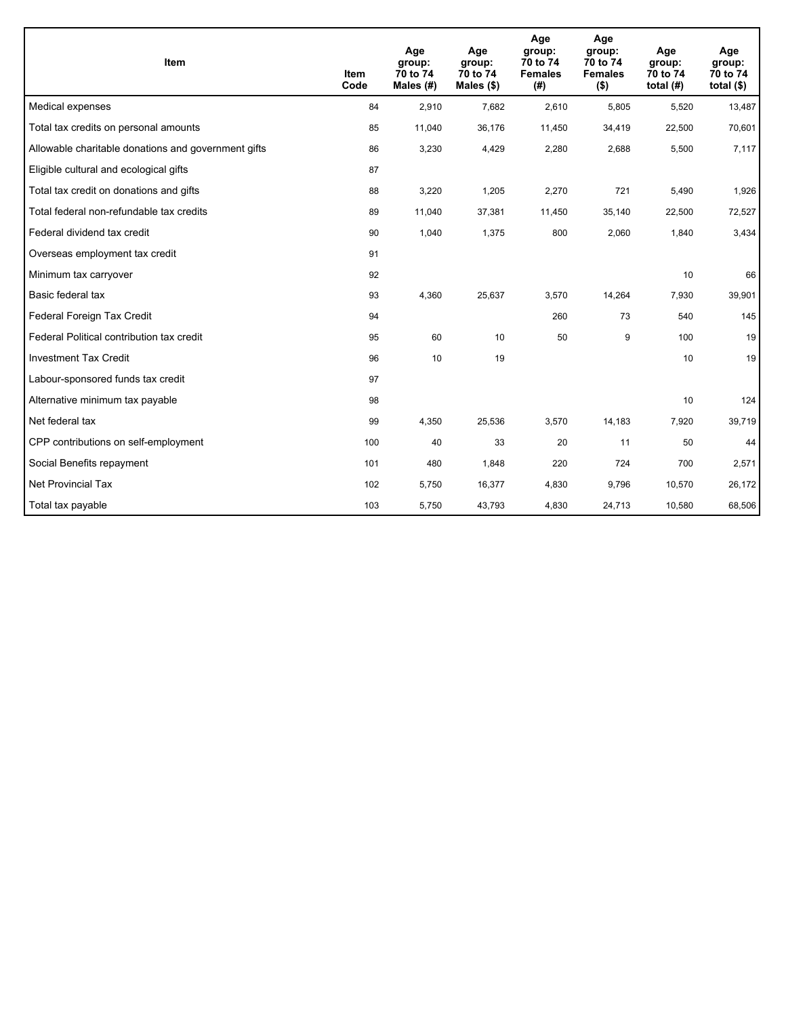| <b>Item</b>                                         | Item<br>Code | Age<br>group:<br>70 to 74<br>Males (#) | Age<br>group:<br>70 to 74<br>Males $(\$)$ | Age<br>group:<br>70 to 74<br><b>Females</b><br>(#) | Age<br>group:<br>70 to 74<br><b>Females</b><br>$($ \$) | Age<br>group:<br>70 to 74<br>total $(H)$ | Age<br>group:<br>70 to 74<br>total $($)$ |
|-----------------------------------------------------|--------------|----------------------------------------|-------------------------------------------|----------------------------------------------------|--------------------------------------------------------|------------------------------------------|------------------------------------------|
| Medical expenses                                    | 84           | 2,910                                  | 7.682                                     | 2,610                                              | 5,805                                                  | 5,520                                    | 13,487                                   |
| Total tax credits on personal amounts               | 85           | 11,040                                 | 36,176                                    | 11,450                                             | 34,419                                                 | 22,500                                   | 70,601                                   |
| Allowable charitable donations and government gifts | 86           | 3,230                                  | 4,429                                     | 2,280                                              | 2,688                                                  | 5,500                                    | 7,117                                    |
| Eligible cultural and ecological gifts              | 87           |                                        |                                           |                                                    |                                                        |                                          |                                          |
| Total tax credit on donations and gifts             | 88           | 3,220                                  | 1,205                                     | 2,270                                              | 721                                                    | 5,490                                    | 1,926                                    |
| Total federal non-refundable tax credits            | 89           | 11,040                                 | 37,381                                    | 11,450                                             | 35,140                                                 | 22,500                                   | 72,527                                   |
| Federal dividend tax credit                         | 90           | 1,040                                  | 1,375                                     | 800                                                | 2,060                                                  | 1,840                                    | 3,434                                    |
| Overseas employment tax credit                      | 91           |                                        |                                           |                                                    |                                                        |                                          |                                          |
| Minimum tax carryover                               | 92           |                                        |                                           |                                                    |                                                        | 10                                       | 66                                       |
| Basic federal tax                                   | 93           | 4,360                                  | 25,637                                    | 3,570                                              | 14,264                                                 | 7,930                                    | 39,901                                   |
| Federal Foreign Tax Credit                          | 94           |                                        |                                           | 260                                                | 73                                                     | 540                                      | 145                                      |
| Federal Political contribution tax credit           | 95           | 60                                     | 10                                        | 50                                                 | 9                                                      | 100                                      | 19                                       |
| <b>Investment Tax Credit</b>                        | 96           | 10                                     | 19                                        |                                                    |                                                        | 10                                       | 19                                       |
| Labour-sponsored funds tax credit                   | 97           |                                        |                                           |                                                    |                                                        |                                          |                                          |
| Alternative minimum tax payable                     | 98           |                                        |                                           |                                                    |                                                        | 10                                       | 124                                      |
| Net federal tax                                     | 99           | 4,350                                  | 25,536                                    | 3,570                                              | 14,183                                                 | 7,920                                    | 39,719                                   |
| CPP contributions on self-employment                | 100          | 40                                     | 33                                        | 20                                                 | 11                                                     | 50                                       | 44                                       |
| Social Benefits repayment                           | 101          | 480                                    | 1,848                                     | 220                                                | 724                                                    | 700                                      | 2,571                                    |
| <b>Net Provincial Tax</b>                           | 102          | 5,750                                  | 16,377                                    | 4,830                                              | 9,796                                                  | 10,570                                   | 26,172                                   |
| Total tax payable                                   | 103          | 5,750                                  | 43,793                                    | 4,830                                              | 24,713                                                 | 10,580                                   | 68,506                                   |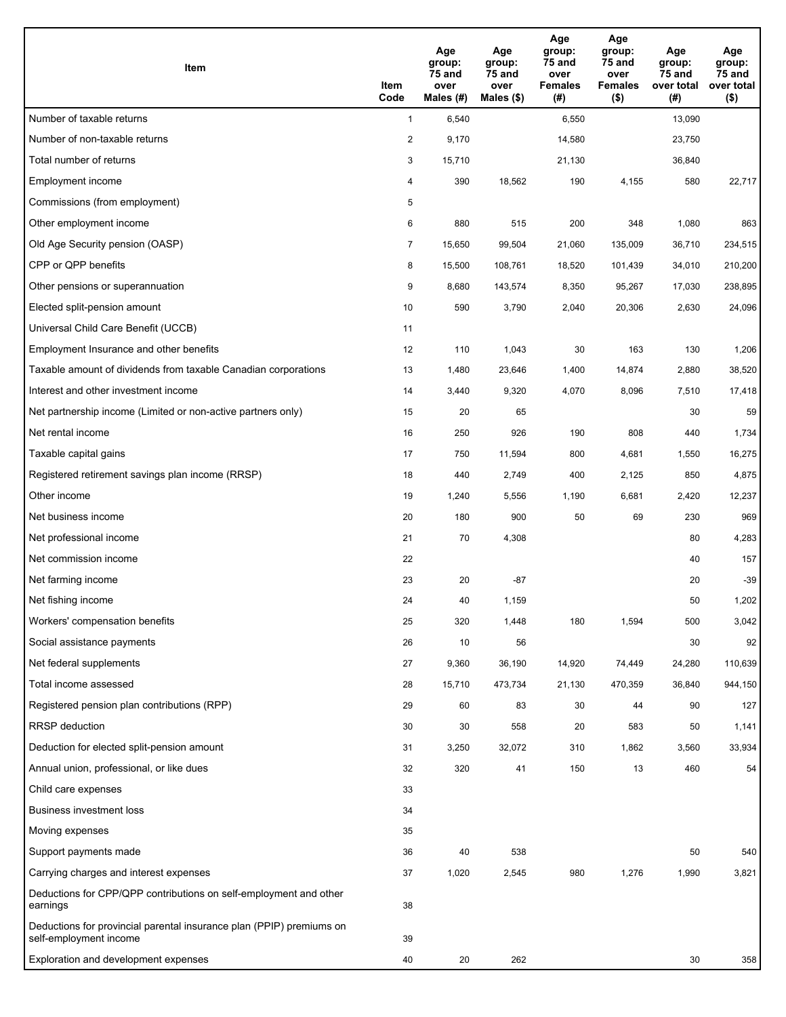| Item                                                                                           | Item<br>Code   | Age<br>group:<br>75 and<br>over<br>Males (#) | Age<br>group:<br>75 and<br>over<br>Males $(\$)$ | Age<br>group:<br>75 and<br>over<br><b>Females</b><br>(#) | Age<br>group:<br>75 and<br>over<br><b>Females</b><br>$($ \$) | Age<br>group:<br>75 and<br>over total<br>(# ) | Age<br>group:<br>75 and<br>over total<br>$($ \$) |
|------------------------------------------------------------------------------------------------|----------------|----------------------------------------------|-------------------------------------------------|----------------------------------------------------------|--------------------------------------------------------------|-----------------------------------------------|--------------------------------------------------|
| Number of taxable returns                                                                      | $\mathbf{1}$   | 6,540                                        |                                                 | 6,550                                                    |                                                              | 13,090                                        |                                                  |
| Number of non-taxable returns                                                                  | $\overline{c}$ | 9,170                                        |                                                 | 14,580                                                   |                                                              | 23,750                                        |                                                  |
| Total number of returns                                                                        | 3              | 15,710                                       |                                                 | 21,130                                                   |                                                              | 36,840                                        |                                                  |
| Employment income                                                                              | 4              | 390                                          | 18,562                                          | 190                                                      | 4,155                                                        | 580                                           | 22,717                                           |
| Commissions (from employment)                                                                  | 5              |                                              |                                                 |                                                          |                                                              |                                               |                                                  |
| Other employment income                                                                        | 6              | 880                                          | 515                                             | 200                                                      | 348                                                          | 1,080                                         | 863                                              |
| Old Age Security pension (OASP)                                                                | $\overline{7}$ | 15,650                                       | 99,504                                          | 21,060                                                   | 135,009                                                      | 36,710                                        | 234,515                                          |
| CPP or QPP benefits                                                                            | 8              | 15,500                                       | 108,761                                         | 18,520                                                   | 101,439                                                      | 34,010                                        | 210,200                                          |
| Other pensions or superannuation                                                               | 9              | 8,680                                        | 143,574                                         | 8,350                                                    | 95,267                                                       | 17,030                                        | 238,895                                          |
| Elected split-pension amount                                                                   | 10             | 590                                          | 3,790                                           | 2,040                                                    | 20,306                                                       | 2,630                                         | 24,096                                           |
| Universal Child Care Benefit (UCCB)                                                            | 11             |                                              |                                                 |                                                          |                                                              |                                               |                                                  |
| Employment Insurance and other benefits                                                        | 12             | 110                                          | 1,043                                           | 30                                                       | 163                                                          | 130                                           | 1,206                                            |
| Taxable amount of dividends from taxable Canadian corporations                                 | 13             | 1,480                                        | 23,646                                          | 1,400                                                    | 14,874                                                       | 2,880                                         | 38,520                                           |
| Interest and other investment income                                                           | 14             | 3,440                                        | 9,320                                           | 4,070                                                    | 8,096                                                        | 7,510                                         | 17,418                                           |
| Net partnership income (Limited or non-active partners only)                                   | 15             | 20                                           | 65                                              |                                                          |                                                              | 30                                            | 59                                               |
| Net rental income                                                                              | 16             | 250                                          | 926                                             | 190                                                      | 808                                                          | 440                                           | 1,734                                            |
| Taxable capital gains                                                                          | 17             | 750                                          | 11,594                                          | 800                                                      | 4,681                                                        | 1,550                                         | 16,275                                           |
| Registered retirement savings plan income (RRSP)                                               | 18             | 440                                          | 2,749                                           | 400                                                      | 2,125                                                        | 850                                           | 4,875                                            |
| Other income                                                                                   | 19             | 1,240                                        | 5,556                                           | 1,190                                                    | 6,681                                                        | 2,420                                         | 12,237                                           |
| Net business income                                                                            | 20             | 180                                          | 900                                             | 50                                                       | 69                                                           | 230                                           | 969                                              |
| Net professional income                                                                        | 21             | 70                                           | 4,308                                           |                                                          |                                                              | 80                                            | 4,283                                            |
| Net commission income                                                                          | 22             |                                              |                                                 |                                                          |                                                              | 40                                            | 157                                              |
| Net farming income                                                                             | 23             | 20                                           | $-87$                                           |                                                          |                                                              | 20                                            | $-39$                                            |
| Net fishing income                                                                             | 24             | 40                                           | 1,159                                           |                                                          |                                                              | 50                                            | 1,202                                            |
| Workers' compensation benefits                                                                 | 25             | 320                                          | 1,448                                           | 180                                                      | 1,594                                                        | 500                                           | 3,042                                            |
| Social assistance payments                                                                     | 26             | 10                                           | 56                                              |                                                          |                                                              | 30                                            | 92                                               |
| Net federal supplements                                                                        | 27             | 9,360                                        | 36,190                                          | 14,920                                                   | 74,449                                                       | 24,280                                        | 110,639                                          |
| Total income assessed                                                                          | 28             | 15,710                                       | 473,734                                         | 21,130                                                   | 470,359                                                      | 36,840                                        | 944,150                                          |
| Registered pension plan contributions (RPP)                                                    | 29             | 60                                           | 83                                              | 30                                                       | 44                                                           | 90                                            | 127                                              |
| RRSP deduction                                                                                 | 30             | 30                                           | 558                                             | 20                                                       | 583                                                          | 50                                            | 1,141                                            |
| Deduction for elected split-pension amount                                                     | 31             | 3,250                                        | 32,072                                          | 310                                                      | 1,862                                                        | 3,560                                         | 33,934                                           |
| Annual union, professional, or like dues                                                       | 32             | 320                                          | 41                                              | 150                                                      | 13                                                           | 460                                           | 54                                               |
| Child care expenses                                                                            | 33             |                                              |                                                 |                                                          |                                                              |                                               |                                                  |
| <b>Business investment loss</b>                                                                | 34             |                                              |                                                 |                                                          |                                                              |                                               |                                                  |
| Moving expenses                                                                                | 35             |                                              |                                                 |                                                          |                                                              |                                               |                                                  |
| Support payments made                                                                          | 36             | 40                                           | 538                                             |                                                          |                                                              | 50                                            | 540                                              |
| Carrying charges and interest expenses                                                         | 37             | 1,020                                        | 2,545                                           | 980                                                      | 1,276                                                        | 1,990                                         | 3,821                                            |
| Deductions for CPP/QPP contributions on self-employment and other<br>earnings                  | 38             |                                              |                                                 |                                                          |                                                              |                                               |                                                  |
| Deductions for provincial parental insurance plan (PPIP) premiums on<br>self-employment income | 39             |                                              |                                                 |                                                          |                                                              |                                               |                                                  |
| Exploration and development expenses                                                           | 40             | 20                                           | 262                                             |                                                          |                                                              | 30                                            | 358                                              |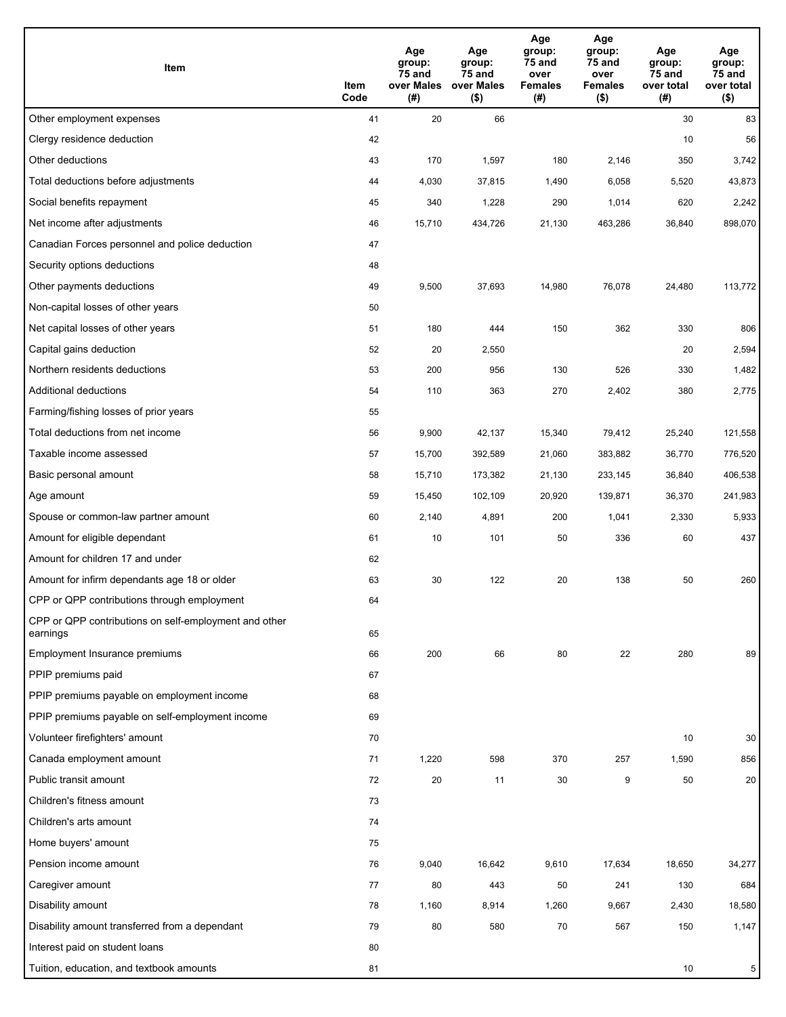| Item                                                              | Item<br>Code | Age<br>group:<br>75 and<br>over Males<br>(#) | Age<br>group:<br>75 and<br>over Males<br>$($ \$) | Age<br>group:<br>75 and<br>over<br><b>Females</b><br>(#) | Age<br>group:<br>75 and<br>over<br><b>Females</b><br>$($ \$) | Age<br>group:<br>$75$ and<br>over total<br>(#) | Age<br>group:<br>75 and<br>over total<br>$($ \$) |
|-------------------------------------------------------------------|--------------|----------------------------------------------|--------------------------------------------------|----------------------------------------------------------|--------------------------------------------------------------|------------------------------------------------|--------------------------------------------------|
| Other employment expenses                                         | 41           | 20                                           | 66                                               |                                                          |                                                              | 30                                             | 83                                               |
| Clergy residence deduction                                        | 42           |                                              |                                                  |                                                          |                                                              | 10                                             | 56                                               |
| Other deductions                                                  | 43           | 170                                          | 1,597                                            | 180                                                      | 2,146                                                        | 350                                            | 3,742                                            |
| Total deductions before adjustments                               | 44           | 4,030                                        | 37,815                                           | 1,490                                                    | 6,058                                                        | 5,520                                          | 43,873                                           |
| Social benefits repayment                                         | 45           | 340                                          | 1,228                                            | 290                                                      | 1,014                                                        | 620                                            | 2,242                                            |
| Net income after adjustments                                      | 46           | 15,710                                       | 434,726                                          | 21,130                                                   | 463,286                                                      | 36,840                                         | 898,070                                          |
| Canadian Forces personnel and police deduction                    | 47           |                                              |                                                  |                                                          |                                                              |                                                |                                                  |
| Security options deductions                                       | 48           |                                              |                                                  |                                                          |                                                              |                                                |                                                  |
| Other payments deductions                                         | 49           | 9,500                                        | 37,693                                           | 14,980                                                   | 76,078                                                       | 24,480                                         | 113,772                                          |
| Non-capital losses of other years                                 | 50           |                                              |                                                  |                                                          |                                                              |                                                |                                                  |
| Net capital losses of other years                                 | 51           | 180                                          | 444                                              | 150                                                      | 362                                                          | 330                                            | 806                                              |
| Capital gains deduction                                           | 52           | 20                                           | 2,550                                            |                                                          |                                                              | 20                                             | 2,594                                            |
| Northern residents deductions                                     | 53           | 200                                          | 956                                              | 130                                                      | 526                                                          | 330                                            | 1,482                                            |
| Additional deductions                                             | 54           | 110                                          | 363                                              | 270                                                      | 2,402                                                        | 380                                            | 2,775                                            |
| Farming/fishing losses of prior years                             | 55           |                                              |                                                  |                                                          |                                                              |                                                |                                                  |
| Total deductions from net income                                  | 56           | 9,900                                        | 42,137                                           | 15,340                                                   | 79,412                                                       | 25,240                                         | 121,558                                          |
| Taxable income assessed                                           | 57           | 15,700                                       | 392,589                                          | 21,060                                                   | 383,882                                                      | 36,770                                         | 776,520                                          |
| Basic personal amount                                             | 58           | 15,710                                       | 173,382                                          | 21,130                                                   | 233,145                                                      | 36,840                                         | 406,538                                          |
| Age amount                                                        | 59           | 15,450                                       | 102,109                                          | 20,920                                                   | 139,871                                                      | 36,370                                         | 241,983                                          |
| Spouse or common-law partner amount                               | 60           | 2,140                                        | 4,891                                            | 200                                                      | 1,041                                                        | 2,330                                          | 5,933                                            |
| Amount for eligible dependant                                     | 61           | 10                                           | 101                                              | 50                                                       | 336                                                          | 60                                             | 437                                              |
| Amount for children 17 and under                                  | 62           |                                              |                                                  |                                                          |                                                              |                                                |                                                  |
| Amount for infirm dependants age 18 or older                      | 63           | 30                                           | 122                                              | 20                                                       | 138                                                          | 50                                             | 260                                              |
| CPP or QPP contributions through employment                       | 64           |                                              |                                                  |                                                          |                                                              |                                                |                                                  |
| CPP or QPP contributions on self-employment and other<br>earnings | 65           |                                              |                                                  |                                                          |                                                              |                                                |                                                  |
| Employment Insurance premiums                                     | 66           | 200                                          | 66                                               | 80                                                       | 22                                                           | 280                                            | 89                                               |
| PPIP premiums paid                                                | 67           |                                              |                                                  |                                                          |                                                              |                                                |                                                  |
| PPIP premiums payable on employment income                        | 68           |                                              |                                                  |                                                          |                                                              |                                                |                                                  |
| PPIP premiums payable on self-employment income                   | 69           |                                              |                                                  |                                                          |                                                              |                                                |                                                  |
| Volunteer firefighters' amount                                    | 70           |                                              |                                                  |                                                          |                                                              | 10                                             | 30                                               |
| Canada employment amount                                          | 71           | 1,220                                        | 598                                              | 370                                                      | 257                                                          | 1,590                                          | 856                                              |
| Public transit amount                                             | 72           | $20\,$                                       | 11                                               | 30                                                       | 9                                                            | 50                                             | 20                                               |
| Children's fitness amount                                         | 73           |                                              |                                                  |                                                          |                                                              |                                                |                                                  |
| Children's arts amount                                            | 74           |                                              |                                                  |                                                          |                                                              |                                                |                                                  |
| Home buyers' amount                                               | 75           |                                              |                                                  |                                                          |                                                              |                                                |                                                  |
| Pension income amount                                             | 76           | 9,040                                        | 16,642                                           | 9,610                                                    | 17,634                                                       | 18,650                                         | 34,277                                           |
| Caregiver amount                                                  | 77           | 80                                           | 443                                              | 50                                                       | 241                                                          | 130                                            | 684                                              |
| Disability amount                                                 | 78           | 1,160                                        | 8,914                                            | 1,260                                                    | 9,667                                                        | 2,430                                          | 18,580                                           |
| Disability amount transferred from a dependant                    | 79           | 80                                           | 580                                              | 70                                                       | 567                                                          | 150                                            | 1,147                                            |
| Interest paid on student loans                                    | 80           |                                              |                                                  |                                                          |                                                              |                                                |                                                  |
| Tuition, education, and textbook amounts                          | 81           |                                              |                                                  |                                                          |                                                              | 10                                             | 5                                                |